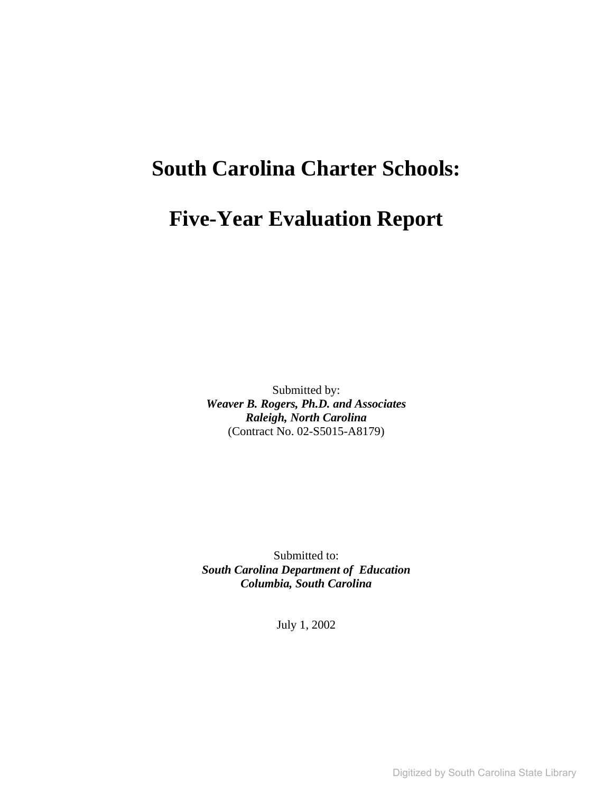# **South Carolina Charter Schools:**

# **Five-Year Evaluation Report**

Submitted by: *Weaver B. Rogers, Ph.D. and Associates Raleigh, North Carolina* (Contract No. 02-S5015-A8179)

Submitted to: *South Carolina Department of Education Columbia, South Carolina*

July 1, 2002

Digitized by South Carolina State Library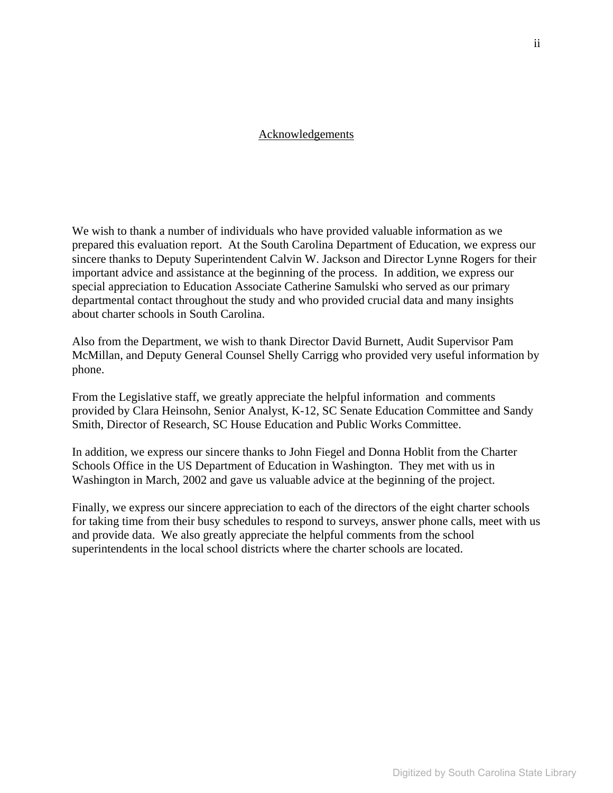#### Acknowledgements

We wish to thank a number of individuals who have provided valuable information as we prepared this evaluation report. At the South Carolina Department of Education, we express our sincere thanks to Deputy Superintendent Calvin W. Jackson and Director Lynne Rogers for their important advice and assistance at the beginning of the process. In addition, we express our special appreciation to Education Associate Catherine Samulski who served as our primary departmental contact throughout the study and who provided crucial data and many insights about charter schools in South Carolina.

Also from the Department, we wish to thank Director David Burnett, Audit Supervisor Pam McMillan, and Deputy General Counsel Shelly Carrigg who provided very useful information by phone.

From the Legislative staff, we greatly appreciate the helpful information and comments provided by Clara Heinsohn, Senior Analyst, K-12, SC Senate Education Committee and Sandy Smith, Director of Research, SC House Education and Public Works Committee.

In addition, we express our sincere thanks to John Fiegel and Donna Hoblit from the Charter Schools Office in the US Department of Education in Washington. They met with us in Washington in March, 2002 and gave us valuable advice at the beginning of the project.

Finally, we express our sincere appreciation to each of the directors of the eight charter schools for taking time from their busy schedules to respond to surveys, answer phone calls, meet with us and provide data. We also greatly appreciate the helpful comments from the school superintendents in the local school districts where the charter schools are located.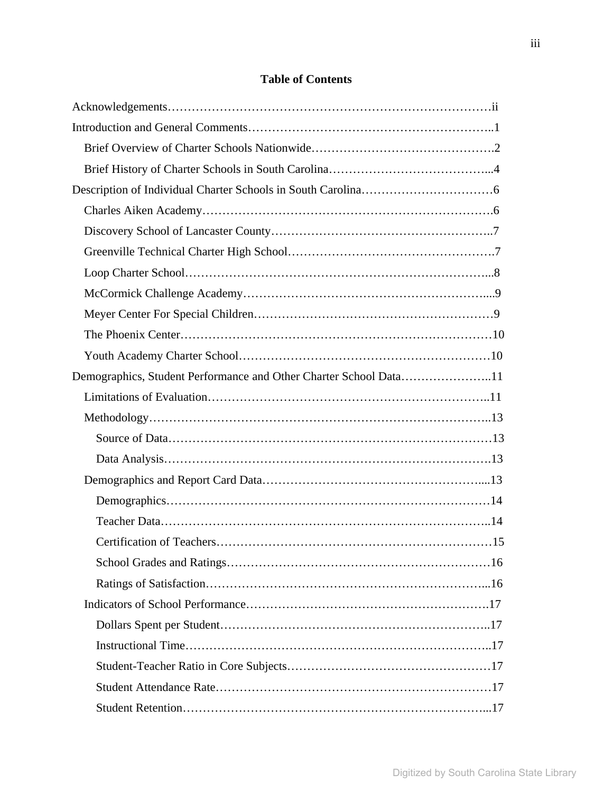# **Table of Contents**

| Demographics, Student Performance and Other Charter School Data11 |  |
|-------------------------------------------------------------------|--|
|                                                                   |  |
|                                                                   |  |
|                                                                   |  |
|                                                                   |  |
|                                                                   |  |
|                                                                   |  |
|                                                                   |  |
|                                                                   |  |
|                                                                   |  |
|                                                                   |  |
|                                                                   |  |
|                                                                   |  |
|                                                                   |  |
|                                                                   |  |
|                                                                   |  |
|                                                                   |  |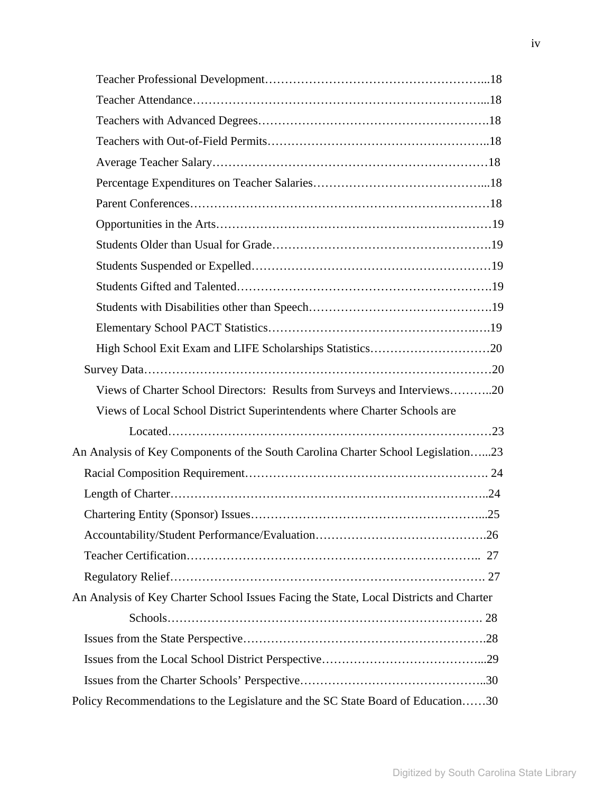| Views of Charter School Directors: Results from Surveys and Interviews20               |  |
|----------------------------------------------------------------------------------------|--|
| Views of Local School District Superintendents where Charter Schools are               |  |
|                                                                                        |  |
| An Analysis of Key Components of the South Carolina Charter School Legislation23       |  |
|                                                                                        |  |
|                                                                                        |  |
|                                                                                        |  |
|                                                                                        |  |
|                                                                                        |  |
|                                                                                        |  |
| An Analysis of Key Charter School Issues Facing the State, Local Districts and Charter |  |
|                                                                                        |  |
|                                                                                        |  |
|                                                                                        |  |
|                                                                                        |  |
| Policy Recommendations to the Legislature and the SC State Board of Education30        |  |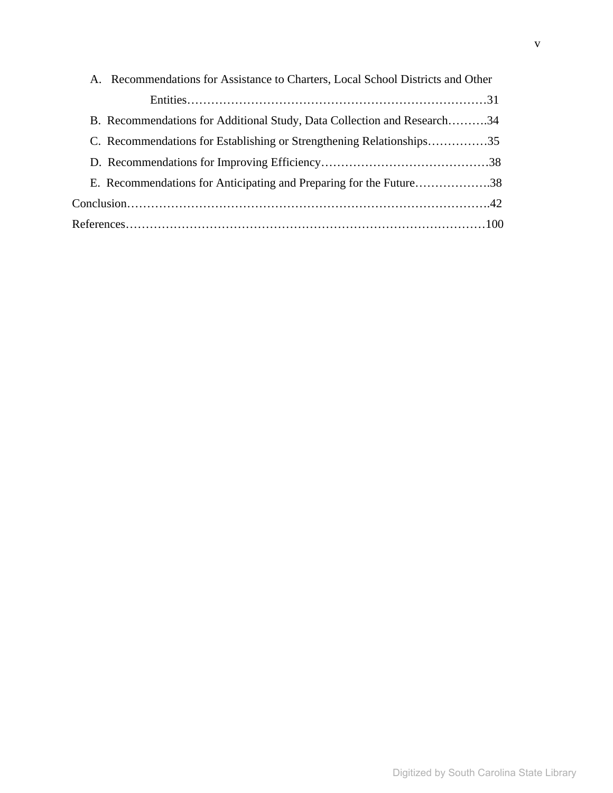| A. Recommendations for Assistance to Charters, Local School Districts and Other |  |
|---------------------------------------------------------------------------------|--|
|                                                                                 |  |
| B. Recommendations for Additional Study, Data Collection and Research34         |  |
| C. Recommendations for Establishing or Strengthening Relationships35            |  |
|                                                                                 |  |
| E. Recommendations for Anticipating and Preparing for the Future38              |  |
|                                                                                 |  |
|                                                                                 |  |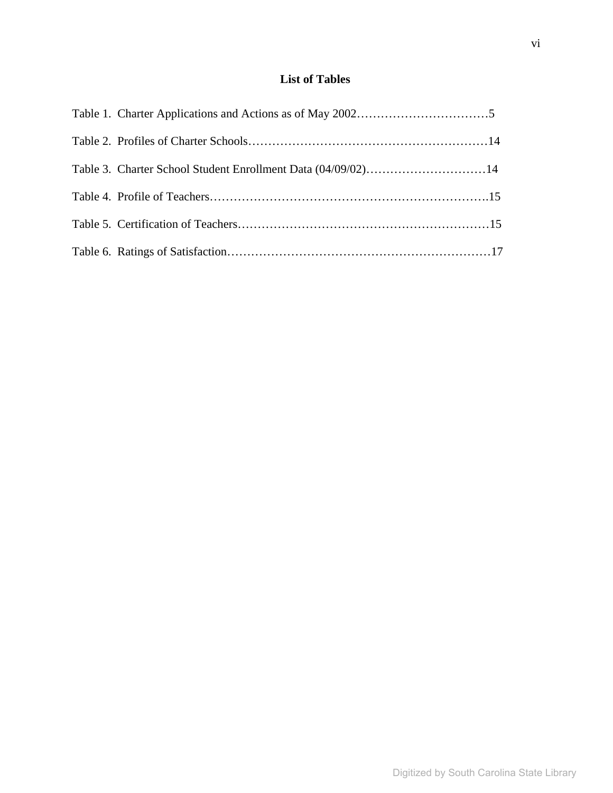# **List of Tables**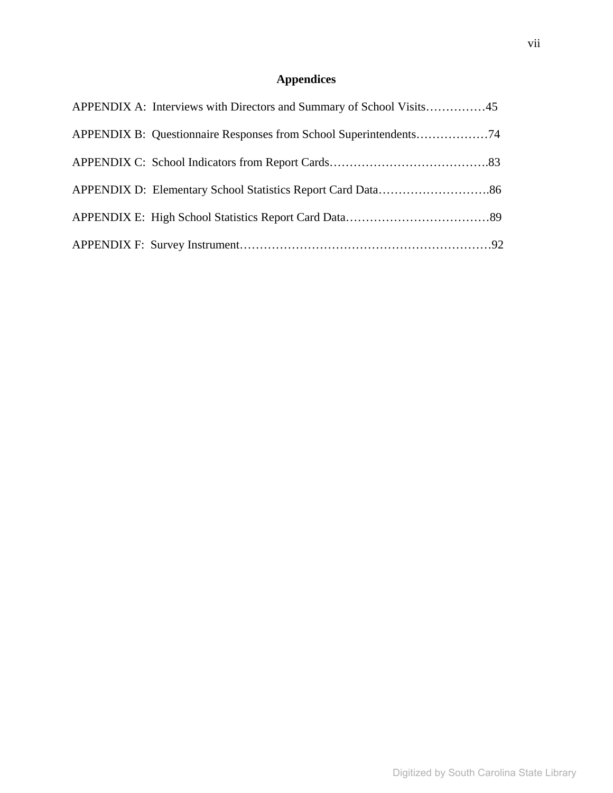# **Appendices**

| APPENDIX A: Interviews with Directors and Summary of School Visits45 |  |
|----------------------------------------------------------------------|--|
|                                                                      |  |
|                                                                      |  |
|                                                                      |  |
|                                                                      |  |
|                                                                      |  |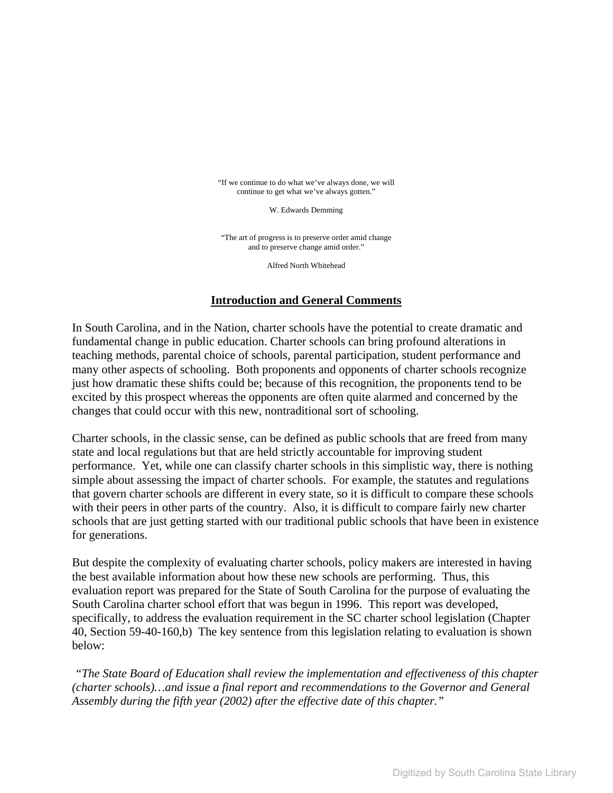"If we continue to do what we've always done, we will continue to get what we've always gotten."

W. Edwards Demming

"The art of progress is to preserve order amid change and to preserve change amid order."

Alfred North Whitehead

# **Introduction and General Comments**

In South Carolina, and in the Nation, charter schools have the potential to create dramatic and fundamental change in public education. Charter schools can bring profound alterations in teaching methods, parental choice of schools, parental participation, student performance and many other aspects of schooling. Both proponents and opponents of charter schools recognize just how dramatic these shifts could be; because of this recognition, the proponents tend to be excited by this prospect whereas the opponents are often quite alarmed and concerned by the changes that could occur with this new, nontraditional sort of schooling.

Charter schools, in the classic sense, can be defined as public schools that are freed from many state and local regulations but that are held strictly accountable for improving student performance. Yet, while one can classify charter schools in this simplistic way, there is nothing simple about assessing the impact of charter schools. For example, the statutes and regulations that govern charter schools are different in every state, so it is difficult to compare these schools with their peers in other parts of the country. Also, it is difficult to compare fairly new charter schools that are just getting started with our traditional public schools that have been in existence for generations.

But despite the complexity of evaluating charter schools, policy makers are interested in having the best available information about how these new schools are performing. Thus, this evaluation report was prepared for the State of South Carolina for the purpose of evaluating the South Carolina charter school effort that was begun in 1996. This report was developed, specifically, to address the evaluation requirement in the SC charter school legislation (Chapter 40, Section 59-40-160,b) The key sentence from this legislation relating to evaluation is shown below:

*"The State Board of Education shall review the implementation and effectiveness of this chapter (charter schools)…and issue a final report and recommendations to the Governor and General Assembly during the fifth year (2002) after the effective date of this chapter."*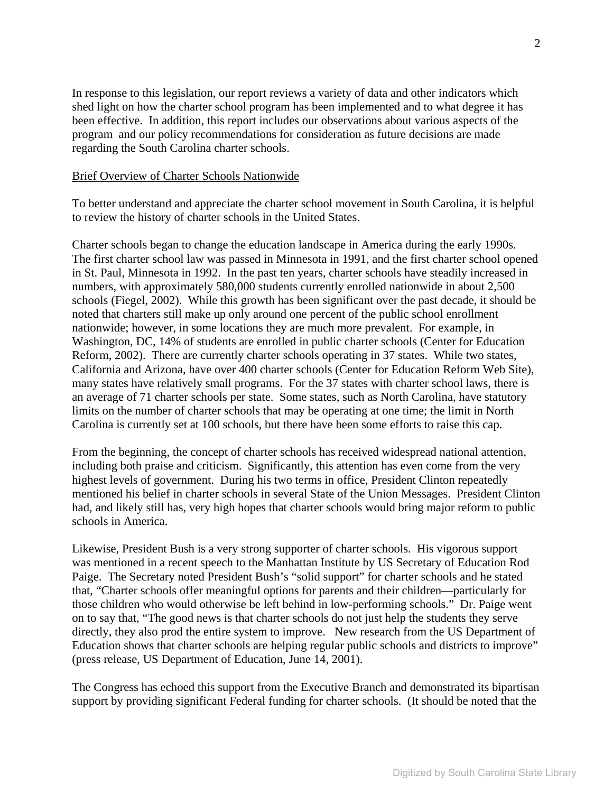In response to this legislation, our report reviews a variety of data and other indicators which shed light on how the charter school program has been implemented and to what degree it has been effective. In addition, this report includes our observations about various aspects of the program and our policy recommendations for consideration as future decisions are made regarding the South Carolina charter schools.

#### Brief Overview of Charter Schools Nationwide

To better understand and appreciate the charter school movement in South Carolina, it is helpful to review the history of charter schools in the United States.

Charter schools began to change the education landscape in America during the early 1990s. The first charter school law was passed in Minnesota in 1991, and the first charter school opened in St. Paul, Minnesota in 1992. In the past ten years, charter schools have steadily increased in numbers, with approximately 580,000 students currently enrolled nationwide in about 2,500 schools (Fiegel, 2002). While this growth has been significant over the past decade, it should be noted that charters still make up only around one percent of the public school enrollment nationwide; however, in some locations they are much more prevalent. For example, in Washington, DC, 14% of students are enrolled in public charter schools (Center for Education Reform, 2002). There are currently charter schools operating in 37 states. While two states, California and Arizona, have over 400 charter schools (Center for Education Reform Web Site), many states have relatively small programs. For the 37 states with charter school laws, there is an average of 71 charter schools per state. Some states, such as North Carolina, have statutory limits on the number of charter schools that may be operating at one time; the limit in North Carolina is currently set at 100 schools, but there have been some efforts to raise this cap.

From the beginning, the concept of charter schools has received widespread national attention, including both praise and criticism. Significantly, this attention has even come from the very highest levels of government. During his two terms in office, President Clinton repeatedly mentioned his belief in charter schools in several State of the Union Messages. President Clinton had, and likely still has, very high hopes that charter schools would bring major reform to public schools in America.

Likewise, President Bush is a very strong supporter of charter schools. His vigorous support was mentioned in a recent speech to the Manhattan Institute by US Secretary of Education Rod Paige. The Secretary noted President Bush's "solid support" for charter schools and he stated that, "Charter schools offer meaningful options for parents and their children—particularly for those children who would otherwise be left behind in low-performing schools." Dr. Paige went on to say that, "The good news is that charter schools do not just help the students they serve directly, they also prod the entire system to improve. New research from the US Department of Education shows that charter schools are helping regular public schools and districts to improve" (press release, US Department of Education, June 14, 2001).

The Congress has echoed this support from the Executive Branch and demonstrated its bipartisan support by providing significant Federal funding for charter schools. (It should be noted that the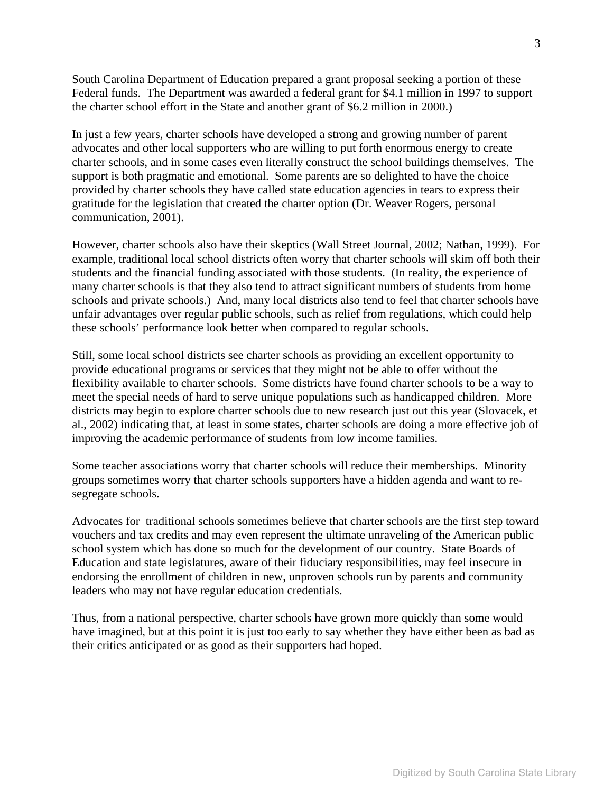South Carolina Department of Education prepared a grant proposal seeking a portion of these Federal funds. The Department was awarded a federal grant for \$4.1 million in 1997 to support the charter school effort in the State and another grant of \$6.2 million in 2000.)

In just a few years, charter schools have developed a strong and growing number of parent advocates and other local supporters who are willing to put forth enormous energy to create charter schools, and in some cases even literally construct the school buildings themselves. The support is both pragmatic and emotional. Some parents are so delighted to have the choice provided by charter schools they have called state education agencies in tears to express their gratitude for the legislation that created the charter option (Dr. Weaver Rogers, personal communication, 2001).

However, charter schools also have their skeptics (Wall Street Journal, 2002; Nathan, 1999). For example, traditional local school districts often worry that charter schools will skim off both their students and the financial funding associated with those students. (In reality, the experience of many charter schools is that they also tend to attract significant numbers of students from home schools and private schools.) And, many local districts also tend to feel that charter schools have unfair advantages over regular public schools, such as relief from regulations, which could help these schools' performance look better when compared to regular schools.

Still, some local school districts see charter schools as providing an excellent opportunity to provide educational programs or services that they might not be able to offer without the flexibility available to charter schools. Some districts have found charter schools to be a way to meet the special needs of hard to serve unique populations such as handicapped children. More districts may begin to explore charter schools due to new research just out this year (Slovacek, et al., 2002) indicating that, at least in some states, charter schools are doing a more effective job of improving the academic performance of students from low income families.

Some teacher associations worry that charter schools will reduce their memberships. Minority groups sometimes worry that charter schools supporters have a hidden agenda and want to resegregate schools.

Advocates for traditional schools sometimes believe that charter schools are the first step toward vouchers and tax credits and may even represent the ultimate unraveling of the American public school system which has done so much for the development of our country. State Boards of Education and state legislatures, aware of their fiduciary responsibilities, may feel insecure in endorsing the enrollment of children in new, unproven schools run by parents and community leaders who may not have regular education credentials.

Thus, from a national perspective, charter schools have grown more quickly than some would have imagined, but at this point it is just too early to say whether they have either been as bad as their critics anticipated or as good as their supporters had hoped.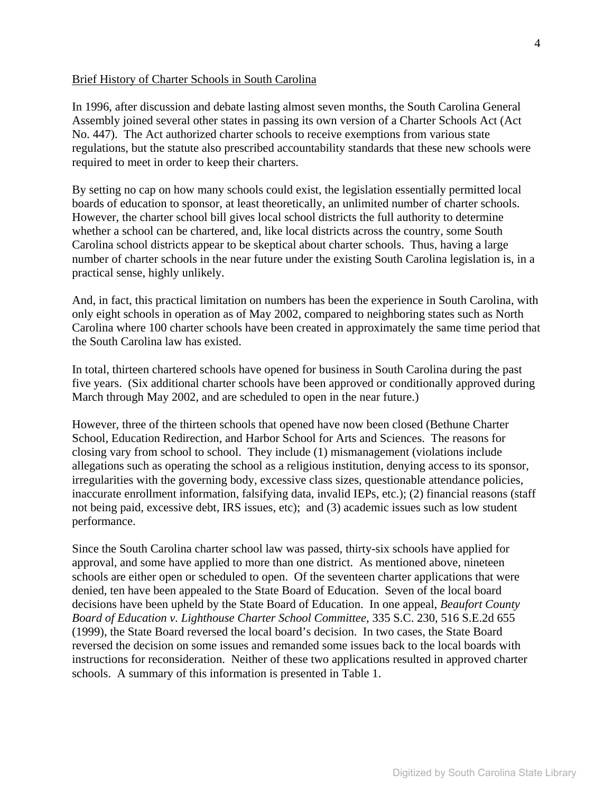#### Brief History of Charter Schools in South Carolina

In 1996, after discussion and debate lasting almost seven months, the South Carolina General Assembly joined several other states in passing its own version of a Charter Schools Act (Act No. 447). The Act authorized charter schools to receive exemptions from various state regulations, but the statute also prescribed accountability standards that these new schools were required to meet in order to keep their charters.

By setting no cap on how many schools could exist, the legislation essentially permitted local boards of education to sponsor, at least theoretically, an unlimited number of charter schools. However, the charter school bill gives local school districts the full authority to determine whether a school can be chartered, and, like local districts across the country, some South Carolina school districts appear to be skeptical about charter schools. Thus, having a large number of charter schools in the near future under the existing South Carolina legislation is, in a practical sense, highly unlikely.

And, in fact, this practical limitation on numbers has been the experience in South Carolina, with only eight schools in operation as of May 2002, compared to neighboring states such as North Carolina where 100 charter schools have been created in approximately the same time period that the South Carolina law has existed.

In total, thirteen chartered schools have opened for business in South Carolina during the past five years. (Six additional charter schools have been approved or conditionally approved during March through May 2002, and are scheduled to open in the near future.)

However, three of the thirteen schools that opened have now been closed (Bethune Charter School, Education Redirection, and Harbor School for Arts and Sciences. The reasons for closing vary from school to school. They include (1) mismanagement (violations include allegations such as operating the school as a religious institution, denying access to its sponsor, irregularities with the governing body, excessive class sizes, questionable attendance policies, inaccurate enrollment information, falsifying data, invalid IEPs, etc.); (2) financial reasons (staff not being paid, excessive debt, IRS issues, etc); and (3) academic issues such as low student performance.

Since the South Carolina charter school law was passed, thirty-six schools have applied for approval, and some have applied to more than one district. As mentioned above, nineteen schools are either open or scheduled to open. Of the seventeen charter applications that were denied, ten have been appealed to the State Board of Education. Seven of the local board decisions have been upheld by the State Board of Education. In one appeal, *Beaufort County Board of Education v. Lighthouse Charter School Committee*, 335 S.C. 230, 516 S.E.2d 655 (1999), the State Board reversed the local board's decision. In two cases, the State Board reversed the decision on some issues and remanded some issues back to the local boards with instructions for reconsideration. Neither of these two applications resulted in approved charter schools. A summary of this information is presented in Table 1.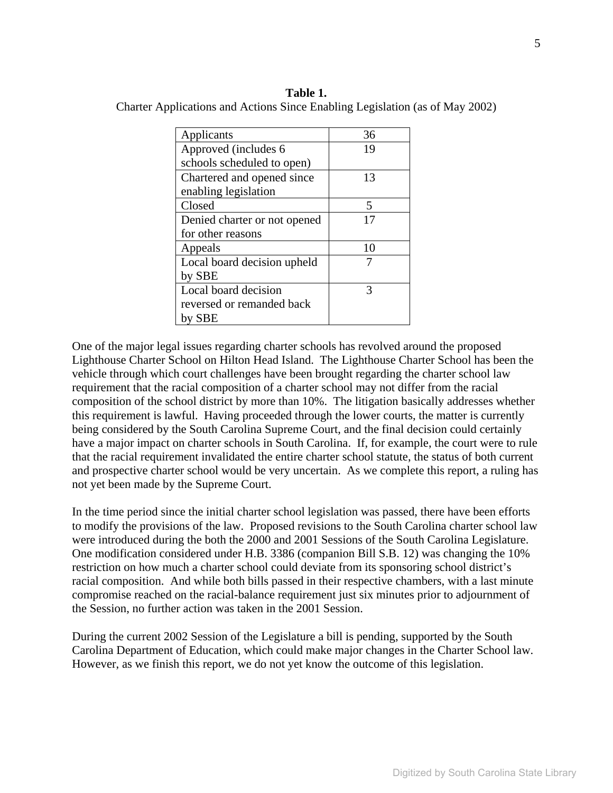**Table 1.**  Charter Applications and Actions Since Enabling Legislation (as of May 2002)

| Applicants                   | 36 |
|------------------------------|----|
| Approved (includes 6)        | 19 |
| schools scheduled to open)   |    |
| Chartered and opened since   | 13 |
| enabling legislation         |    |
| Closed                       | 5  |
| Denied charter or not opened | 17 |
| for other reasons            |    |
| Appeals                      | 10 |
| Local board decision upheld  | 7  |
| by SBE                       |    |
| Local board decision         | 3  |
| reversed or remanded back    |    |
| by SBE                       |    |

One of the major legal issues regarding charter schools has revolved around the proposed Lighthouse Charter School on Hilton Head Island. The Lighthouse Charter School has been the vehicle through which court challenges have been brought regarding the charter school law requirement that the racial composition of a charter school may not differ from the racial composition of the school district by more than 10%. The litigation basically addresses whether this requirement is lawful. Having proceeded through the lower courts, the matter is currently being considered by the South Carolina Supreme Court, and the final decision could certainly have a major impact on charter schools in South Carolina. If, for example, the court were to rule that the racial requirement invalidated the entire charter school statute, the status of both current and prospective charter school would be very uncertain. As we complete this report, a ruling has not yet been made by the Supreme Court.

In the time period since the initial charter school legislation was passed, there have been efforts to modify the provisions of the law. Proposed revisions to the South Carolina charter school law were introduced during the both the 2000 and 2001 Sessions of the South Carolina Legislature. One modification considered under H.B. 3386 (companion Bill S.B. 12) was changing the 10% restriction on how much a charter school could deviate from its sponsoring school district's racial composition. And while both bills passed in their respective chambers, with a last minute compromise reached on the racial-balance requirement just six minutes prior to adjournment of the Session, no further action was taken in the 2001 Session.

During the current 2002 Session of the Legislature a bill is pending, supported by the South Carolina Department of Education, which could make major changes in the Charter School law. However, as we finish this report, we do not yet know the outcome of this legislation.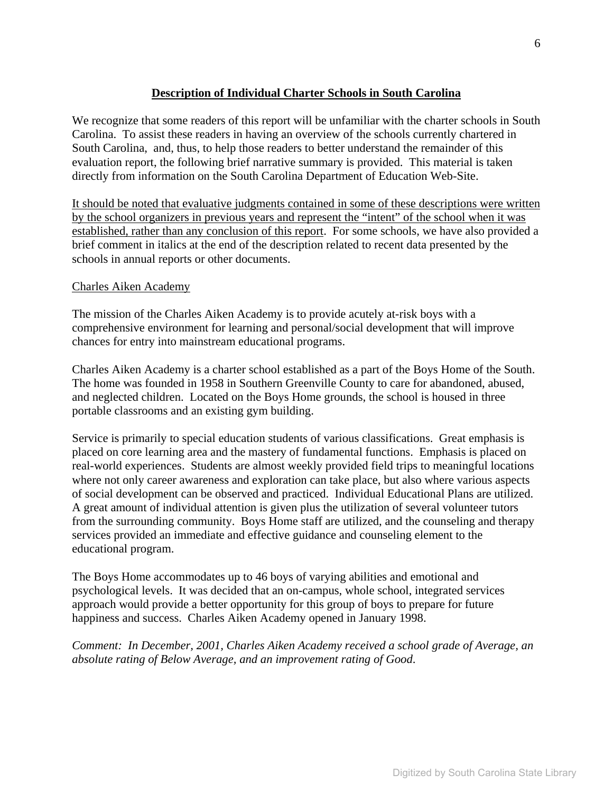# **Description of Individual Charter Schools in South Carolina**

We recognize that some readers of this report will be unfamiliar with the charter schools in South Carolina. To assist these readers in having an overview of the schools currently chartered in South Carolina, and, thus, to help those readers to better understand the remainder of this evaluation report, the following brief narrative summary is provided. This material is taken directly from information on the South Carolina Department of Education Web-Site.

It should be noted that evaluative judgments contained in some of these descriptions were written by the school organizers in previous years and represent the "intent" of the school when it was established, rather than any conclusion of this report. For some schools, we have also provided a brief comment in italics at the end of the description related to recent data presented by the schools in annual reports or other documents.

#### Charles Aiken Academy

The mission of the Charles Aiken Academy is to provide acutely at-risk boys with a comprehensive environment for learning and personal/social development that will improve chances for entry into mainstream educational programs.

Charles Aiken Academy is a charter school established as a part of the Boys Home of the South. The home was founded in 1958 in Southern Greenville County to care for abandoned, abused, and neglected children. Located on the Boys Home grounds, the school is housed in three portable classrooms and an existing gym building.

Service is primarily to special education students of various classifications. Great emphasis is placed on core learning area and the mastery of fundamental functions. Emphasis is placed on real-world experiences. Students are almost weekly provided field trips to meaningful locations where not only career awareness and exploration can take place, but also where various aspects of social development can be observed and practiced. Individual Educational Plans are utilized. A great amount of individual attention is given plus the utilization of several volunteer tutors from the surrounding community. Boys Home staff are utilized, and the counseling and therapy services provided an immediate and effective guidance and counseling element to the educational program.

The Boys Home accommodates up to 46 boys of varying abilities and emotional and psychological levels. It was decided that an on-campus, whole school, integrated services approach would provide a better opportunity for this group of boys to prepare for future happiness and success. Charles Aiken Academy opened in January 1998.

*Comment: In December, 2001, Charles Aiken Academy received a school grade of Average, an absolute rating of Below Average, and an improvement rating of Good*.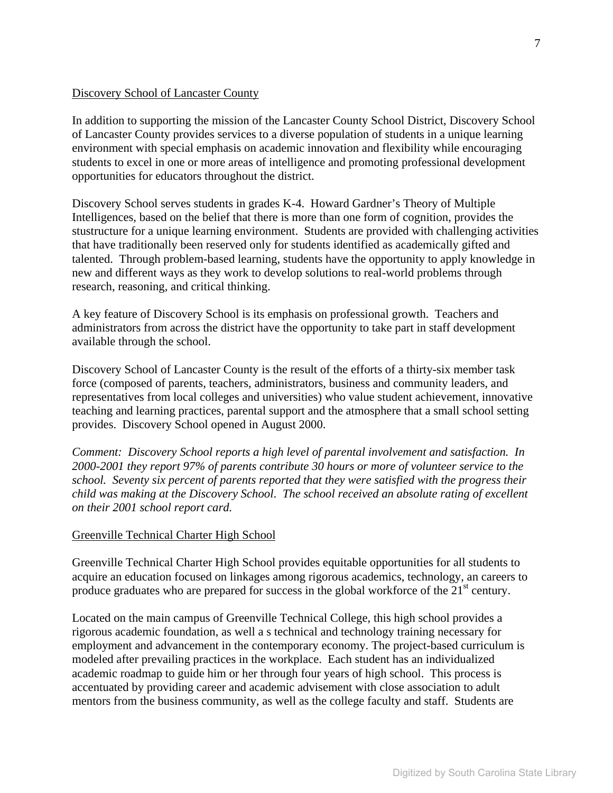#### Discovery School of Lancaster County

In addition to supporting the mission of the Lancaster County School District, Discovery School of Lancaster County provides services to a diverse population of students in a unique learning environment with special emphasis on academic innovation and flexibility while encouraging students to excel in one or more areas of intelligence and promoting professional development opportunities for educators throughout the district.

Discovery School serves students in grades K-4. Howard Gardner's Theory of Multiple Intelligences, based on the belief that there is more than one form of cognition, provides the stustructure for a unique learning environment. Students are provided with challenging activities that have traditionally been reserved only for students identified as academically gifted and talented. Through problem-based learning, students have the opportunity to apply knowledge in new and different ways as they work to develop solutions to real-world problems through research, reasoning, and critical thinking.

A key feature of Discovery School is its emphasis on professional growth. Teachers and administrators from across the district have the opportunity to take part in staff development available through the school.

Discovery School of Lancaster County is the result of the efforts of a thirty-six member task force (composed of parents, teachers, administrators, business and community leaders, and representatives from local colleges and universities) who value student achievement, innovative teaching and learning practices, parental support and the atmosphere that a small school setting provides. Discovery School opened in August 2000.

*Comment: Discovery School reports a high level of parental involvement and satisfaction. In 2000-2001 they report 97% of parents contribute 30 hours or more of volunteer service to the school. Seventy six percent of parents reported that they were satisfied with the progress their child was making at the Discovery School*. *The school received an absolute rating of excellent on their 2001 school report card.* 

#### Greenville Technical Charter High School

Greenville Technical Charter High School provides equitable opportunities for all students to acquire an education focused on linkages among rigorous academics, technology, an careers to produce graduates who are prepared for success in the global workforce of the  $21<sup>st</sup>$  century.

Located on the main campus of Greenville Technical College, this high school provides a rigorous academic foundation, as well a s technical and technology training necessary for employment and advancement in the contemporary economy. The project-based curriculum is modeled after prevailing practices in the workplace. Each student has an individualized academic roadmap to guide him or her through four years of high school. This process is accentuated by providing career and academic advisement with close association to adult mentors from the business community, as well as the college faculty and staff. Students are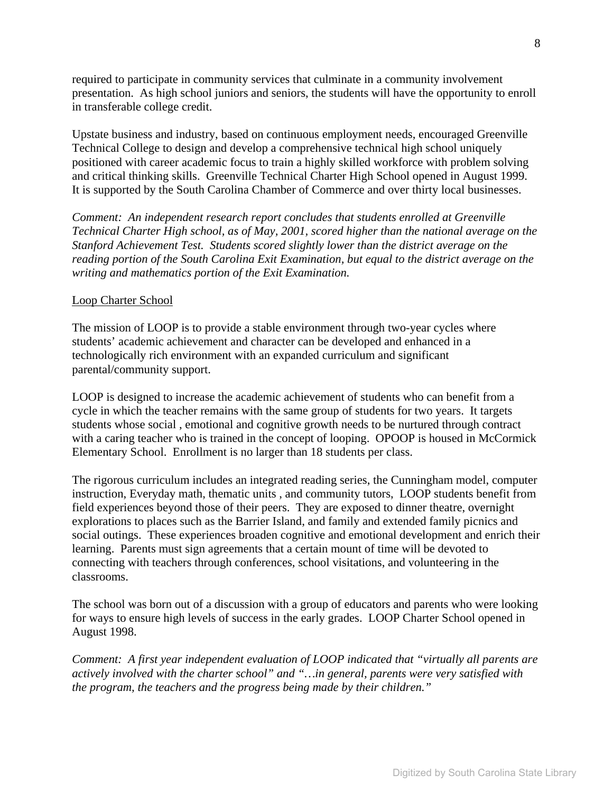required to participate in community services that culminate in a community involvement presentation. As high school juniors and seniors, the students will have the opportunity to enroll in transferable college credit.

Upstate business and industry, based on continuous employment needs, encouraged Greenville Technical College to design and develop a comprehensive technical high school uniquely positioned with career academic focus to train a highly skilled workforce with problem solving and critical thinking skills. Greenville Technical Charter High School opened in August 1999. It is supported by the South Carolina Chamber of Commerce and over thirty local businesses.

*Comment: An independent research report concludes that students enrolled at Greenville Technical Charter High school, as of May, 2001, scored higher than the national average on the Stanford Achievement Test. Students scored slightly lower than the district average on the reading portion of the South Carolina Exit Examination, but equal to the district average on the writing and mathematics portion of the Exit Examination.* 

#### Loop Charter School

The mission of LOOP is to provide a stable environment through two-year cycles where students' academic achievement and character can be developed and enhanced in a technologically rich environment with an expanded curriculum and significant parental/community support.

LOOP is designed to increase the academic achievement of students who can benefit from a cycle in which the teacher remains with the same group of students for two years. It targets students whose social , emotional and cognitive growth needs to be nurtured through contract with a caring teacher who is trained in the concept of looping. OPOOP is housed in McCormick Elementary School. Enrollment is no larger than 18 students per class.

The rigorous curriculum includes an integrated reading series, the Cunningham model, computer instruction, Everyday math, thematic units , and community tutors, LOOP students benefit from field experiences beyond those of their peers. They are exposed to dinner theatre, overnight explorations to places such as the Barrier Island, and family and extended family picnics and social outings. These experiences broaden cognitive and emotional development and enrich their learning. Parents must sign agreements that a certain mount of time will be devoted to connecting with teachers through conferences, school visitations, and volunteering in the classrooms.

The school was born out of a discussion with a group of educators and parents who were looking for ways to ensure high levels of success in the early grades. LOOP Charter School opened in August 1998.

*Comment: A first year independent evaluation of LOOP indicated that "virtually all parents are actively involved with the charter school" and "…in general, parents were very satisfied with the program, the teachers and the progress being made by their children."*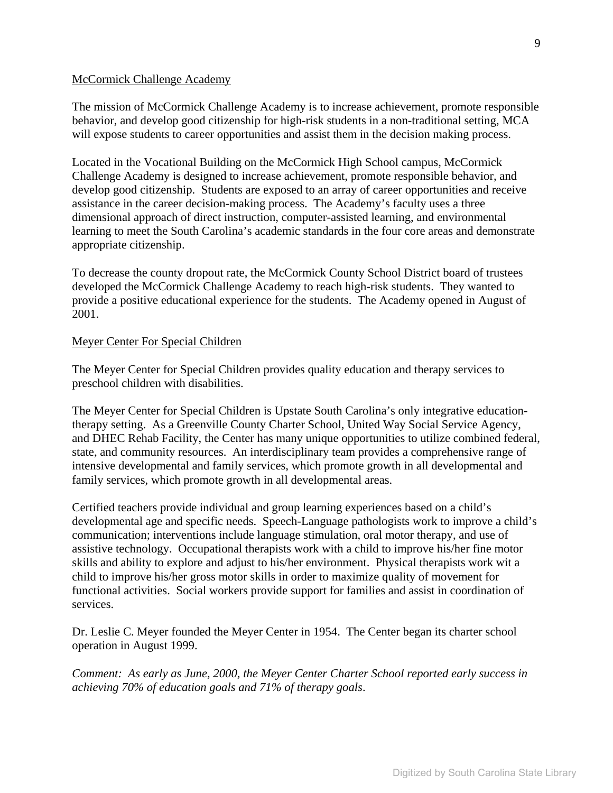#### McCormick Challenge Academy

The mission of McCormick Challenge Academy is to increase achievement, promote responsible behavior, and develop good citizenship for high-risk students in a non-traditional setting, MCA will expose students to career opportunities and assist them in the decision making process.

Located in the Vocational Building on the McCormick High School campus, McCormick Challenge Academy is designed to increase achievement, promote responsible behavior, and develop good citizenship. Students are exposed to an array of career opportunities and receive assistance in the career decision-making process. The Academy's faculty uses a three dimensional approach of direct instruction, computer-assisted learning, and environmental learning to meet the South Carolina's academic standards in the four core areas and demonstrate appropriate citizenship.

To decrease the county dropout rate, the McCormick County School District board of trustees developed the McCormick Challenge Academy to reach high-risk students. They wanted to provide a positive educational experience for the students. The Academy opened in August of 2001.

#### Meyer Center For Special Children

The Meyer Center for Special Children provides quality education and therapy services to preschool children with disabilities.

The Meyer Center for Special Children is Upstate South Carolina's only integrative educationtherapy setting. As a Greenville County Charter School, United Way Social Service Agency, and DHEC Rehab Facility, the Center has many unique opportunities to utilize combined federal, state, and community resources. An interdisciplinary team provides a comprehensive range of intensive developmental and family services, which promote growth in all developmental and family services, which promote growth in all developmental areas.

Certified teachers provide individual and group learning experiences based on a child's developmental age and specific needs. Speech-Language pathologists work to improve a child's communication; interventions include language stimulation, oral motor therapy, and use of assistive technology. Occupational therapists work with a child to improve his/her fine motor skills and ability to explore and adjust to his/her environment. Physical therapists work wit a child to improve his/her gross motor skills in order to maximize quality of movement for functional activities. Social workers provide support for families and assist in coordination of services.

Dr. Leslie C. Meyer founded the Meyer Center in 1954. The Center began its charter school operation in August 1999.

*Comment: As early as June, 2000, the Meyer Center Charter School reported early success in achieving 70% of education goals and 71% of therapy goals*.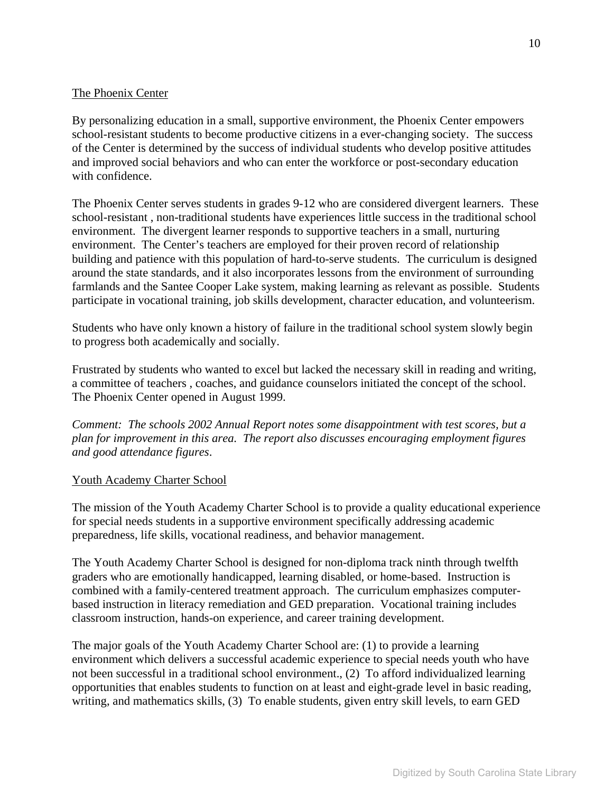# The Phoenix Center

By personalizing education in a small, supportive environment, the Phoenix Center empowers school-resistant students to become productive citizens in a ever-changing society. The success of the Center is determined by the success of individual students who develop positive attitudes and improved social behaviors and who can enter the workforce or post-secondary education with confidence.

The Phoenix Center serves students in grades 9-12 who are considered divergent learners. These school-resistant , non-traditional students have experiences little success in the traditional school environment. The divergent learner responds to supportive teachers in a small, nurturing environment. The Center's teachers are employed for their proven record of relationship building and patience with this population of hard-to-serve students. The curriculum is designed around the state standards, and it also incorporates lessons from the environment of surrounding farmlands and the Santee Cooper Lake system, making learning as relevant as possible. Students participate in vocational training, job skills development, character education, and volunteerism.

Students who have only known a history of failure in the traditional school system slowly begin to progress both academically and socially.

Frustrated by students who wanted to excel but lacked the necessary skill in reading and writing, a committee of teachers , coaches, and guidance counselors initiated the concept of the school. The Phoenix Center opened in August 1999.

*Comment: The schools 2002 Annual Report notes some disappointment with test scores, but a plan for improvement in this area. The report also discusses encouraging employment figures and good attendance figures*.

#### Youth Academy Charter School

The mission of the Youth Academy Charter School is to provide a quality educational experience for special needs students in a supportive environment specifically addressing academic preparedness, life skills, vocational readiness, and behavior management.

The Youth Academy Charter School is designed for non-diploma track ninth through twelfth graders who are emotionally handicapped, learning disabled, or home-based. Instruction is combined with a family-centered treatment approach. The curriculum emphasizes computerbased instruction in literacy remediation and GED preparation. Vocational training includes classroom instruction, hands-on experience, and career training development.

The major goals of the Youth Academy Charter School are: (1) to provide a learning environment which delivers a successful academic experience to special needs youth who have not been successful in a traditional school environment., (2) To afford individualized learning opportunities that enables students to function on at least and eight-grade level in basic reading, writing, and mathematics skills, (3) To enable students, given entry skill levels, to earn GED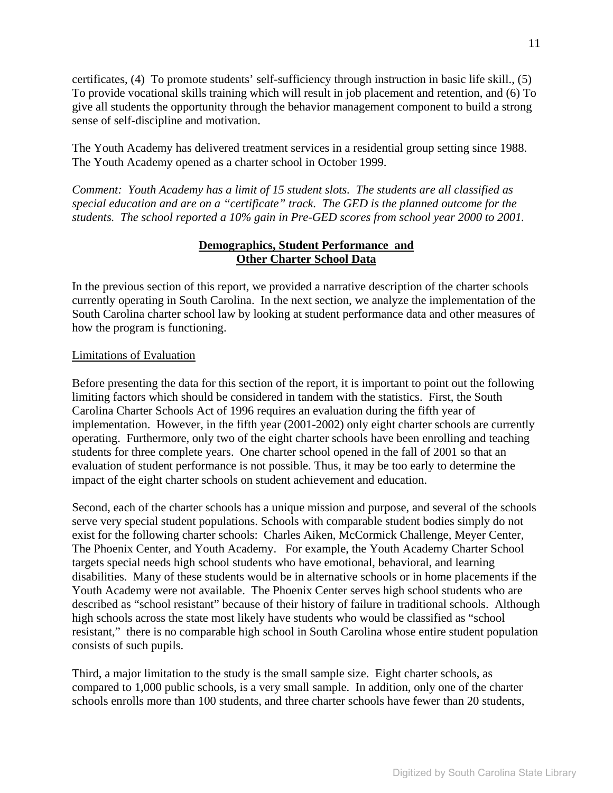certificates, (4) To promote students' self-sufficiency through instruction in basic life skill., (5) To provide vocational skills training which will result in job placement and retention, and (6) To give all students the opportunity through the behavior management component to build a strong sense of self-discipline and motivation.

The Youth Academy has delivered treatment services in a residential group setting since 1988. The Youth Academy opened as a charter school in October 1999.

*Comment: Youth Academy has a limit of 15 student slots. The students are all classified as special education and are on a "certificate" track. The GED is the planned outcome for the students. The school reported a 10% gain in Pre-GED scores from school year 2000 to 2001.* 

# **Demographics, Student Performance and Other Charter School Data**

In the previous section of this report, we provided a narrative description of the charter schools currently operating in South Carolina. In the next section, we analyze the implementation of the South Carolina charter school law by looking at student performance data and other measures of how the program is functioning.

#### Limitations of Evaluation

Before presenting the data for this section of the report, it is important to point out the following limiting factors which should be considered in tandem with the statistics. First, the South Carolina Charter Schools Act of 1996 requires an evaluation during the fifth year of implementation. However, in the fifth year (2001-2002) only eight charter schools are currently operating. Furthermore, only two of the eight charter schools have been enrolling and teaching students for three complete years. One charter school opened in the fall of 2001 so that an evaluation of student performance is not possible. Thus, it may be too early to determine the impact of the eight charter schools on student achievement and education.

Second, each of the charter schools has a unique mission and purpose, and several of the schools serve very special student populations. Schools with comparable student bodies simply do not exist for the following charter schools: Charles Aiken, McCormick Challenge, Meyer Center, The Phoenix Center, and Youth Academy. For example, the Youth Academy Charter School targets special needs high school students who have emotional, behavioral, and learning disabilities. Many of these students would be in alternative schools or in home placements if the Youth Academy were not available. The Phoenix Center serves high school students who are described as "school resistant" because of their history of failure in traditional schools. Although high schools across the state most likely have students who would be classified as "school resistant," there is no comparable high school in South Carolina whose entire student population consists of such pupils.

Third, a major limitation to the study is the small sample size. Eight charter schools, as compared to 1,000 public schools, is a very small sample. In addition, only one of the charter schools enrolls more than 100 students, and three charter schools have fewer than 20 students,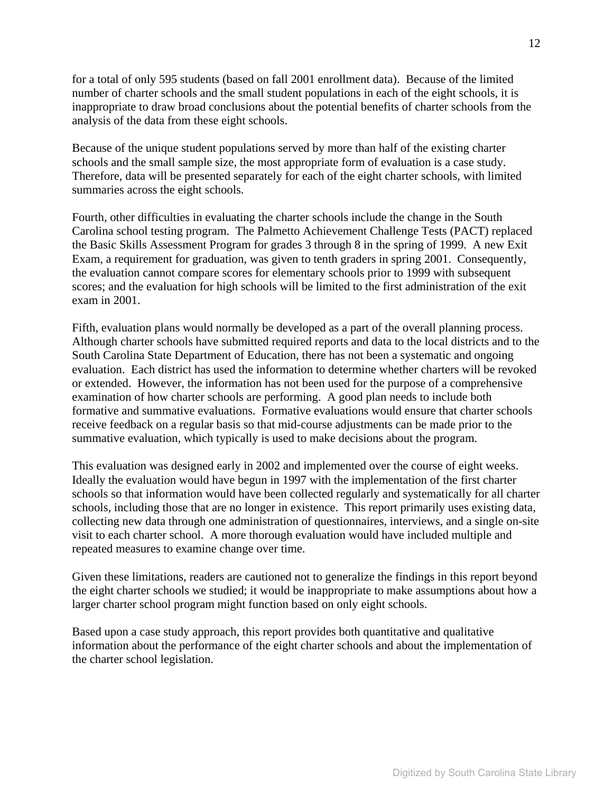for a total of only 595 students (based on fall 2001 enrollment data). Because of the limited number of charter schools and the small student populations in each of the eight schools, it is inappropriate to draw broad conclusions about the potential benefits of charter schools from the analysis of the data from these eight schools.

Because of the unique student populations served by more than half of the existing charter schools and the small sample size, the most appropriate form of evaluation is a case study. Therefore, data will be presented separately for each of the eight charter schools, with limited summaries across the eight schools.

Fourth, other difficulties in evaluating the charter schools include the change in the South Carolina school testing program. The Palmetto Achievement Challenge Tests (PACT) replaced the Basic Skills Assessment Program for grades 3 through 8 in the spring of 1999. A new Exit Exam, a requirement for graduation, was given to tenth graders in spring 2001. Consequently, the evaluation cannot compare scores for elementary schools prior to 1999 with subsequent scores; and the evaluation for high schools will be limited to the first administration of the exit exam in 2001.

Fifth, evaluation plans would normally be developed as a part of the overall planning process. Although charter schools have submitted required reports and data to the local districts and to the South Carolina State Department of Education, there has not been a systematic and ongoing evaluation. Each district has used the information to determine whether charters will be revoked or extended. However, the information has not been used for the purpose of a comprehensive examination of how charter schools are performing. A good plan needs to include both formative and summative evaluations. Formative evaluations would ensure that charter schools receive feedback on a regular basis so that mid-course adjustments can be made prior to the summative evaluation, which typically is used to make decisions about the program.

This evaluation was designed early in 2002 and implemented over the course of eight weeks. Ideally the evaluation would have begun in 1997 with the implementation of the first charter schools so that information would have been collected regularly and systematically for all charter schools, including those that are no longer in existence. This report primarily uses existing data, collecting new data through one administration of questionnaires, interviews, and a single on-site visit to each charter school. A more thorough evaluation would have included multiple and repeated measures to examine change over time.

Given these limitations, readers are cautioned not to generalize the findings in this report beyond the eight charter schools we studied; it would be inappropriate to make assumptions about how a larger charter school program might function based on only eight schools.

Based upon a case study approach, this report provides both quantitative and qualitative information about the performance of the eight charter schools and about the implementation of the charter school legislation.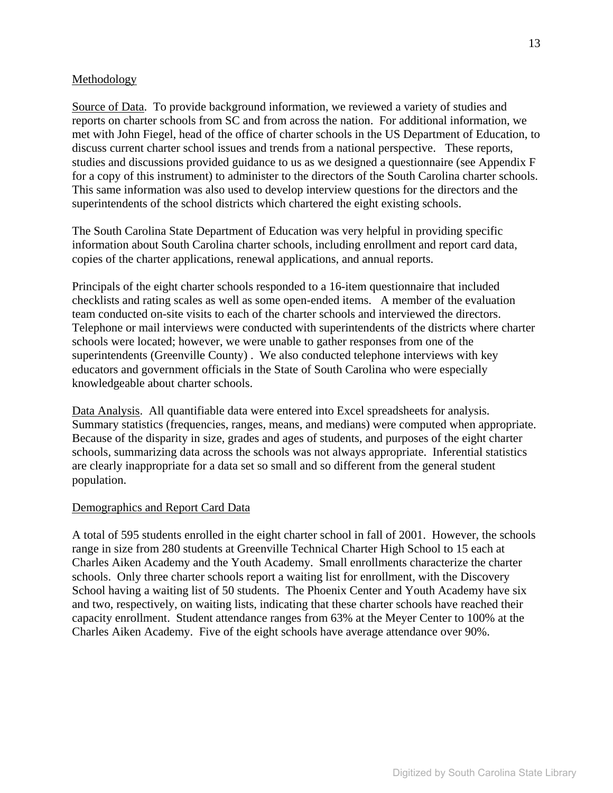#### **Methodology**

Source of Data.To provide background information, we reviewed a variety of studies and reports on charter schools from SC and from across the nation. For additional information, we met with John Fiegel, head of the office of charter schools in the US Department of Education, to discuss current charter school issues and trends from a national perspective. These reports, studies and discussions provided guidance to us as we designed a questionnaire (see Appendix F for a copy of this instrument) to administer to the directors of the South Carolina charter schools. This same information was also used to develop interview questions for the directors and the superintendents of the school districts which chartered the eight existing schools.

The South Carolina State Department of Education was very helpful in providing specific information about South Carolina charter schools, including enrollment and report card data, copies of the charter applications, renewal applications, and annual reports.

Principals of the eight charter schools responded to a 16-item questionnaire that included checklists and rating scales as well as some open-ended items. A member of the evaluation team conducted on-site visits to each of the charter schools and interviewed the directors. Telephone or mail interviews were conducted with superintendents of the districts where charter schools were located; however, we were unable to gather responses from one of the superintendents (Greenville County) . We also conducted telephone interviews with key educators and government officials in the State of South Carolina who were especially knowledgeable about charter schools.

Data Analysis.All quantifiable data were entered into Excel spreadsheets for analysis. Summary statistics (frequencies, ranges, means, and medians) were computed when appropriate. Because of the disparity in size, grades and ages of students, and purposes of the eight charter schools, summarizing data across the schools was not always appropriate. Inferential statistics are clearly inappropriate for a data set so small and so different from the general student population.

# Demographics and Report Card Data

A total of 595 students enrolled in the eight charter school in fall of 2001. However, the schools range in size from 280 students at Greenville Technical Charter High School to 15 each at Charles Aiken Academy and the Youth Academy. Small enrollments characterize the charter schools. Only three charter schools report a waiting list for enrollment, with the Discovery School having a waiting list of 50 students. The Phoenix Center and Youth Academy have six and two, respectively, on waiting lists, indicating that these charter schools have reached their capacity enrollment. Student attendance ranges from 63% at the Meyer Center to 100% at the Charles Aiken Academy. Five of the eight schools have average attendance over 90%.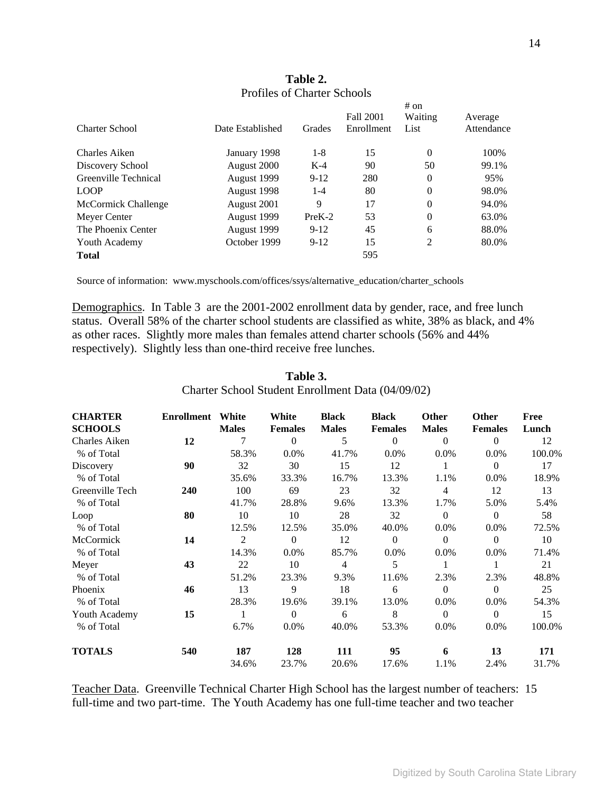| <b>Charter School</b> | Date Established | Grades   | <b>Fall 2001</b><br>Enrollment | # on<br>Waiting<br>List | Average<br>Attendance |
|-----------------------|------------------|----------|--------------------------------|-------------------------|-----------------------|
| Charles Aiken         | January 1998     | $1 - 8$  | 15                             | $\Omega$                | 100\%                 |
| Discovery School      | August 2000      | $K-4$    | 90                             | 50                      | 99.1%                 |
| Greenville Technical  | August 1999      | $9-12$   | 280                            | 0                       | 95%                   |
| <b>LOOP</b>           | August 1998      | $1-4$    | 80                             | $\theta$                | 98.0%                 |
| McCormick Challenge   | August 2001      | 9        | 17                             | $\theta$                | 94.0%                 |
| Meyer Center          | August 1999      | $PreK-2$ | 53                             | $\theta$                | 63.0%                 |
| The Phoenix Center    | August 1999      | $9-12$   | 45                             | 6                       | 88.0%                 |
| Youth Academy         | October 1999     | $9-12$   | 15                             | 2                       | 80.0%                 |
| <b>Total</b>          |                  |          | 595                            |                         |                       |

# **Table 2.**  Profiles of Charter Schools

Source of information: www.myschools.com/offices/ssys/alternative\_education/charter\_schools

Demographics. In Table 3 are the 2001-2002 enrollment data by gender, race, and free lunch status. Overall 58% of the charter school students are classified as white, 38% as black, and 4% as other races. Slightly more males than females attend charter schools (56% and 44% respectively). Slightly less than one-third receive free lunches.

| <b>CHARTER</b>  | <b>Enrollment</b> | White        | White          | <b>Black</b> | <b>Black</b>   | Other          | <b>Other</b>   | Free   |
|-----------------|-------------------|--------------|----------------|--------------|----------------|----------------|----------------|--------|
| <b>SCHOOLS</b>  |                   | <b>Males</b> | <b>Females</b> | <b>Males</b> | <b>Females</b> | <b>Males</b>   | <b>Females</b> | Lunch  |
| Charles Aiken   | 12                |              | $\Omega$       | 5            | $\Omega$       | $\Omega$       | $\theta$       | 12     |
| % of Total      |                   | 58.3%        | 0.0%           | 41.7%        | $0.0\%$        | 0.0%           | $0.0\%$        | 100.0% |
| Discovery       | 90                | 32           | 30             | 15           | 12             |                | $\Omega$       | 17     |
| % of Total      |                   | 35.6%        | 33.3%          | 16.7%        | 13.3%          | 1.1%           | 0.0%           | 18.9%  |
| Greenville Tech | 240               | 100          | 69             | 23           | 32             | $\overline{4}$ | 12             | 13     |
| % of Total      |                   | 41.7%        | 28.8%          | 9.6%         | 13.3%          | 1.7%           | 5.0%           | 5.4%   |
| Loop            | 80                | 10           | 10             | 28           | 32             | $\Omega$       | $\mathbf{0}$   | 58     |
| % of Total      |                   | 12.5%        | 12.5%          | 35.0%        | 40.0%          | $0.0\%$        | $0.0\%$        | 72.5%  |
| McCormick       | 14                | 2            | $\Omega$       | 12           | $\Omega$       | $\Omega$       | $\theta$       | 10     |
| % of Total      |                   | 14.3%        | $0.0\%$        | 85.7%        | $0.0\%$        | $0.0\%$        | $0.0\%$        | 71.4%  |
| Meyer           | 43                | 22           | 10             | 4            | 5              |                |                | 21     |
| % of Total      |                   | 51.2%        | 23.3%          | 9.3%         | 11.6%          | 2.3%           | 2.3%           | 48.8%  |
| Phoenix         | 46                | 13           | 9              | 18           | 6              | $\Omega$       | $\Omega$       | 25     |
| % of Total      |                   | 28.3%        | 19.6%          | 39.1%        | 13.0%          | $0.0\%$        | $0.0\%$        | 54.3%  |
| Youth Academy   | 15                | 1            | $\Omega$       | 6            | 8              | $\Omega$       | $\Omega$       | 15     |
| % of Total      |                   | 6.7%         | 0.0%           | 40.0%        | 53.3%          | 0.0%           | 0.0%           | 100.0% |
| <b>TOTALS</b>   | 540               | 187          | 128            | 111          | 95             | 6              | 13             | 171    |
|                 |                   | 34.6%        | 23.7%          | 20.6%        | 17.6%          | 1.1%           | 2.4%           | 31.7%  |

# **Table 3.**  Charter School Student Enrollment Data (04/09/02)

Teacher Data.Greenville Technical Charter High School has the largest number of teachers: 15 full-time and two part-time. The Youth Academy has one full-time teacher and two teacher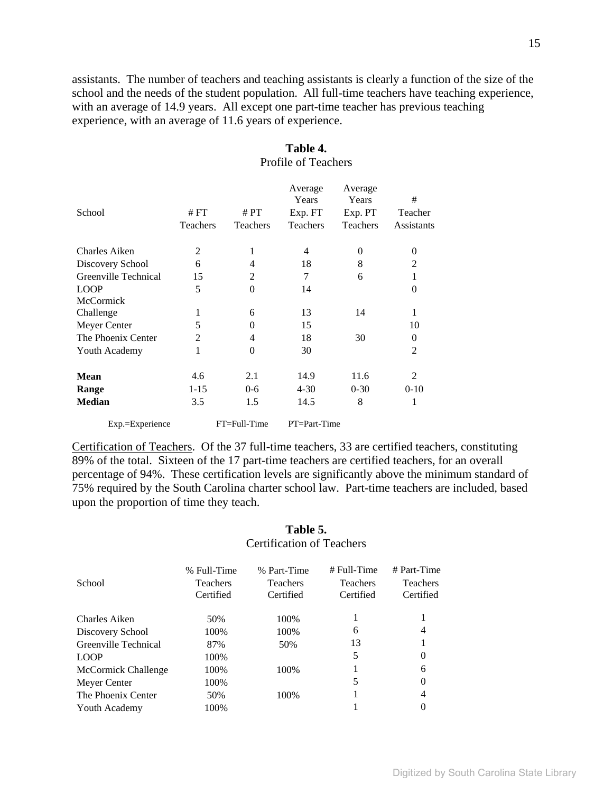assistants. The number of teachers and teaching assistants is clearly a function of the size of the school and the needs of the student population. All full-time teachers have teaching experience, with an average of 14.9 years. All except one part-time teacher has previous teaching experience, with an average of 11.6 years of experience.

| School               | # FT<br>Teachers | # $PT$<br><b>Teachers</b> | Average<br>Years<br>Exp. FT<br><b>Teachers</b> | Average<br>Years<br>Exp. PT<br><b>Teachers</b> | #<br>Teacher<br>Assistants |
|----------------------|------------------|---------------------------|------------------------------------------------|------------------------------------------------|----------------------------|
| Charles Aiken        | 2                | 1                         | 4                                              | $\Omega$                                       | $\theta$                   |
| Discovery School     | 6                | 4                         | 18                                             | 8                                              | 2                          |
| Greenville Technical | 15               | 2                         | 7                                              | 6                                              | 1                          |
| <b>LOOP</b>          | 5                | $\theta$                  | 14                                             |                                                | 0                          |
| <b>McCormick</b>     |                  |                           |                                                |                                                |                            |
| Challenge            | 1                | 6                         | 13                                             | 14                                             | 1                          |
| Meyer Center         | 5                | $\theta$                  | 15                                             |                                                | 10                         |
| The Phoenix Center   | 2                | 4                         | 18                                             | 30                                             | $\Omega$                   |
| Youth Academy        | 1                | $\Omega$                  | 30                                             |                                                | 2                          |
| <b>Mean</b>          | 4.6              | 2.1                       | 14.9                                           | 11.6                                           | $\overline{2}$             |
| Range                | $1 - 15$         | $0 - 6$                   | $4 - 30$                                       | $0 - 30$                                       | $0 - 10$                   |
| <b>Median</b>        | 3.5              | 1.5                       | 14.5                                           | 8                                              | 1                          |
| Exp.=Experience      |                  | FT=Full-Time              | PT=Part-Time                                   |                                                |                            |

# **Table 4.**  Profile of Teachers

Certification of Teachers. Of the 37 full-time teachers, 33 are certified teachers, constituting 89% of the total. Sixteen of the 17 part-time teachers are certified teachers, for an overall percentage of 94%. These certification levels are significantly above the minimum standard of 75% required by the South Carolina charter school law. Part-time teachers are included, based upon the proportion of time they teach.

# **Table 5.**  Certification of Teachers

| % Full-Time<br><b>Teachers</b><br>Certified | % Part-Time<br><b>Teachers</b><br>Certified | $#$ Full-Time<br><b>Teachers</b><br>Certified | $# Part-Time$<br><b>Teachers</b><br>Certified |
|---------------------------------------------|---------------------------------------------|-----------------------------------------------|-----------------------------------------------|
| 50%                                         | 100\%                                       |                                               |                                               |
| 100%                                        | 100\%                                       | 6                                             | 4                                             |
| 87%                                         | 50%                                         | 13                                            |                                               |
| 100%                                        |                                             | 5                                             | 0                                             |
| 100%                                        | 100\%                                       |                                               | 6                                             |
| 100%                                        |                                             | 5                                             | 0                                             |
| 50%                                         | 100%                                        |                                               | 4                                             |
| 100%                                        |                                             |                                               | 0                                             |
|                                             |                                             |                                               |                                               |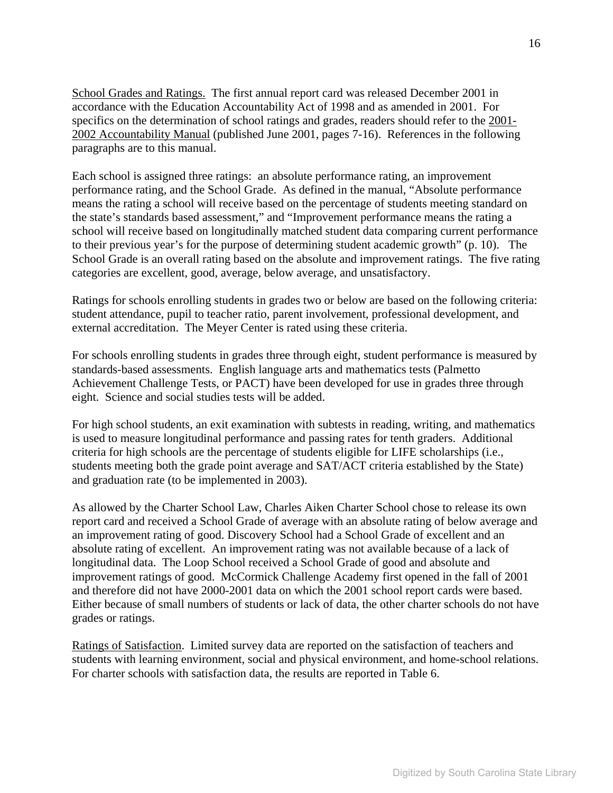School Grades and Ratings. The first annual report card was released December 2001 in accordance with the Education Accountability Act of 1998 and as amended in 2001. For specifics on the determination of school ratings and grades, readers should refer to the 2001-2002 Accountability Manual (published June 2001, pages 7-16). References in the following paragraphs are to this manual.

Each school is assigned three ratings: an absolute performance rating, an improvement performance rating, and the School Grade. As defined in the manual, "Absolute performance means the rating a school will receive based on the percentage of students meeting standard on the state's standards based assessment," and "Improvement performance means the rating a school will receive based on longitudinally matched student data comparing current performance to their previous year's for the purpose of determining student academic growth" (p. 10). The School Grade is an overall rating based on the absolute and improvement ratings. The five rating categories are excellent, good, average, below average, and unsatisfactory.

Ratings for schools enrolling students in grades two or below are based on the following criteria: student attendance, pupil to teacher ratio, parent involvement, professional development, and external accreditation. The Meyer Center is rated using these criteria.

For schools enrolling students in grades three through eight, student performance is measured by standards-based assessments. English language arts and mathematics tests (Palmetto Achievement Challenge Tests, or PACT) have been developed for use in grades three through eight. Science and social studies tests will be added.

For high school students, an exit examination with subtests in reading, writing, and mathematics is used to measure longitudinal performance and passing rates for tenth graders. Additional criteria for high schools are the percentage of students eligible for LIFE scholarships (i.e., students meeting both the grade point average and SAT/ACT criteria established by the State) and graduation rate (to be implemented in 2003).

As allowed by the Charter School Law, Charles Aiken Charter School chose to release its own report card and received a School Grade of average with an absolute rating of below average and an improvement rating of good. Discovery School had a School Grade of excellent and an absolute rating of excellent. An improvement rating was not available because of a lack of longitudinal data. The Loop School received a School Grade of good and absolute and improvement ratings of good. McCormick Challenge Academy first opened in the fall of 2001 and therefore did not have 2000-2001 data on which the 2001 school report cards were based. Either because of small numbers of students or lack of data, the other charter schools do not have grades or ratings.

Ratings of Satisfaction.Limited survey data are reported on the satisfaction of teachers and students with learning environment, social and physical environment, and home-school relations. For charter schools with satisfaction data, the results are reported in Table 6.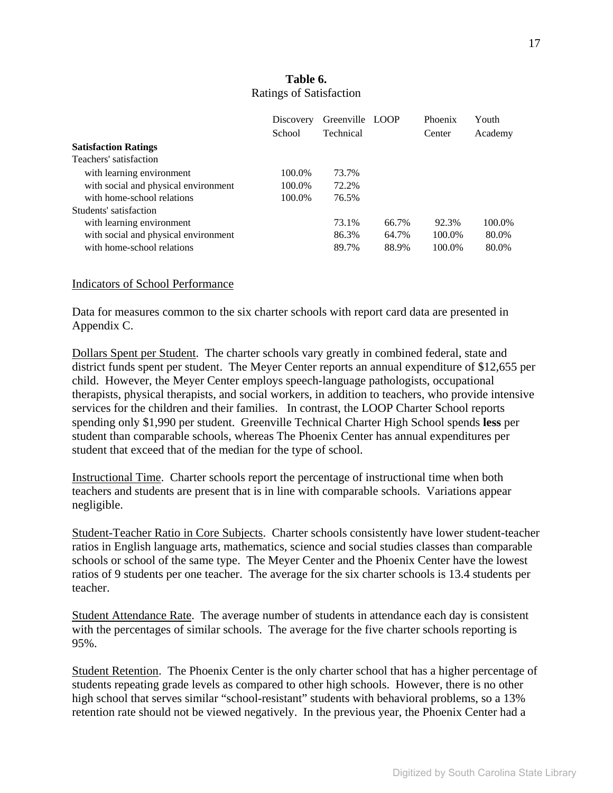|                                      | Discovery | Greenville LOOP |       | Phoenix | Youth   |
|--------------------------------------|-----------|-----------------|-------|---------|---------|
|                                      | School    | Technical       |       | Center  | Academy |
| <b>Satisfaction Ratings</b>          |           |                 |       |         |         |
| Teachers' satisfaction               |           |                 |       |         |         |
| with learning environment            | 100.0%    | 73.7%           |       |         |         |
| with social and physical environment | 100.0%    | 72.2%           |       |         |         |
| with home-school relations           | 100.0%    | 76.5%           |       |         |         |
| Students' satisfaction               |           |                 |       |         |         |
| with learning environment            |           | 73.1%           | 66.7% | 92.3%   | 100.0%  |
| with social and physical environment |           | 86.3%           | 64.7% | 100.0%  | 80.0%   |
| with home-school relations           |           | 89.7%           | 88.9% | 100.0%  | 80.0%   |

# **Table 6.**  Ratings of Satisfaction

#### Indicators of School Performance

Data for measures common to the six charter schools with report card data are presented in Appendix C.

Dollars Spent per Student. The charter schools vary greatly in combined federal, state and district funds spent per student. The Meyer Center reports an annual expenditure of \$12,655 per child. However, the Meyer Center employs speech-language pathologists, occupational therapists, physical therapists, and social workers, in addition to teachers, who provide intensive services for the children and their families. In contrast, the LOOP Charter School reports spending only \$1,990 per student. Greenville Technical Charter High School spends **less** per student than comparable schools, whereas The Phoenix Center has annual expenditures per student that exceed that of the median for the type of school.

Instructional Time.Charter schools report the percentage of instructional time when both teachers and students are present that is in line with comparable schools. Variations appear negligible.

Student-Teacher Ratio in Core Subjects.Charter schools consistently have lower student-teacher ratios in English language arts, mathematics, science and social studies classes than comparable schools or school of the same type. The Meyer Center and the Phoenix Center have the lowest ratios of 9 students per one teacher. The average for the six charter schools is 13.4 students per teacher.

Student Attendance Rate. The average number of students in attendance each day is consistent with the percentages of similar schools. The average for the five charter schools reporting is 95%.

Student Retention. The Phoenix Center is the only charter school that has a higher percentage of students repeating grade levels as compared to other high schools. However, there is no other high school that serves similar "school-resistant" students with behavioral problems, so a 13% retention rate should not be viewed negatively. In the previous year, the Phoenix Center had a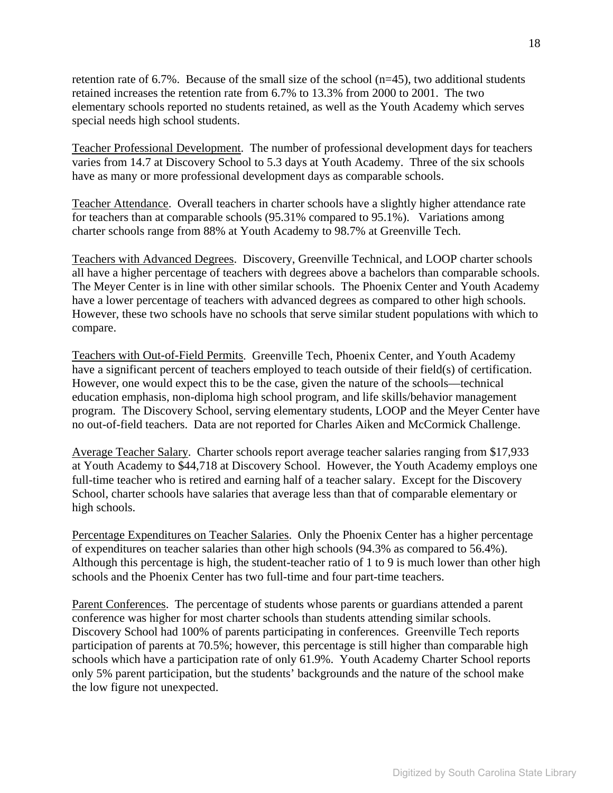retention rate of 6.7%. Because of the small size of the school (n=45), two additional students retained increases the retention rate from 6.7% to 13.3% from 2000 to 2001. The two elementary schools reported no students retained, as well as the Youth Academy which serves special needs high school students.

Teacher Professional Development. The number of professional development days for teachers varies from 14.7 at Discovery School to 5.3 days at Youth Academy. Three of the six schools have as many or more professional development days as comparable schools.

Teacher Attendance. Overall teachers in charter schools have a slightly higher attendance rate for teachers than at comparable schools (95.31% compared to 95.1%). Variations among charter schools range from 88% at Youth Academy to 98.7% at Greenville Tech.

Teachers with Advanced Degrees. Discovery, Greenville Technical, and LOOP charter schools all have a higher percentage of teachers with degrees above a bachelors than comparable schools. The Meyer Center is in line with other similar schools. The Phoenix Center and Youth Academy have a lower percentage of teachers with advanced degrees as compared to other high schools. However, these two schools have no schools that serve similar student populations with which to compare.

Teachers with Out-of-Field Permits. Greenville Tech, Phoenix Center, and Youth Academy have a significant percent of teachers employed to teach outside of their field(s) of certification. However, one would expect this to be the case, given the nature of the schools—technical education emphasis, non-diploma high school program, and life skills/behavior management program. The Discovery School, serving elementary students, LOOP and the Meyer Center have no out-of-field teachers. Data are not reported for Charles Aiken and McCormick Challenge.

Average Teacher Salary. Charter schools report average teacher salaries ranging from \$17,933 at Youth Academy to \$44,718 at Discovery School. However, the Youth Academy employs one full-time teacher who is retired and earning half of a teacher salary. Except for the Discovery School, charter schools have salaries that average less than that of comparable elementary or high schools.

Percentage Expenditures on Teacher Salaries. Only the Phoenix Center has a higher percentage of expenditures on teacher salaries than other high schools (94.3% as compared to 56.4%). Although this percentage is high, the student-teacher ratio of 1 to 9 is much lower than other high schools and the Phoenix Center has two full-time and four part-time teachers.

Parent Conferences. The percentage of students whose parents or guardians attended a parent conference was higher for most charter schools than students attending similar schools. Discovery School had 100% of parents participating in conferences. Greenville Tech reports participation of parents at 70.5%; however, this percentage is still higher than comparable high schools which have a participation rate of only 61.9%. Youth Academy Charter School reports only 5% parent participation, but the students' backgrounds and the nature of the school make the low figure not unexpected.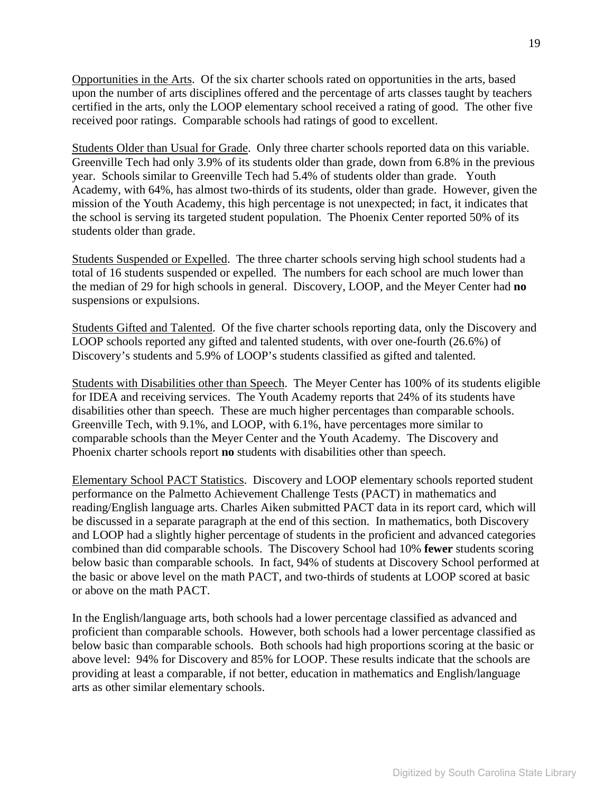Opportunities in the Arts. Of the six charter schools rated on opportunities in the arts, based upon the number of arts disciplines offered and the percentage of arts classes taught by teachers certified in the arts, only the LOOP elementary school received a rating of good. The other five received poor ratings. Comparable schools had ratings of good to excellent.

Students Older than Usual for Grade. Only three charter schools reported data on this variable. Greenville Tech had only 3.9% of its students older than grade, down from 6.8% in the previous year. Schools similar to Greenville Tech had 5.4% of students older than grade. Youth Academy, with 64%, has almost two-thirds of its students, older than grade. However, given the mission of the Youth Academy, this high percentage is not unexpected; in fact, it indicates that the school is serving its targeted student population. The Phoenix Center reported 50% of its students older than grade.

Students Suspended or Expelled. The three charter schools serving high school students had a total of 16 students suspended or expelled. The numbers for each school are much lower than the median of 29 for high schools in general. Discovery, LOOP, and the Meyer Center had **no** suspensions or expulsions.

Students Gifted and Talented. Of the five charter schools reporting data, only the Discovery and LOOP schools reported any gifted and talented students, with over one-fourth (26.6%) of Discovery's students and 5.9% of LOOP's students classified as gifted and talented.

Students with Disabilities other than Speech. The Meyer Center has 100% of its students eligible for IDEA and receiving services. The Youth Academy reports that 24% of its students have disabilities other than speech. These are much higher percentages than comparable schools. Greenville Tech, with 9.1%, and LOOP, with 6.1%, have percentages more similar to comparable schools than the Meyer Center and the Youth Academy. The Discovery and Phoenix charter schools report **no** students with disabilities other than speech.

Elementary School PACT Statistics. Discovery and LOOP elementary schools reported student performance on the Palmetto Achievement Challenge Tests (PACT) in mathematics and reading/English language arts. Charles Aiken submitted PACT data in its report card, which will be discussed in a separate paragraph at the end of this section. In mathematics, both Discovery and LOOP had a slightly higher percentage of students in the proficient and advanced categories combined than did comparable schools. The Discovery School had 10% **fewer** students scoring below basic than comparable schools. In fact, 94% of students at Discovery School performed at the basic or above level on the math PACT, and two-thirds of students at LOOP scored at basic or above on the math PACT.

In the English/language arts, both schools had a lower percentage classified as advanced and proficient than comparable schools. However, both schools had a lower percentage classified as below basic than comparable schools. Both schools had high proportions scoring at the basic or above level: 94% for Discovery and 85% for LOOP. These results indicate that the schools are providing at least a comparable, if not better, education in mathematics and English/language arts as other similar elementary schools.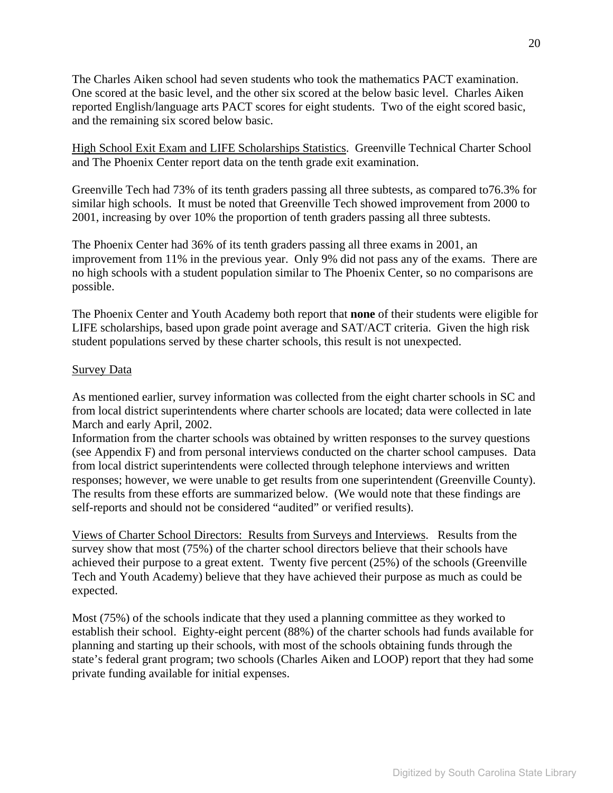The Charles Aiken school had seven students who took the mathematics PACT examination. One scored at the basic level, and the other six scored at the below basic level. Charles Aiken reported English/language arts PACT scores for eight students. Two of the eight scored basic, and the remaining six scored below basic.

High School Exit Exam and LIFE Scholarships Statistics. Greenville Technical Charter School and The Phoenix Center report data on the tenth grade exit examination.

Greenville Tech had 73% of its tenth graders passing all three subtests, as compared to76.3% for similar high schools. It must be noted that Greenville Tech showed improvement from 2000 to 2001, increasing by over 10% the proportion of tenth graders passing all three subtests.

The Phoenix Center had 36% of its tenth graders passing all three exams in 2001, an improvement from 11% in the previous year. Only 9% did not pass any of the exams. There are no high schools with a student population similar to The Phoenix Center, so no comparisons are possible.

The Phoenix Center and Youth Academy both report that **none** of their students were eligible for LIFE scholarships, based upon grade point average and SAT/ACT criteria. Given the high risk student populations served by these charter schools, this result is not unexpected.

#### Survey Data

As mentioned earlier, survey information was collected from the eight charter schools in SC and from local district superintendents where charter schools are located; data were collected in late March and early April, 2002.

Information from the charter schools was obtained by written responses to the survey questions (see Appendix F) and from personal interviews conducted on the charter school campuses. Data from local district superintendents were collected through telephone interviews and written responses; however, we were unable to get results from one superintendent (Greenville County). The results from these efforts are summarized below. (We would note that these findings are self-reports and should not be considered "audited" or verified results).

Views of Charter School Directors: Results from Surveys and Interviews.Results from the survey show that most (75%) of the charter school directors believe that their schools have achieved their purpose to a great extent. Twenty five percent (25%) of the schools (Greenville Tech and Youth Academy) believe that they have achieved their purpose as much as could be expected.

Most (75%) of the schools indicate that they used a planning committee as they worked to establish their school. Eighty-eight percent (88%) of the charter schools had funds available for planning and starting up their schools, with most of the schools obtaining funds through the state's federal grant program; two schools (Charles Aiken and LOOP) report that they had some private funding available for initial expenses.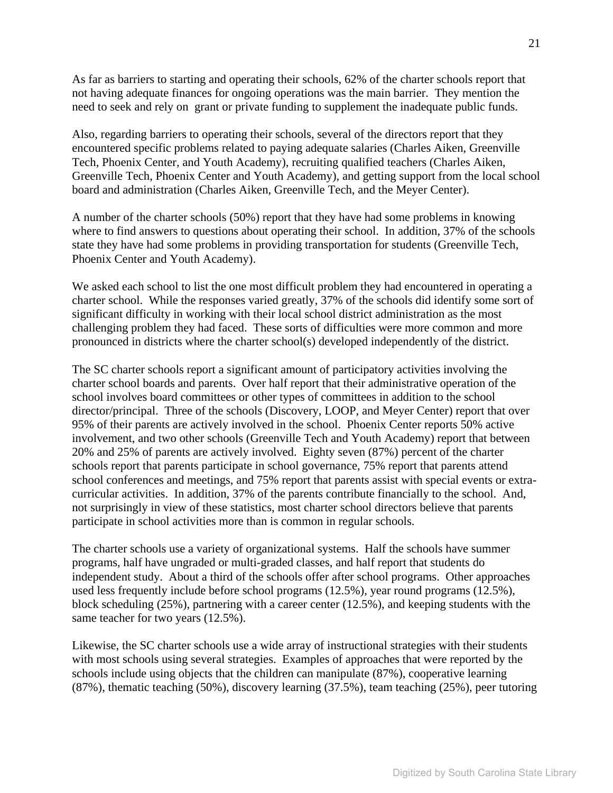As far as barriers to starting and operating their schools, 62% of the charter schools report that not having adequate finances for ongoing operations was the main barrier. They mention the need to seek and rely on grant or private funding to supplement the inadequate public funds.

Also, regarding barriers to operating their schools, several of the directors report that they encountered specific problems related to paying adequate salaries (Charles Aiken, Greenville Tech, Phoenix Center, and Youth Academy), recruiting qualified teachers (Charles Aiken, Greenville Tech, Phoenix Center and Youth Academy), and getting support from the local school board and administration (Charles Aiken, Greenville Tech, and the Meyer Center).

A number of the charter schools (50%) report that they have had some problems in knowing where to find answers to questions about operating their school. In addition, 37% of the schools state they have had some problems in providing transportation for students (Greenville Tech, Phoenix Center and Youth Academy).

We asked each school to list the one most difficult problem they had encountered in operating a charter school. While the responses varied greatly, 37% of the schools did identify some sort of significant difficulty in working with their local school district administration as the most challenging problem they had faced. These sorts of difficulties were more common and more pronounced in districts where the charter school(s) developed independently of the district.

The SC charter schools report a significant amount of participatory activities involving the charter school boards and parents. Over half report that their administrative operation of the school involves board committees or other types of committees in addition to the school director/principal. Three of the schools (Discovery, LOOP, and Meyer Center) report that over 95% of their parents are actively involved in the school. Phoenix Center reports 50% active involvement, and two other schools (Greenville Tech and Youth Academy) report that between 20% and 25% of parents are actively involved. Eighty seven (87%) percent of the charter schools report that parents participate in school governance, 75% report that parents attend school conferences and meetings, and 75% report that parents assist with special events or extracurricular activities. In addition, 37% of the parents contribute financially to the school. And, not surprisingly in view of these statistics, most charter school directors believe that parents participate in school activities more than is common in regular schools.

The charter schools use a variety of organizational systems. Half the schools have summer programs, half have ungraded or multi-graded classes, and half report that students do independent study. About a third of the schools offer after school programs. Other approaches used less frequently include before school programs (12.5%), year round programs (12.5%), block scheduling (25%), partnering with a career center (12.5%), and keeping students with the same teacher for two years (12.5%).

Likewise, the SC charter schools use a wide array of instructional strategies with their students with most schools using several strategies. Examples of approaches that were reported by the schools include using objects that the children can manipulate (87%), cooperative learning (87%), thematic teaching (50%), discovery learning (37.5%), team teaching (25%), peer tutoring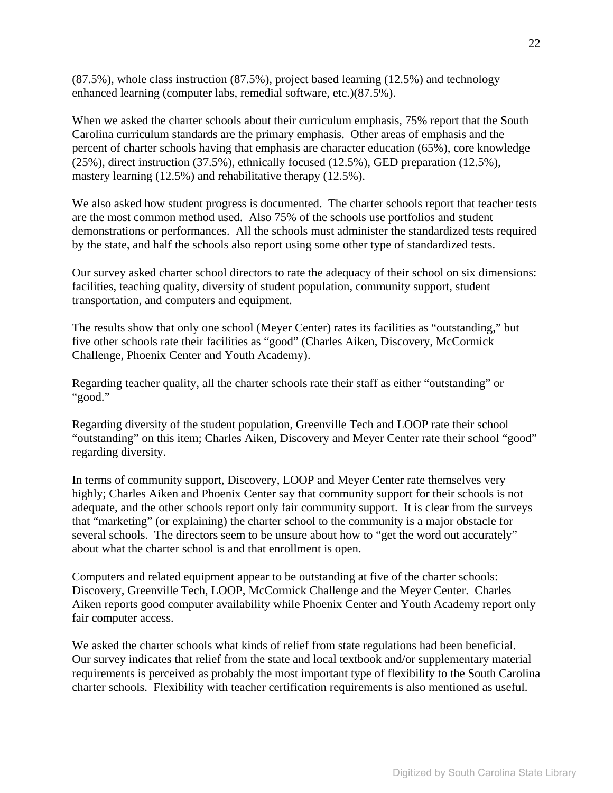(87.5%), whole class instruction (87.5%), project based learning (12.5%) and technology enhanced learning (computer labs, remedial software, etc.)(87.5%).

When we asked the charter schools about their curriculum emphasis, 75% report that the South Carolina curriculum standards are the primary emphasis. Other areas of emphasis and the percent of charter schools having that emphasis are character education (65%), core knowledge (25%), direct instruction (37.5%), ethnically focused (12.5%), GED preparation (12.5%), mastery learning (12.5%) and rehabilitative therapy (12.5%).

We also asked how student progress is documented. The charter schools report that teacher tests are the most common method used. Also 75% of the schools use portfolios and student demonstrations or performances. All the schools must administer the standardized tests required by the state, and half the schools also report using some other type of standardized tests.

Our survey asked charter school directors to rate the adequacy of their school on six dimensions: facilities, teaching quality, diversity of student population, community support, student transportation, and computers and equipment.

The results show that only one school (Meyer Center) rates its facilities as "outstanding," but five other schools rate their facilities as "good" (Charles Aiken, Discovery, McCormick Challenge, Phoenix Center and Youth Academy).

Regarding teacher quality, all the charter schools rate their staff as either "outstanding" or "good."

Regarding diversity of the student population, Greenville Tech and LOOP rate their school "outstanding" on this item; Charles Aiken, Discovery and Meyer Center rate their school "good" regarding diversity.

In terms of community support, Discovery, LOOP and Meyer Center rate themselves very highly; Charles Aiken and Phoenix Center say that community support for their schools is not adequate, and the other schools report only fair community support. It is clear from the surveys that "marketing" (or explaining) the charter school to the community is a major obstacle for several schools. The directors seem to be unsure about how to "get the word out accurately" about what the charter school is and that enrollment is open.

Computers and related equipment appear to be outstanding at five of the charter schools: Discovery, Greenville Tech, LOOP, McCormick Challenge and the Meyer Center. Charles Aiken reports good computer availability while Phoenix Center and Youth Academy report only fair computer access.

We asked the charter schools what kinds of relief from state regulations had been beneficial. Our survey indicates that relief from the state and local textbook and/or supplementary material requirements is perceived as probably the most important type of flexibility to the South Carolina charter schools. Flexibility with teacher certification requirements is also mentioned as useful.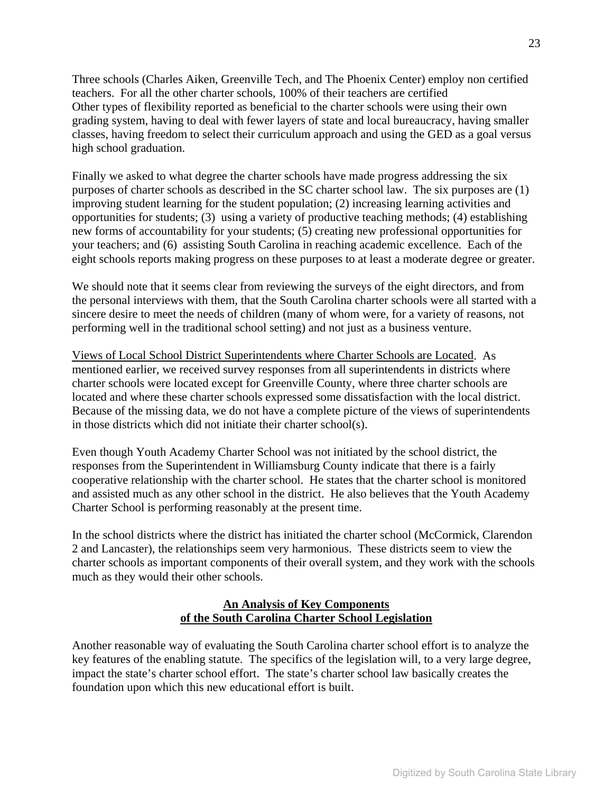Three schools (Charles Aiken, Greenville Tech, and The Phoenix Center) employ non certified teachers. For all the other charter schools, 100% of their teachers are certified Other types of flexibility reported as beneficial to the charter schools were using their own grading system, having to deal with fewer layers of state and local bureaucracy, having smaller classes, having freedom to select their curriculum approach and using the GED as a goal versus high school graduation.

Finally we asked to what degree the charter schools have made progress addressing the six purposes of charter schools as described in the SC charter school law. The six purposes are (1) improving student learning for the student population; (2) increasing learning activities and opportunities for students; (3) using a variety of productive teaching methods; (4) establishing new forms of accountability for your students; (5) creating new professional opportunities for your teachers; and (6) assisting South Carolina in reaching academic excellence. Each of the eight schools reports making progress on these purposes to at least a moderate degree or greater.

We should note that it seems clear from reviewing the surveys of the eight directors, and from the personal interviews with them, that the South Carolina charter schools were all started with a sincere desire to meet the needs of children (many of whom were, for a variety of reasons, not performing well in the traditional school setting) and not just as a business venture.

Views of Local School District Superintendents where Charter Schools are Located. As mentioned earlier, we received survey responses from all superintendents in districts where charter schools were located except for Greenville County, where three charter schools are located and where these charter schools expressed some dissatisfaction with the local district. Because of the missing data, we do not have a complete picture of the views of superintendents in those districts which did not initiate their charter school(s).

Even though Youth Academy Charter School was not initiated by the school district, the responses from the Superintendent in Williamsburg County indicate that there is a fairly cooperative relationship with the charter school. He states that the charter school is monitored and assisted much as any other school in the district. He also believes that the Youth Academy Charter School is performing reasonably at the present time.

In the school districts where the district has initiated the charter school (McCormick, Clarendon 2 and Lancaster), the relationships seem very harmonious. These districts seem to view the charter schools as important components of their overall system, and they work with the schools much as they would their other schools.

# **An Analysis of Key Components of the South Carolina Charter School Legislation**

Another reasonable way of evaluating the South Carolina charter school effort is to analyze the key features of the enabling statute. The specifics of the legislation will, to a very large degree, impact the state's charter school effort. The state's charter school law basically creates the foundation upon which this new educational effort is built.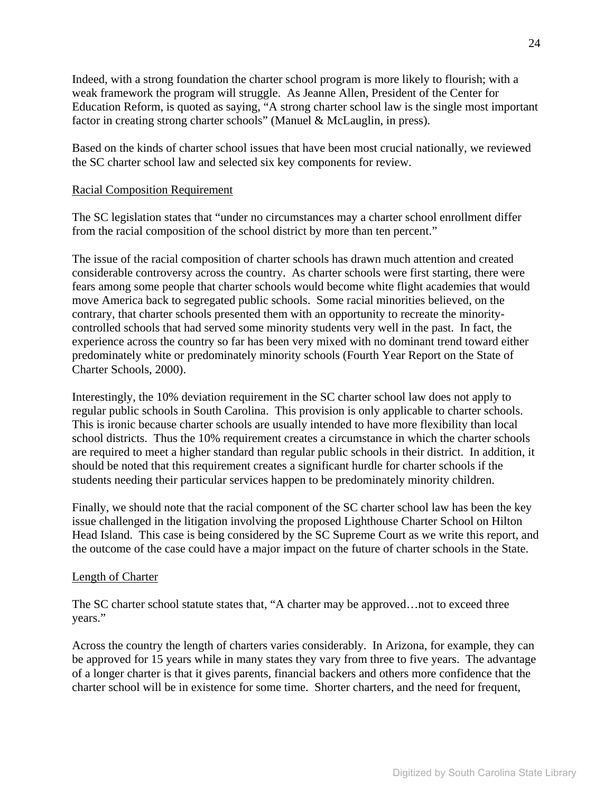Indeed, with a strong foundation the charter school program is more likely to flourish; with a weak framework the program will struggle. As Jeanne Allen, President of the Center for Education Reform, is quoted as saying, "A strong charter school law is the single most important factor in creating strong charter schools" (Manuel & McLauglin, in press).

Based on the kinds of charter school issues that have been most crucial nationally, we reviewed the SC charter school law and selected six key components for review.

#### Racial Composition Requirement

The SC legislation states that "under no circumstances may a charter school enrollment differ from the racial composition of the school district by more than ten percent."

The issue of the racial composition of charter schools has drawn much attention and created considerable controversy across the country. As charter schools were first starting, there were fears among some people that charter schools would become white flight academies that would move America back to segregated public schools. Some racial minorities believed, on the contrary, that charter schools presented them with an opportunity to recreate the minoritycontrolled schools that had served some minority students very well in the past. In fact, the experience across the country so far has been very mixed with no dominant trend toward either predominately white or predominately minority schools (Fourth Year Report on the State of Charter Schools, 2000).

Interestingly, the 10% deviation requirement in the SC charter school law does not apply to regular public schools in South Carolina. This provision is only applicable to charter schools. This is ironic because charter schools are usually intended to have more flexibility than local school districts. Thus the 10% requirement creates a circumstance in which the charter schools are required to meet a higher standard than regular public schools in their district. In addition, it should be noted that this requirement creates a significant hurdle for charter schools if the students needing their particular services happen to be predominately minority children.

Finally, we should note that the racial component of the SC charter school law has been the key issue challenged in the litigation involving the proposed Lighthouse Charter School on Hilton Head Island. This case is being considered by the SC Supreme Court as we write this report, and the outcome of the case could have a major impact on the future of charter schools in the State.

#### Length of Charter

The SC charter school statute states that, "A charter may be approved…not to exceed three years."

Across the country the length of charters varies considerably. In Arizona, for example, they can be approved for 15 years while in many states they vary from three to five years. The advantage of a longer charter is that it gives parents, financial backers and others more confidence that the charter school will be in existence for some time. Shorter charters, and the need for frequent,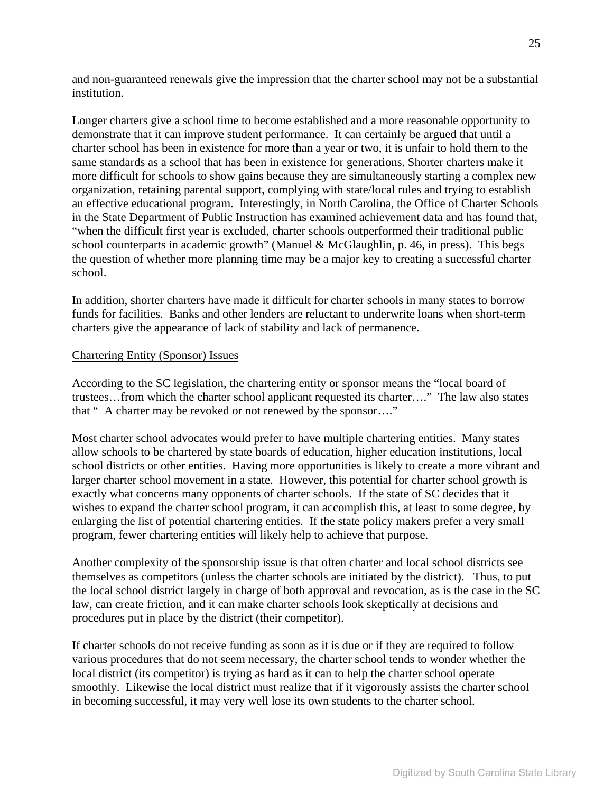and non-guaranteed renewals give the impression that the charter school may not be a substantial institution.

Longer charters give a school time to become established and a more reasonable opportunity to demonstrate that it can improve student performance. It can certainly be argued that until a charter school has been in existence for more than a year or two, it is unfair to hold them to the same standards as a school that has been in existence for generations. Shorter charters make it more difficult for schools to show gains because they are simultaneously starting a complex new organization, retaining parental support, complying with state/local rules and trying to establish an effective educational program. Interestingly, in North Carolina, the Office of Charter Schools in the State Department of Public Instruction has examined achievement data and has found that, "when the difficult first year is excluded, charter schools outperformed their traditional public school counterparts in academic growth" (Manuel & McGlaughlin, p. 46, in press). This begs the question of whether more planning time may be a major key to creating a successful charter school.

In addition, shorter charters have made it difficult for charter schools in many states to borrow funds for facilities. Banks and other lenders are reluctant to underwrite loans when short-term charters give the appearance of lack of stability and lack of permanence.

#### Chartering Entity (Sponsor) Issues

According to the SC legislation, the chartering entity or sponsor means the "local board of trustees…from which the charter school applicant requested its charter…." The law also states that " A charter may be revoked or not renewed by the sponsor…."

Most charter school advocates would prefer to have multiple chartering entities. Many states allow schools to be chartered by state boards of education, higher education institutions, local school districts or other entities. Having more opportunities is likely to create a more vibrant and larger charter school movement in a state. However, this potential for charter school growth is exactly what concerns many opponents of charter schools. If the state of SC decides that it wishes to expand the charter school program, it can accomplish this, at least to some degree, by enlarging the list of potential chartering entities. If the state policy makers prefer a very small program, fewer chartering entities will likely help to achieve that purpose.

Another complexity of the sponsorship issue is that often charter and local school districts see themselves as competitors (unless the charter schools are initiated by the district). Thus, to put the local school district largely in charge of both approval and revocation, as is the case in the SC law, can create friction, and it can make charter schools look skeptically at decisions and procedures put in place by the district (their competitor).

If charter schools do not receive funding as soon as it is due or if they are required to follow various procedures that do not seem necessary, the charter school tends to wonder whether the local district (its competitor) is trying as hard as it can to help the charter school operate smoothly. Likewise the local district must realize that if it vigorously assists the charter school in becoming successful, it may very well lose its own students to the charter school.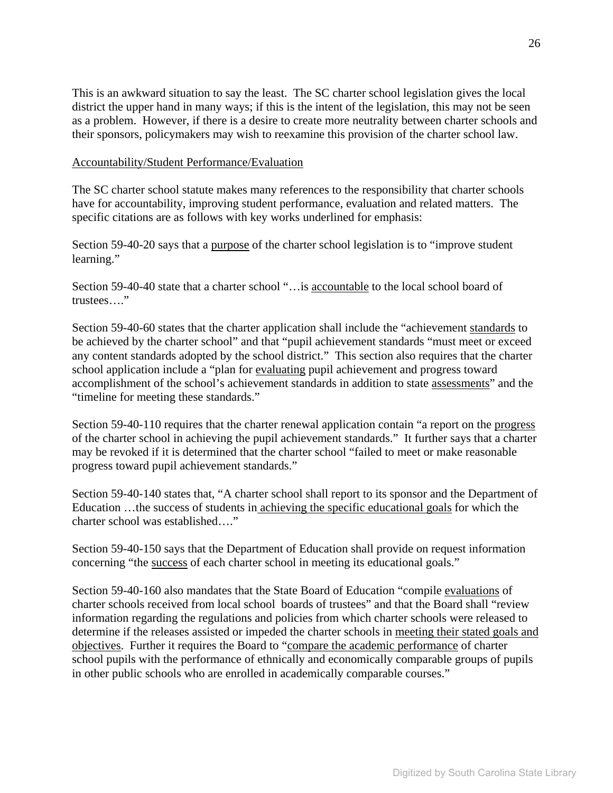This is an awkward situation to say the least. The SC charter school legislation gives the local district the upper hand in many ways; if this is the intent of the legislation, this may not be seen as a problem. However, if there is a desire to create more neutrality between charter schools and their sponsors, policymakers may wish to reexamine this provision of the charter school law.

#### Accountability/Student Performance/Evaluation

The SC charter school statute makes many references to the responsibility that charter schools have for accountability, improving student performance, evaluation and related matters. The specific citations are as follows with key works underlined for emphasis:

Section 59-40-20 says that a <u>purpose</u> of the charter school legislation is to "improve student" learning."

Section 59-40-40 state that a charter school "…is accountable to the local school board of trustees…."

Section 59-40-60 states that the charter application shall include the "achievement standards to be achieved by the charter school" and that "pupil achievement standards "must meet or exceed any content standards adopted by the school district." This section also requires that the charter school application include a "plan for evaluating pupil achievement and progress toward accomplishment of the school's achievement standards in addition to state assessments" and the "timeline for meeting these standards."

Section 59-40-110 requires that the charter renewal application contain "a report on the progress of the charter school in achieving the pupil achievement standards." It further says that a charter may be revoked if it is determined that the charter school "failed to meet or make reasonable progress toward pupil achievement standards."

Section 59-40-140 states that, "A charter school shall report to its sponsor and the Department of Education …the success of students in achieving the specific educational goals for which the charter school was established…."

Section 59-40-150 says that the Department of Education shall provide on request information concerning "the success of each charter school in meeting its educational goals."

Section 59-40-160 also mandates that the State Board of Education "compile evaluations of charter schools received from local school boards of trustees" and that the Board shall "review information regarding the regulations and policies from which charter schools were released to determine if the releases assisted or impeded the charter schools in meeting their stated goals and objectives. Further it requires the Board to "compare the academic performance of charter school pupils with the performance of ethnically and economically comparable groups of pupils in other public schools who are enrolled in academically comparable courses."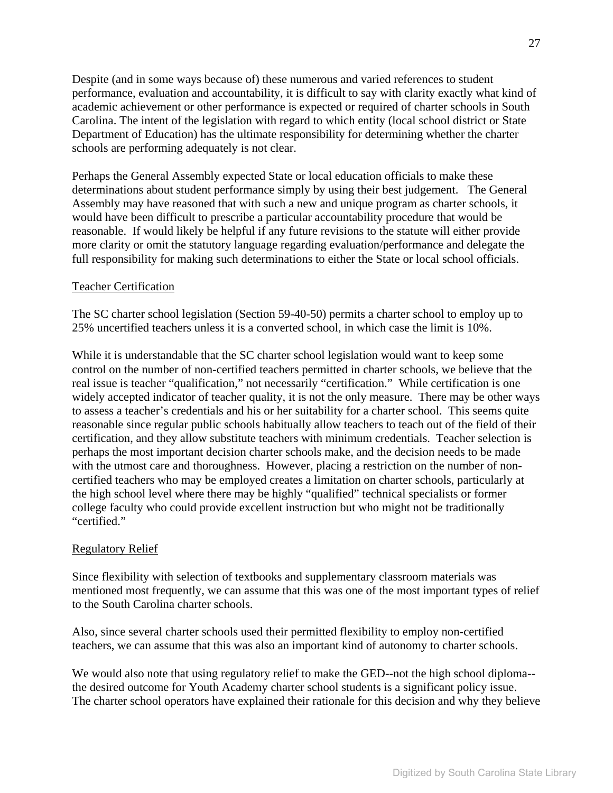Despite (and in some ways because of) these numerous and varied references to student performance, evaluation and accountability, it is difficult to say with clarity exactly what kind of academic achievement or other performance is expected or required of charter schools in South Carolina. The intent of the legislation with regard to which entity (local school district or State Department of Education) has the ultimate responsibility for determining whether the charter schools are performing adequately is not clear.

Perhaps the General Assembly expected State or local education officials to make these determinations about student performance simply by using their best judgement. The General Assembly may have reasoned that with such a new and unique program as charter schools, it would have been difficult to prescribe a particular accountability procedure that would be reasonable. If would likely be helpful if any future revisions to the statute will either provide more clarity or omit the statutory language regarding evaluation/performance and delegate the full responsibility for making such determinations to either the State or local school officials.

#### Teacher Certification

The SC charter school legislation (Section 59-40-50) permits a charter school to employ up to 25% uncertified teachers unless it is a converted school, in which case the limit is 10%.

While it is understandable that the SC charter school legislation would want to keep some control on the number of non-certified teachers permitted in charter schools, we believe that the real issue is teacher "qualification," not necessarily "certification." While certification is one widely accepted indicator of teacher quality, it is not the only measure. There may be other ways to assess a teacher's credentials and his or her suitability for a charter school. This seems quite reasonable since regular public schools habitually allow teachers to teach out of the field of their certification, and they allow substitute teachers with minimum credentials. Teacher selection is perhaps the most important decision charter schools make, and the decision needs to be made with the utmost care and thoroughness. However, placing a restriction on the number of noncertified teachers who may be employed creates a limitation on charter schools, particularly at the high school level where there may be highly "qualified" technical specialists or former college faculty who could provide excellent instruction but who might not be traditionally "certified."

#### Regulatory Relief

Since flexibility with selection of textbooks and supplementary classroom materials was mentioned most frequently, we can assume that this was one of the most important types of relief to the South Carolina charter schools.

Also, since several charter schools used their permitted flexibility to employ non-certified teachers, we can assume that this was also an important kind of autonomy to charter schools.

We would also note that using regulatory relief to make the GED--not the high school diploma-the desired outcome for Youth Academy charter school students is a significant policy issue. The charter school operators have explained their rationale for this decision and why they believe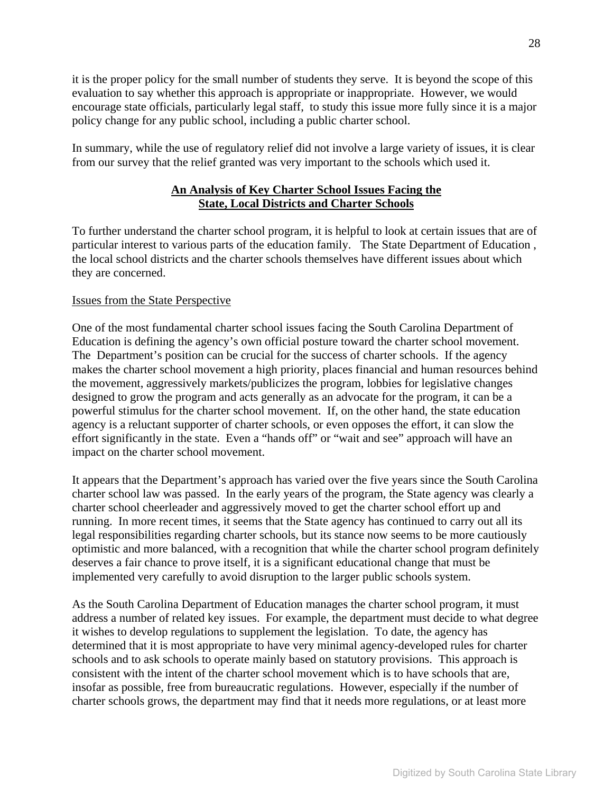it is the proper policy for the small number of students they serve. It is beyond the scope of this evaluation to say whether this approach is appropriate or inappropriate. However, we would encourage state officials, particularly legal staff, to study this issue more fully since it is a major policy change for any public school, including a public charter school.

In summary, while the use of regulatory relief did not involve a large variety of issues, it is clear from our survey that the relief granted was very important to the schools which used it.

# **An Analysis of Key Charter School Issues Facing the State, Local Districts and Charter Schools**

To further understand the charter school program, it is helpful to look at certain issues that are of particular interest to various parts of the education family. The State Department of Education , the local school districts and the charter schools themselves have different issues about which they are concerned.

# Issues from the State Perspective

One of the most fundamental charter school issues facing the South Carolina Department of Education is defining the agency's own official posture toward the charter school movement. The Department's position can be crucial for the success of charter schools. If the agency makes the charter school movement a high priority, places financial and human resources behind the movement, aggressively markets/publicizes the program, lobbies for legislative changes designed to grow the program and acts generally as an advocate for the program, it can be a powerful stimulus for the charter school movement. If, on the other hand, the state education agency is a reluctant supporter of charter schools, or even opposes the effort, it can slow the effort significantly in the state. Even a "hands off" or "wait and see" approach will have an impact on the charter school movement.

It appears that the Department's approach has varied over the five years since the South Carolina charter school law was passed. In the early years of the program, the State agency was clearly a charter school cheerleader and aggressively moved to get the charter school effort up and running. In more recent times, it seems that the State agency has continued to carry out all its legal responsibilities regarding charter schools, but its stance now seems to be more cautiously optimistic and more balanced, with a recognition that while the charter school program definitely deserves a fair chance to prove itself, it is a significant educational change that must be implemented very carefully to avoid disruption to the larger public schools system.

As the South Carolina Department of Education manages the charter school program, it must address a number of related key issues. For example, the department must decide to what degree it wishes to develop regulations to supplement the legislation. To date, the agency has determined that it is most appropriate to have very minimal agency-developed rules for charter schools and to ask schools to operate mainly based on statutory provisions. This approach is consistent with the intent of the charter school movement which is to have schools that are, insofar as possible, free from bureaucratic regulations. However, especially if the number of charter schools grows, the department may find that it needs more regulations, or at least more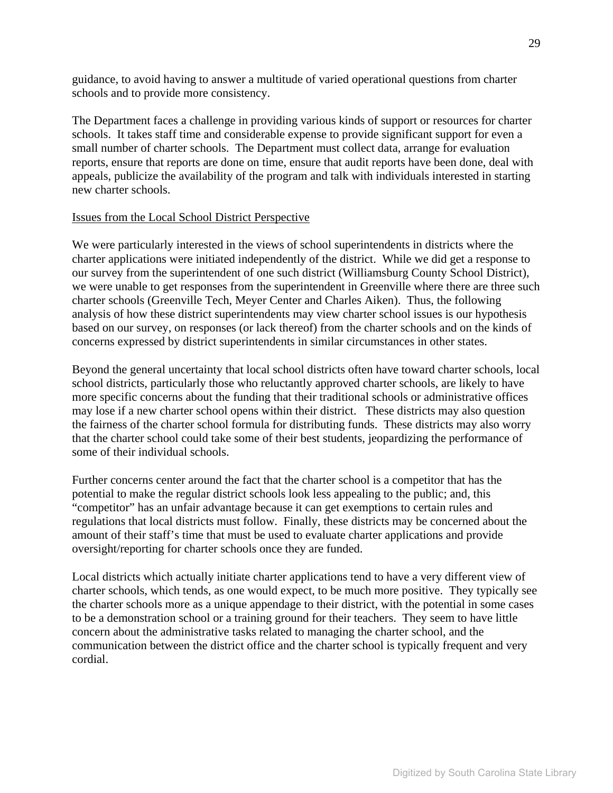guidance, to avoid having to answer a multitude of varied operational questions from charter schools and to provide more consistency.

The Department faces a challenge in providing various kinds of support or resources for charter schools. It takes staff time and considerable expense to provide significant support for even a small number of charter schools. The Department must collect data, arrange for evaluation reports, ensure that reports are done on time, ensure that audit reports have been done, deal with appeals, publicize the availability of the program and talk with individuals interested in starting new charter schools.

#### Issues from the Local School District Perspective

We were particularly interested in the views of school superintendents in districts where the charter applications were initiated independently of the district. While we did get a response to our survey from the superintendent of one such district (Williamsburg County School District), we were unable to get responses from the superintendent in Greenville where there are three such charter schools (Greenville Tech, Meyer Center and Charles Aiken). Thus, the following analysis of how these district superintendents may view charter school issues is our hypothesis based on our survey, on responses (or lack thereof) from the charter schools and on the kinds of concerns expressed by district superintendents in similar circumstances in other states.

Beyond the general uncertainty that local school districts often have toward charter schools, local school districts, particularly those who reluctantly approved charter schools, are likely to have more specific concerns about the funding that their traditional schools or administrative offices may lose if a new charter school opens within their district. These districts may also question the fairness of the charter school formula for distributing funds. These districts may also worry that the charter school could take some of their best students, jeopardizing the performance of some of their individual schools.

Further concerns center around the fact that the charter school is a competitor that has the potential to make the regular district schools look less appealing to the public; and, this "competitor" has an unfair advantage because it can get exemptions to certain rules and regulations that local districts must follow. Finally, these districts may be concerned about the amount of their staff's time that must be used to evaluate charter applications and provide oversight/reporting for charter schools once they are funded.

Local districts which actually initiate charter applications tend to have a very different view of charter schools, which tends, as one would expect, to be much more positive. They typically see the charter schools more as a unique appendage to their district, with the potential in some cases to be a demonstration school or a training ground for their teachers. They seem to have little concern about the administrative tasks related to managing the charter school, and the communication between the district office and the charter school is typically frequent and very cordial.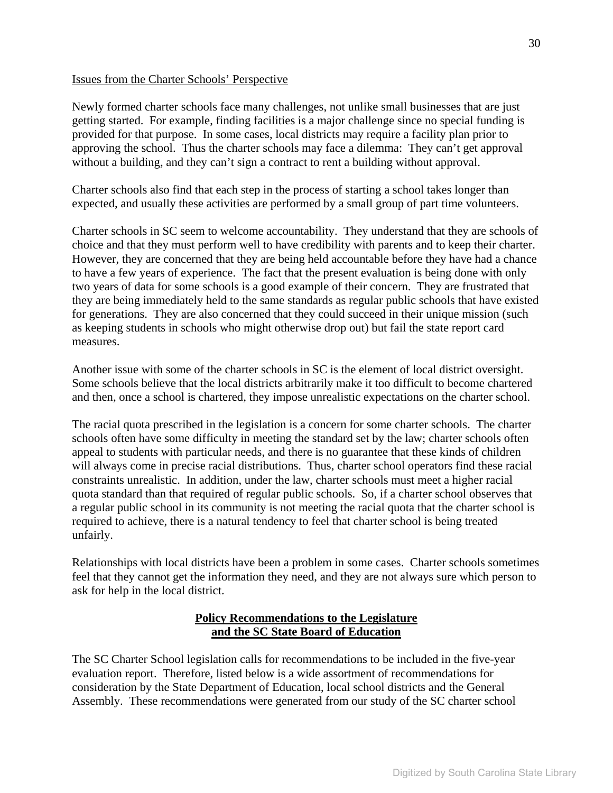#### Issues from the Charter Schools' Perspective

Newly formed charter schools face many challenges, not unlike small businesses that are just getting started. For example, finding facilities is a major challenge since no special funding is provided for that purpose. In some cases, local districts may require a facility plan prior to approving the school. Thus the charter schools may face a dilemma: They can't get approval without a building, and they can't sign a contract to rent a building without approval.

Charter schools also find that each step in the process of starting a school takes longer than expected, and usually these activities are performed by a small group of part time volunteers.

Charter schools in SC seem to welcome accountability. They understand that they are schools of choice and that they must perform well to have credibility with parents and to keep their charter. However, they are concerned that they are being held accountable before they have had a chance to have a few years of experience. The fact that the present evaluation is being done with only two years of data for some schools is a good example of their concern. They are frustrated that they are being immediately held to the same standards as regular public schools that have existed for generations. They are also concerned that they could succeed in their unique mission (such as keeping students in schools who might otherwise drop out) but fail the state report card measures.

Another issue with some of the charter schools in SC is the element of local district oversight. Some schools believe that the local districts arbitrarily make it too difficult to become chartered and then, once a school is chartered, they impose unrealistic expectations on the charter school.

The racial quota prescribed in the legislation is a concern for some charter schools. The charter schools often have some difficulty in meeting the standard set by the law; charter schools often appeal to students with particular needs, and there is no guarantee that these kinds of children will always come in precise racial distributions. Thus, charter school operators find these racial constraints unrealistic. In addition, under the law, charter schools must meet a higher racial quota standard than that required of regular public schools. So, if a charter school observes that a regular public school in its community is not meeting the racial quota that the charter school is required to achieve, there is a natural tendency to feel that charter school is being treated unfairly.

Relationships with local districts have been a problem in some cases. Charter schools sometimes feel that they cannot get the information they need, and they are not always sure which person to ask for help in the local district.

## **Policy Recommendations to the Legislature and the SC State Board of Education**

The SC Charter School legislation calls for recommendations to be included in the five-year evaluation report. Therefore, listed below is a wide assortment of recommendations for consideration by the State Department of Education, local school districts and the General Assembly. These recommendations were generated from our study of the SC charter school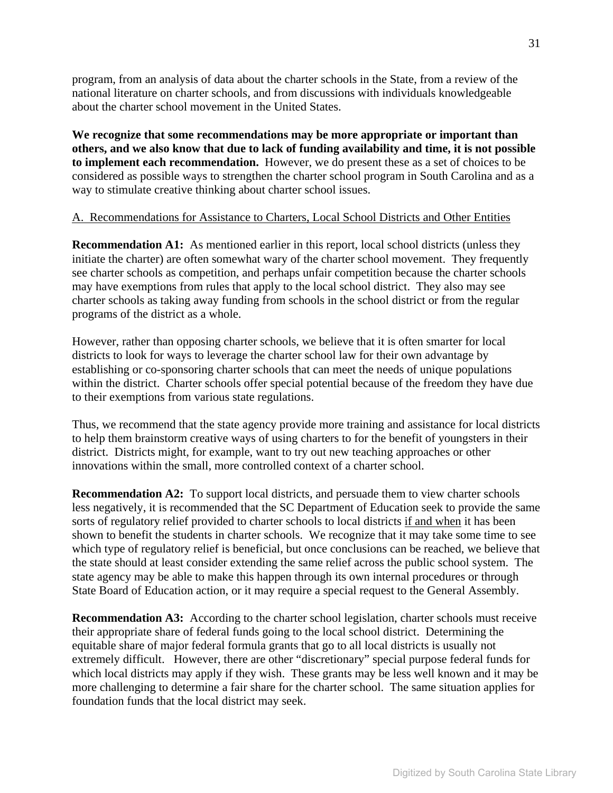program, from an analysis of data about the charter schools in the State, from a review of the national literature on charter schools, and from discussions with individuals knowledgeable about the charter school movement in the United States.

**We recognize that some recommendations may be more appropriate or important than others, and we also know that due to lack of funding availability and time, it is not possible to implement each recommendation.** However, we do present these as a set of choices to be considered as possible ways to strengthen the charter school program in South Carolina and as a way to stimulate creative thinking about charter school issues.

### A. Recommendations for Assistance to Charters, Local School Districts and Other Entities

**Recommendation A1:** As mentioned earlier in this report, local school districts (unless they initiate the charter) are often somewhat wary of the charter school movement. They frequently see charter schools as competition, and perhaps unfair competition because the charter schools may have exemptions from rules that apply to the local school district. They also may see charter schools as taking away funding from schools in the school district or from the regular programs of the district as a whole.

However, rather than opposing charter schools, we believe that it is often smarter for local districts to look for ways to leverage the charter school law for their own advantage by establishing or co-sponsoring charter schools that can meet the needs of unique populations within the district. Charter schools offer special potential because of the freedom they have due to their exemptions from various state regulations.

Thus, we recommend that the state agency provide more training and assistance for local districts to help them brainstorm creative ways of using charters to for the benefit of youngsters in their district. Districts might, for example, want to try out new teaching approaches or other innovations within the small, more controlled context of a charter school.

**Recommendation A2:** To support local districts, and persuade them to view charter schools less negatively, it is recommended that the SC Department of Education seek to provide the same sorts of regulatory relief provided to charter schools to local districts if and when it has been shown to benefit the students in charter schools. We recognize that it may take some time to see which type of regulatory relief is beneficial, but once conclusions can be reached, we believe that the state should at least consider extending the same relief across the public school system. The state agency may be able to make this happen through its own internal procedures or through State Board of Education action, or it may require a special request to the General Assembly.

**Recommendation A3:** According to the charter school legislation, charter schools must receive their appropriate share of federal funds going to the local school district. Determining the equitable share of major federal formula grants that go to all local districts is usually not extremely difficult. However, there are other "discretionary" special purpose federal funds for which local districts may apply if they wish. These grants may be less well known and it may be more challenging to determine a fair share for the charter school. The same situation applies for foundation funds that the local district may seek.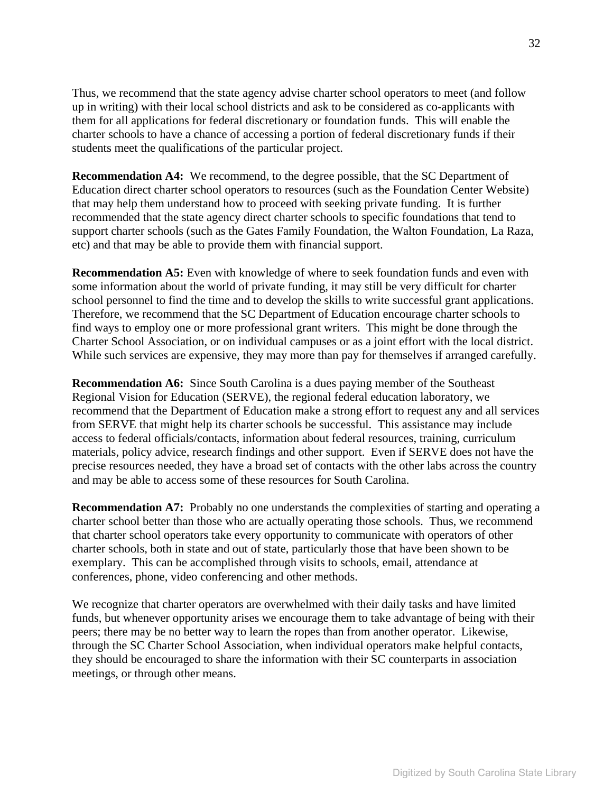Thus, we recommend that the state agency advise charter school operators to meet (and follow up in writing) with their local school districts and ask to be considered as co-applicants with them for all applications for federal discretionary or foundation funds. This will enable the charter schools to have a chance of accessing a portion of federal discretionary funds if their students meet the qualifications of the particular project.

**Recommendation A4:** We recommend, to the degree possible, that the SC Department of Education direct charter school operators to resources (such as the Foundation Center Website) that may help them understand how to proceed with seeking private funding. It is further recommended that the state agency direct charter schools to specific foundations that tend to support charter schools (such as the Gates Family Foundation, the Walton Foundation, La Raza, etc) and that may be able to provide them with financial support.

**Recommendation A5:** Even with knowledge of where to seek foundation funds and even with some information about the world of private funding, it may still be very difficult for charter school personnel to find the time and to develop the skills to write successful grant applications. Therefore, we recommend that the SC Department of Education encourage charter schools to find ways to employ one or more professional grant writers. This might be done through the Charter School Association, or on individual campuses or as a joint effort with the local district. While such services are expensive, they may more than pay for themselves if arranged carefully.

**Recommendation A6:** Since South Carolina is a dues paying member of the Southeast Regional Vision for Education (SERVE), the regional federal education laboratory, we recommend that the Department of Education make a strong effort to request any and all services from SERVE that might help its charter schools be successful. This assistance may include access to federal officials/contacts, information about federal resources, training, curriculum materials, policy advice, research findings and other support. Even if SERVE does not have the precise resources needed, they have a broad set of contacts with the other labs across the country and may be able to access some of these resources for South Carolina.

**Recommendation A7:** Probably no one understands the complexities of starting and operating a charter school better than those who are actually operating those schools. Thus, we recommend that charter school operators take every opportunity to communicate with operators of other charter schools, both in state and out of state, particularly those that have been shown to be exemplary. This can be accomplished through visits to schools, email, attendance at conferences, phone, video conferencing and other methods.

We recognize that charter operators are overwhelmed with their daily tasks and have limited funds, but whenever opportunity arises we encourage them to take advantage of being with their peers; there may be no better way to learn the ropes than from another operator. Likewise, through the SC Charter School Association, when individual operators make helpful contacts, they should be encouraged to share the information with their SC counterparts in association meetings, or through other means.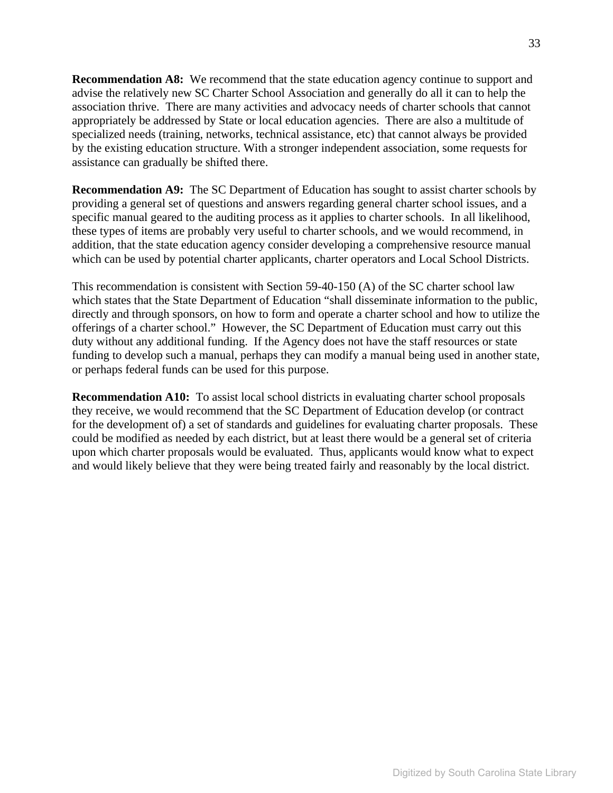**Recommendation A8:** We recommend that the state education agency continue to support and advise the relatively new SC Charter School Association and generally do all it can to help the association thrive. There are many activities and advocacy needs of charter schools that cannot appropriately be addressed by State or local education agencies. There are also a multitude of specialized needs (training, networks, technical assistance, etc) that cannot always be provided by the existing education structure. With a stronger independent association, some requests for assistance can gradually be shifted there.

**Recommendation A9:** The SC Department of Education has sought to assist charter schools by providing a general set of questions and answers regarding general charter school issues, and a specific manual geared to the auditing process as it applies to charter schools. In all likelihood, these types of items are probably very useful to charter schools, and we would recommend, in addition, that the state education agency consider developing a comprehensive resource manual which can be used by potential charter applicants, charter operators and Local School Districts.

This recommendation is consistent with Section 59-40-150 (A) of the SC charter school law which states that the State Department of Education "shall disseminate information to the public, directly and through sponsors, on how to form and operate a charter school and how to utilize the offerings of a charter school." However, the SC Department of Education must carry out this duty without any additional funding. If the Agency does not have the staff resources or state funding to develop such a manual, perhaps they can modify a manual being used in another state, or perhaps federal funds can be used for this purpose.

**Recommendation A10:** To assist local school districts in evaluating charter school proposals they receive, we would recommend that the SC Department of Education develop (or contract for the development of) a set of standards and guidelines for evaluating charter proposals. These could be modified as needed by each district, but at least there would be a general set of criteria upon which charter proposals would be evaluated. Thus, applicants would know what to expect and would likely believe that they were being treated fairly and reasonably by the local district.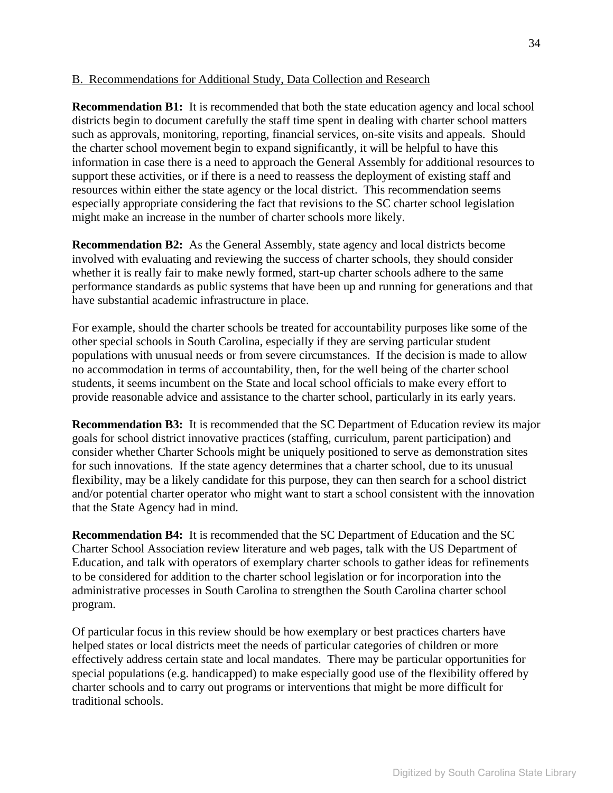### B. Recommendations for Additional Study, Data Collection and Research

**Recommendation B1:** It is recommended that both the state education agency and local school districts begin to document carefully the staff time spent in dealing with charter school matters such as approvals, monitoring, reporting, financial services, on-site visits and appeals. Should the charter school movement begin to expand significantly, it will be helpful to have this information in case there is a need to approach the General Assembly for additional resources to support these activities, or if there is a need to reassess the deployment of existing staff and resources within either the state agency or the local district. This recommendation seems especially appropriate considering the fact that revisions to the SC charter school legislation might make an increase in the number of charter schools more likely.

**Recommendation B2:** As the General Assembly, state agency and local districts become involved with evaluating and reviewing the success of charter schools, they should consider whether it is really fair to make newly formed, start-up charter schools adhere to the same performance standards as public systems that have been up and running for generations and that have substantial academic infrastructure in place.

For example, should the charter schools be treated for accountability purposes like some of the other special schools in South Carolina, especially if they are serving particular student populations with unusual needs or from severe circumstances. If the decision is made to allow no accommodation in terms of accountability, then, for the well being of the charter school students, it seems incumbent on the State and local school officials to make every effort to provide reasonable advice and assistance to the charter school, particularly in its early years.

**Recommendation B3:** It is recommended that the SC Department of Education review its major goals for school district innovative practices (staffing, curriculum, parent participation) and consider whether Charter Schools might be uniquely positioned to serve as demonstration sites for such innovations. If the state agency determines that a charter school, due to its unusual flexibility, may be a likely candidate for this purpose, they can then search for a school district and/or potential charter operator who might want to start a school consistent with the innovation that the State Agency had in mind.

**Recommendation B4:** It is recommended that the SC Department of Education and the SC Charter School Association review literature and web pages, talk with the US Department of Education, and talk with operators of exemplary charter schools to gather ideas for refinements to be considered for addition to the charter school legislation or for incorporation into the administrative processes in South Carolina to strengthen the South Carolina charter school program.

Of particular focus in this review should be how exemplary or best practices charters have helped states or local districts meet the needs of particular categories of children or more effectively address certain state and local mandates. There may be particular opportunities for special populations (e.g. handicapped) to make especially good use of the flexibility offered by charter schools and to carry out programs or interventions that might be more difficult for traditional schools.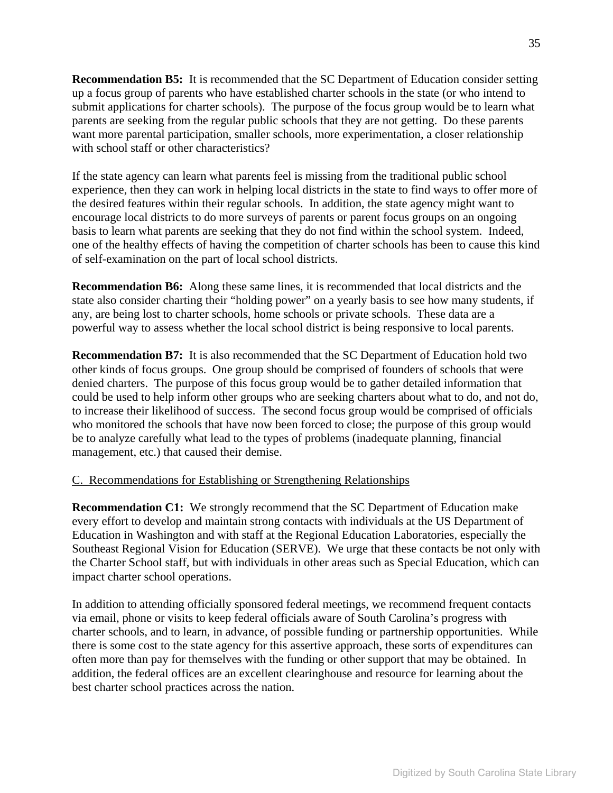**Recommendation B5:** It is recommended that the SC Department of Education consider setting up a focus group of parents who have established charter schools in the state (or who intend to submit applications for charter schools). The purpose of the focus group would be to learn what parents are seeking from the regular public schools that they are not getting. Do these parents want more parental participation, smaller schools, more experimentation, a closer relationship with school staff or other characteristics?

If the state agency can learn what parents feel is missing from the traditional public school experience, then they can work in helping local districts in the state to find ways to offer more of the desired features within their regular schools. In addition, the state agency might want to encourage local districts to do more surveys of parents or parent focus groups on an ongoing basis to learn what parents are seeking that they do not find within the school system. Indeed, one of the healthy effects of having the competition of charter schools has been to cause this kind of self-examination on the part of local school districts.

**Recommendation B6:** Along these same lines, it is recommended that local districts and the state also consider charting their "holding power" on a yearly basis to see how many students, if any, are being lost to charter schools, home schools or private schools. These data are a powerful way to assess whether the local school district is being responsive to local parents.

**Recommendation B7:** It is also recommended that the SC Department of Education hold two other kinds of focus groups. One group should be comprised of founders of schools that were denied charters. The purpose of this focus group would be to gather detailed information that could be used to help inform other groups who are seeking charters about what to do, and not do, to increase their likelihood of success. The second focus group would be comprised of officials who monitored the schools that have now been forced to close; the purpose of this group would be to analyze carefully what lead to the types of problems (inadequate planning, financial management, etc.) that caused their demise.

#### C. Recommendations for Establishing or Strengthening Relationships

**Recommendation C1:** We strongly recommend that the SC Department of Education make every effort to develop and maintain strong contacts with individuals at the US Department of Education in Washington and with staff at the Regional Education Laboratories, especially the Southeast Regional Vision for Education (SERVE). We urge that these contacts be not only with the Charter School staff, but with individuals in other areas such as Special Education, which can impact charter school operations.

In addition to attending officially sponsored federal meetings, we recommend frequent contacts via email, phone or visits to keep federal officials aware of South Carolina's progress with charter schools, and to learn, in advance, of possible funding or partnership opportunities. While there is some cost to the state agency for this assertive approach, these sorts of expenditures can often more than pay for themselves with the funding or other support that may be obtained. In addition, the federal offices are an excellent clearinghouse and resource for learning about the best charter school practices across the nation.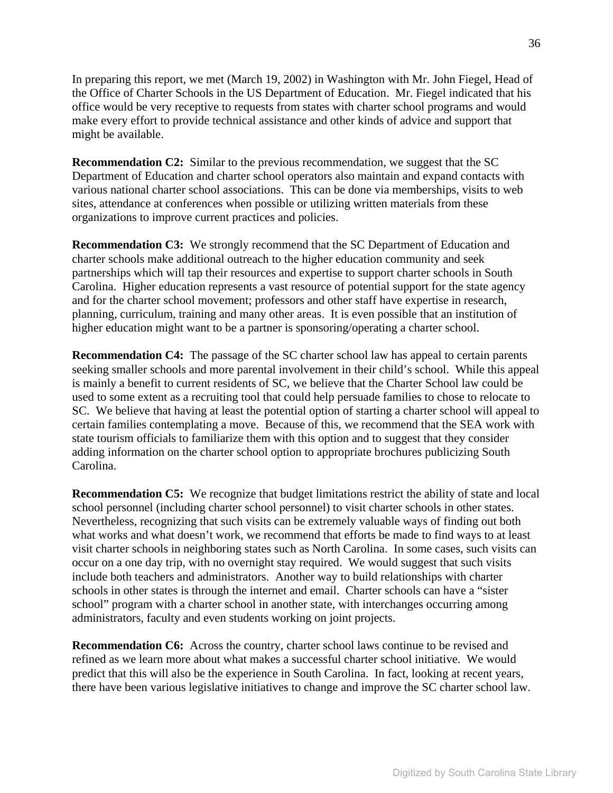In preparing this report, we met (March 19, 2002) in Washington with Mr. John Fiegel, Head of the Office of Charter Schools in the US Department of Education. Mr. Fiegel indicated that his office would be very receptive to requests from states with charter school programs and would make every effort to provide technical assistance and other kinds of advice and support that might be available.

**Recommendation C2:** Similar to the previous recommendation, we suggest that the SC Department of Education and charter school operators also maintain and expand contacts with various national charter school associations. This can be done via memberships, visits to web sites, attendance at conferences when possible or utilizing written materials from these organizations to improve current practices and policies.

**Recommendation C3:** We strongly recommend that the SC Department of Education and charter schools make additional outreach to the higher education community and seek partnerships which will tap their resources and expertise to support charter schools in South Carolina. Higher education represents a vast resource of potential support for the state agency and for the charter school movement; professors and other staff have expertise in research, planning, curriculum, training and many other areas. It is even possible that an institution of higher education might want to be a partner is sponsoring/operating a charter school.

**Recommendation C4:** The passage of the SC charter school law has appeal to certain parents seeking smaller schools and more parental involvement in their child's school. While this appeal is mainly a benefit to current residents of SC, we believe that the Charter School law could be used to some extent as a recruiting tool that could help persuade families to chose to relocate to SC. We believe that having at least the potential option of starting a charter school will appeal to certain families contemplating a move. Because of this, we recommend that the SEA work with state tourism officials to familiarize them with this option and to suggest that they consider adding information on the charter school option to appropriate brochures publicizing South Carolina.

**Recommendation C5:** We recognize that budget limitations restrict the ability of state and local school personnel (including charter school personnel) to visit charter schools in other states. Nevertheless, recognizing that such visits can be extremely valuable ways of finding out both what works and what doesn't work, we recommend that efforts be made to find ways to at least visit charter schools in neighboring states such as North Carolina. In some cases, such visits can occur on a one day trip, with no overnight stay required. We would suggest that such visits include both teachers and administrators. Another way to build relationships with charter schools in other states is through the internet and email. Charter schools can have a "sister school" program with a charter school in another state, with interchanges occurring among administrators, faculty and even students working on joint projects.

**Recommendation C6:** Across the country, charter school laws continue to be revised and refined as we learn more about what makes a successful charter school initiative. We would predict that this will also be the experience in South Carolina. In fact, looking at recent years, there have been various legislative initiatives to change and improve the SC charter school law.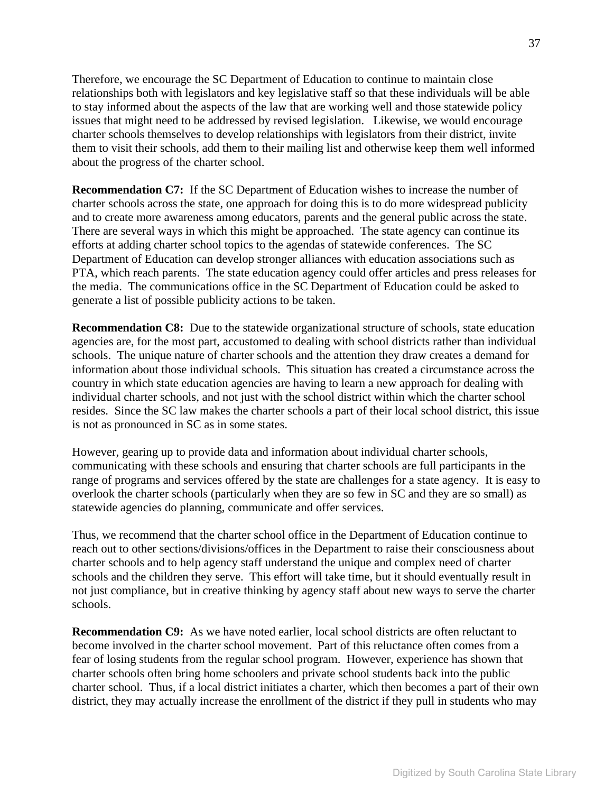Therefore, we encourage the SC Department of Education to continue to maintain close relationships both with legislators and key legislative staff so that these individuals will be able to stay informed about the aspects of the law that are working well and those statewide policy issues that might need to be addressed by revised legislation. Likewise, we would encourage charter schools themselves to develop relationships with legislators from their district, invite them to visit their schools, add them to their mailing list and otherwise keep them well informed about the progress of the charter school.

**Recommendation C7:** If the SC Department of Education wishes to increase the number of charter schools across the state, one approach for doing this is to do more widespread publicity and to create more awareness among educators, parents and the general public across the state. There are several ways in which this might be approached. The state agency can continue its efforts at adding charter school topics to the agendas of statewide conferences. The SC Department of Education can develop stronger alliances with education associations such as PTA, which reach parents. The state education agency could offer articles and press releases for the media. The communications office in the SC Department of Education could be asked to generate a list of possible publicity actions to be taken.

**Recommendation C8:** Due to the statewide organizational structure of schools, state education agencies are, for the most part, accustomed to dealing with school districts rather than individual schools. The unique nature of charter schools and the attention they draw creates a demand for information about those individual schools. This situation has created a circumstance across the country in which state education agencies are having to learn a new approach for dealing with individual charter schools, and not just with the school district within which the charter school resides. Since the SC law makes the charter schools a part of their local school district, this issue is not as pronounced in SC as in some states.

However, gearing up to provide data and information about individual charter schools, communicating with these schools and ensuring that charter schools are full participants in the range of programs and services offered by the state are challenges for a state agency. It is easy to overlook the charter schools (particularly when they are so few in SC and they are so small) as statewide agencies do planning, communicate and offer services.

Thus, we recommend that the charter school office in the Department of Education continue to reach out to other sections/divisions/offices in the Department to raise their consciousness about charter schools and to help agency staff understand the unique and complex need of charter schools and the children they serve. This effort will take time, but it should eventually result in not just compliance, but in creative thinking by agency staff about new ways to serve the charter schools.

**Recommendation C9:** As we have noted earlier, local school districts are often reluctant to become involved in the charter school movement. Part of this reluctance often comes from a fear of losing students from the regular school program. However, experience has shown that charter schools often bring home schoolers and private school students back into the public charter school. Thus, if a local district initiates a charter, which then becomes a part of their own district, they may actually increase the enrollment of the district if they pull in students who may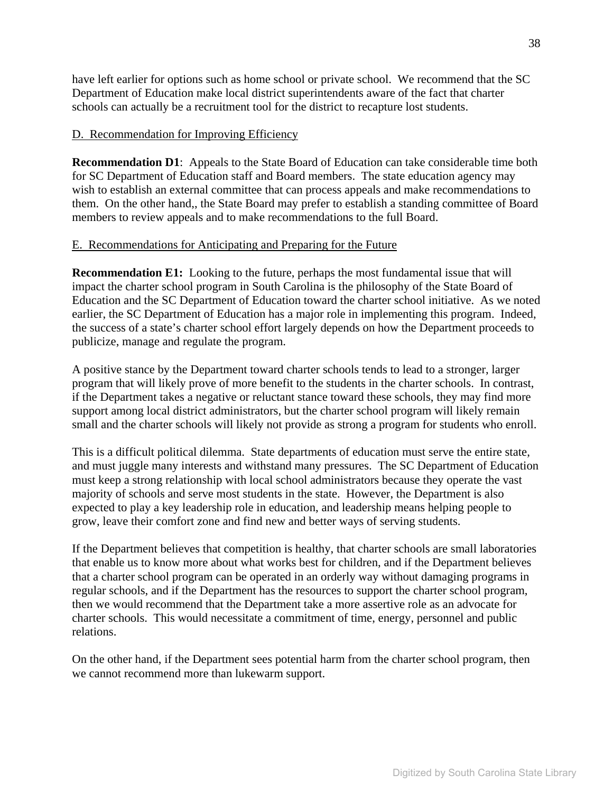have left earlier for options such as home school or private school. We recommend that the SC Department of Education make local district superintendents aware of the fact that charter schools can actually be a recruitment tool for the district to recapture lost students.

### D. Recommendation for Improving Efficiency

**Recommendation D1**: Appeals to the State Board of Education can take considerable time both for SC Department of Education staff and Board members. The state education agency may wish to establish an external committee that can process appeals and make recommendations to them. On the other hand,, the State Board may prefer to establish a standing committee of Board members to review appeals and to make recommendations to the full Board.

### E. Recommendations for Anticipating and Preparing for the Future

**Recommendation E1:** Looking to the future, perhaps the most fundamental issue that will impact the charter school program in South Carolina is the philosophy of the State Board of Education and the SC Department of Education toward the charter school initiative. As we noted earlier, the SC Department of Education has a major role in implementing this program. Indeed, the success of a state's charter school effort largely depends on how the Department proceeds to publicize, manage and regulate the program.

A positive stance by the Department toward charter schools tends to lead to a stronger, larger program that will likely prove of more benefit to the students in the charter schools. In contrast, if the Department takes a negative or reluctant stance toward these schools, they may find more support among local district administrators, but the charter school program will likely remain small and the charter schools will likely not provide as strong a program for students who enroll.

This is a difficult political dilemma. State departments of education must serve the entire state, and must juggle many interests and withstand many pressures. The SC Department of Education must keep a strong relationship with local school administrators because they operate the vast majority of schools and serve most students in the state. However, the Department is also expected to play a key leadership role in education, and leadership means helping people to grow, leave their comfort zone and find new and better ways of serving students.

If the Department believes that competition is healthy, that charter schools are small laboratories that enable us to know more about what works best for children, and if the Department believes that a charter school program can be operated in an orderly way without damaging programs in regular schools, and if the Department has the resources to support the charter school program, then we would recommend that the Department take a more assertive role as an advocate for charter schools. This would necessitate a commitment of time, energy, personnel and public relations.

On the other hand, if the Department sees potential harm from the charter school program, then we cannot recommend more than lukewarm support.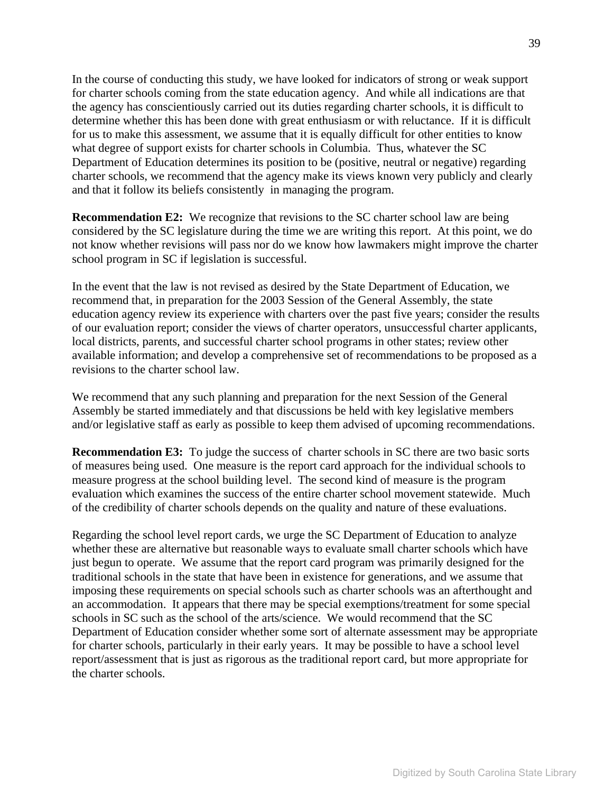In the course of conducting this study, we have looked for indicators of strong or weak support for charter schools coming from the state education agency. And while all indications are that the agency has conscientiously carried out its duties regarding charter schools, it is difficult to determine whether this has been done with great enthusiasm or with reluctance. If it is difficult for us to make this assessment, we assume that it is equally difficult for other entities to know what degree of support exists for charter schools in Columbia. Thus, whatever the SC Department of Education determines its position to be (positive, neutral or negative) regarding charter schools, we recommend that the agency make its views known very publicly and clearly and that it follow its beliefs consistently in managing the program.

**Recommendation E2:** We recognize that revisions to the SC charter school law are being considered by the SC legislature during the time we are writing this report. At this point, we do not know whether revisions will pass nor do we know how lawmakers might improve the charter school program in SC if legislation is successful.

In the event that the law is not revised as desired by the State Department of Education, we recommend that, in preparation for the 2003 Session of the General Assembly, the state education agency review its experience with charters over the past five years; consider the results of our evaluation report; consider the views of charter operators, unsuccessful charter applicants, local districts, parents, and successful charter school programs in other states; review other available information; and develop a comprehensive set of recommendations to be proposed as a revisions to the charter school law.

We recommend that any such planning and preparation for the next Session of the General Assembly be started immediately and that discussions be held with key legislative members and/or legislative staff as early as possible to keep them advised of upcoming recommendations.

**Recommendation E3:** To judge the success of charter schools in SC there are two basic sorts of measures being used. One measure is the report card approach for the individual schools to measure progress at the school building level. The second kind of measure is the program evaluation which examines the success of the entire charter school movement statewide. Much of the credibility of charter schools depends on the quality and nature of these evaluations.

Regarding the school level report cards, we urge the SC Department of Education to analyze whether these are alternative but reasonable ways to evaluate small charter schools which have just begun to operate. We assume that the report card program was primarily designed for the traditional schools in the state that have been in existence for generations, and we assume that imposing these requirements on special schools such as charter schools was an afterthought and an accommodation. It appears that there may be special exemptions/treatment for some special schools in SC such as the school of the arts/science. We would recommend that the SC Department of Education consider whether some sort of alternate assessment may be appropriate for charter schools, particularly in their early years. It may be possible to have a school level report/assessment that is just as rigorous as the traditional report card, but more appropriate for the charter schools.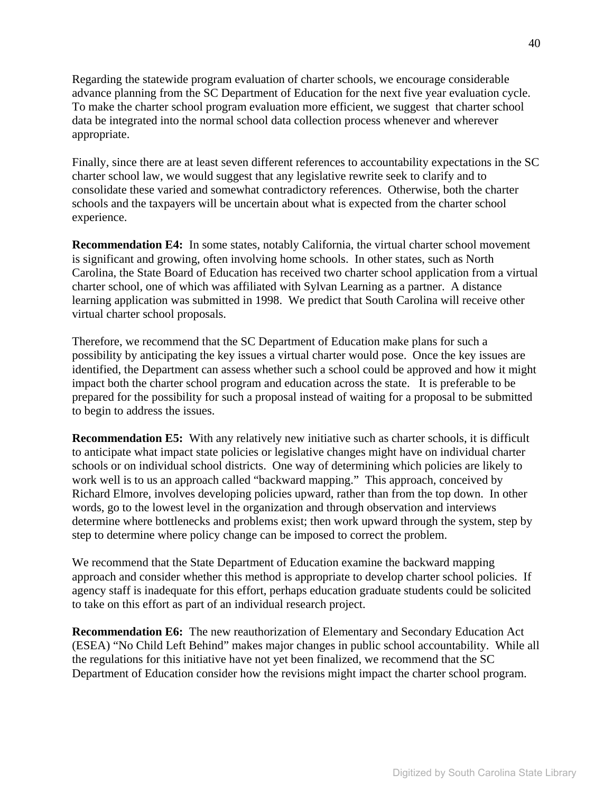Regarding the statewide program evaluation of charter schools, we encourage considerable advance planning from the SC Department of Education for the next five year evaluation cycle. To make the charter school program evaluation more efficient, we suggest that charter school data be integrated into the normal school data collection process whenever and wherever appropriate.

Finally, since there are at least seven different references to accountability expectations in the SC charter school law, we would suggest that any legislative rewrite seek to clarify and to consolidate these varied and somewhat contradictory references. Otherwise, both the charter schools and the taxpayers will be uncertain about what is expected from the charter school experience.

**Recommendation E4:** In some states, notably California, the virtual charter school movement is significant and growing, often involving home schools. In other states, such as North Carolina, the State Board of Education has received two charter school application from a virtual charter school, one of which was affiliated with Sylvan Learning as a partner. A distance learning application was submitted in 1998. We predict that South Carolina will receive other virtual charter school proposals.

Therefore, we recommend that the SC Department of Education make plans for such a possibility by anticipating the key issues a virtual charter would pose. Once the key issues are identified, the Department can assess whether such a school could be approved and how it might impact both the charter school program and education across the state. It is preferable to be prepared for the possibility for such a proposal instead of waiting for a proposal to be submitted to begin to address the issues.

**Recommendation E5:** With any relatively new initiative such as charter schools, it is difficult to anticipate what impact state policies or legislative changes might have on individual charter schools or on individual school districts. One way of determining which policies are likely to work well is to us an approach called "backward mapping." This approach, conceived by Richard Elmore, involves developing policies upward, rather than from the top down. In other words, go to the lowest level in the organization and through observation and interviews determine where bottlenecks and problems exist; then work upward through the system, step by step to determine where policy change can be imposed to correct the problem.

We recommend that the State Department of Education examine the backward mapping approach and consider whether this method is appropriate to develop charter school policies. If agency staff is inadequate for this effort, perhaps education graduate students could be solicited to take on this effort as part of an individual research project.

**Recommendation E6:** The new reauthorization of Elementary and Secondary Education Act (ESEA) "No Child Left Behind" makes major changes in public school accountability. While all the regulations for this initiative have not yet been finalized, we recommend that the SC Department of Education consider how the revisions might impact the charter school program.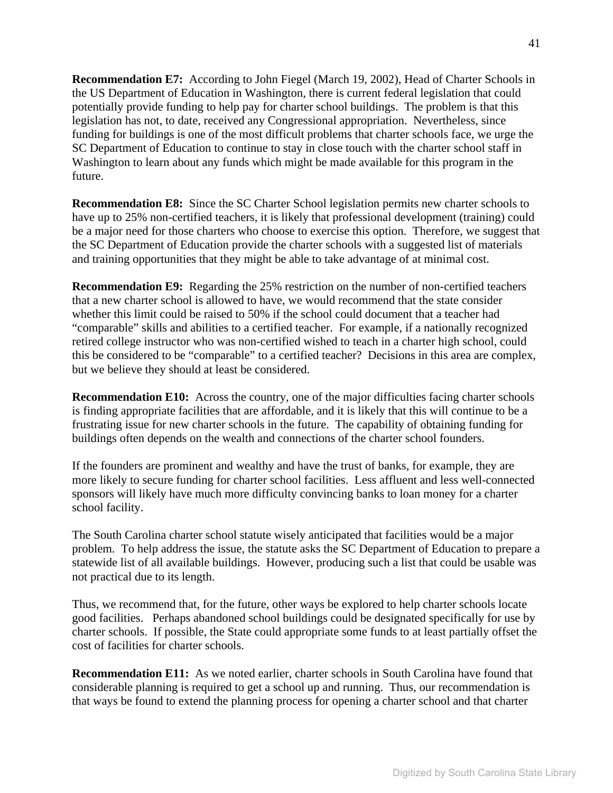**Recommendation E7:** According to John Fiegel (March 19, 2002), Head of Charter Schools in the US Department of Education in Washington, there is current federal legislation that could potentially provide funding to help pay for charter school buildings. The problem is that this legislation has not, to date, received any Congressional appropriation. Nevertheless, since funding for buildings is one of the most difficult problems that charter schools face, we urge the SC Department of Education to continue to stay in close touch with the charter school staff in Washington to learn about any funds which might be made available for this program in the future.

**Recommendation E8:** Since the SC Charter School legislation permits new charter schools to have up to 25% non-certified teachers, it is likely that professional development (training) could be a major need for those charters who choose to exercise this option. Therefore, we suggest that the SC Department of Education provide the charter schools with a suggested list of materials and training opportunities that they might be able to take advantage of at minimal cost.

**Recommendation E9:** Regarding the 25% restriction on the number of non-certified teachers that a new charter school is allowed to have, we would recommend that the state consider whether this limit could be raised to 50% if the school could document that a teacher had "comparable" skills and abilities to a certified teacher. For example, if a nationally recognized retired college instructor who was non-certified wished to teach in a charter high school, could this be considered to be "comparable" to a certified teacher? Decisions in this area are complex, but we believe they should at least be considered.

**Recommendation E10:** Across the country, one of the major difficulties facing charter schools is finding appropriate facilities that are affordable, and it is likely that this will continue to be a frustrating issue for new charter schools in the future. The capability of obtaining funding for buildings often depends on the wealth and connections of the charter school founders.

If the founders are prominent and wealthy and have the trust of banks, for example, they are more likely to secure funding for charter school facilities. Less affluent and less well-connected sponsors will likely have much more difficulty convincing banks to loan money for a charter school facility.

The South Carolina charter school statute wisely anticipated that facilities would be a major problem. To help address the issue, the statute asks the SC Department of Education to prepare a statewide list of all available buildings. However, producing such a list that could be usable was not practical due to its length.

Thus, we recommend that, for the future, other ways be explored to help charter schools locate good facilities. Perhaps abandoned school buildings could be designated specifically for use by charter schools. If possible, the State could appropriate some funds to at least partially offset the cost of facilities for charter schools.

**Recommendation E11:** As we noted earlier, charter schools in South Carolina have found that considerable planning is required to get a school up and running. Thus, our recommendation is that ways be found to extend the planning process for opening a charter school and that charter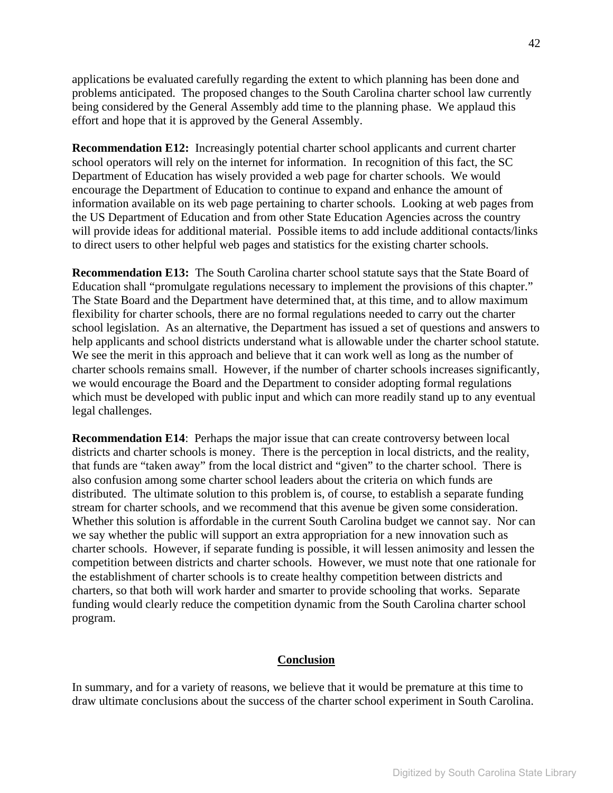applications be evaluated carefully regarding the extent to which planning has been done and problems anticipated. The proposed changes to the South Carolina charter school law currently being considered by the General Assembly add time to the planning phase. We applaud this effort and hope that it is approved by the General Assembly.

**Recommendation E12:** Increasingly potential charter school applicants and current charter school operators will rely on the internet for information. In recognition of this fact, the SC Department of Education has wisely provided a web page for charter schools. We would encourage the Department of Education to continue to expand and enhance the amount of information available on its web page pertaining to charter schools. Looking at web pages from the US Department of Education and from other State Education Agencies across the country will provide ideas for additional material. Possible items to add include additional contacts/links to direct users to other helpful web pages and statistics for the existing charter schools.

**Recommendation E13:** The South Carolina charter school statute says that the State Board of Education shall "promulgate regulations necessary to implement the provisions of this chapter." The State Board and the Department have determined that, at this time, and to allow maximum flexibility for charter schools, there are no formal regulations needed to carry out the charter school legislation. As an alternative, the Department has issued a set of questions and answers to help applicants and school districts understand what is allowable under the charter school statute. We see the merit in this approach and believe that it can work well as long as the number of charter schools remains small. However, if the number of charter schools increases significantly, we would encourage the Board and the Department to consider adopting formal regulations which must be developed with public input and which can more readily stand up to any eventual legal challenges.

**Recommendation E14**: Perhaps the major issue that can create controversy between local districts and charter schools is money. There is the perception in local districts, and the reality, that funds are "taken away" from the local district and "given" to the charter school. There is also confusion among some charter school leaders about the criteria on which funds are distributed. The ultimate solution to this problem is, of course, to establish a separate funding stream for charter schools, and we recommend that this avenue be given some consideration. Whether this solution is affordable in the current South Carolina budget we cannot say. Nor can we say whether the public will support an extra appropriation for a new innovation such as charter schools. However, if separate funding is possible, it will lessen animosity and lessen the competition between districts and charter schools. However, we must note that one rationale for the establishment of charter schools is to create healthy competition between districts and charters, so that both will work harder and smarter to provide schooling that works. Separate funding would clearly reduce the competition dynamic from the South Carolina charter school program.

#### **Conclusion**

In summary, and for a variety of reasons, we believe that it would be premature at this time to draw ultimate conclusions about the success of the charter school experiment in South Carolina.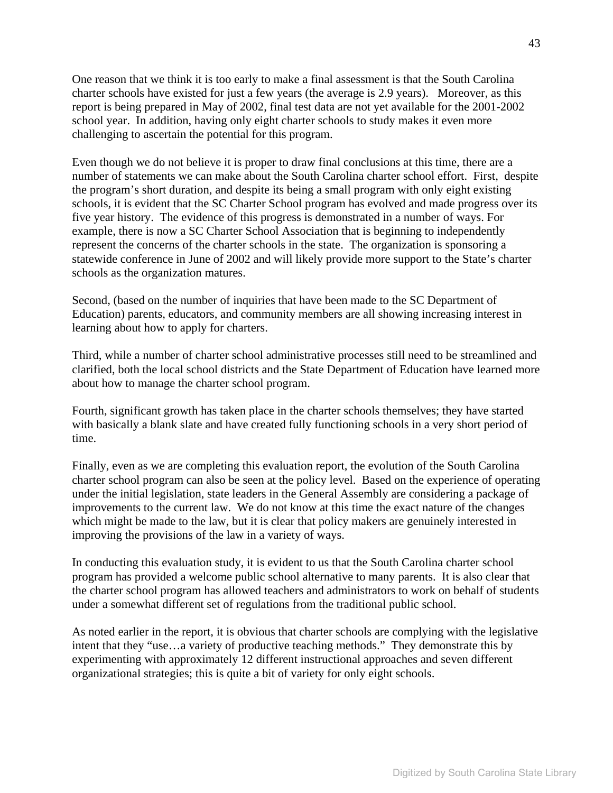One reason that we think it is too early to make a final assessment is that the South Carolina charter schools have existed for just a few years (the average is 2.9 years). Moreover, as this report is being prepared in May of 2002, final test data are not yet available for the 2001-2002 school year. In addition, having only eight charter schools to study makes it even more challenging to ascertain the potential for this program.

Even though we do not believe it is proper to draw final conclusions at this time, there are a number of statements we can make about the South Carolina charter school effort. First, despite the program's short duration, and despite its being a small program with only eight existing schools, it is evident that the SC Charter School program has evolved and made progress over its five year history. The evidence of this progress is demonstrated in a number of ways. For example, there is now a SC Charter School Association that is beginning to independently represent the concerns of the charter schools in the state. The organization is sponsoring a statewide conference in June of 2002 and will likely provide more support to the State's charter schools as the organization matures.

Second, (based on the number of inquiries that have been made to the SC Department of Education) parents, educators, and community members are all showing increasing interest in learning about how to apply for charters.

Third, while a number of charter school administrative processes still need to be streamlined and clarified, both the local school districts and the State Department of Education have learned more about how to manage the charter school program.

Fourth, significant growth has taken place in the charter schools themselves; they have started with basically a blank slate and have created fully functioning schools in a very short period of time.

Finally, even as we are completing this evaluation report, the evolution of the South Carolina charter school program can also be seen at the policy level. Based on the experience of operating under the initial legislation, state leaders in the General Assembly are considering a package of improvements to the current law. We do not know at this time the exact nature of the changes which might be made to the law, but it is clear that policy makers are genuinely interested in improving the provisions of the law in a variety of ways.

In conducting this evaluation study, it is evident to us that the South Carolina charter school program has provided a welcome public school alternative to many parents. It is also clear that the charter school program has allowed teachers and administrators to work on behalf of students under a somewhat different set of regulations from the traditional public school.

As noted earlier in the report, it is obvious that charter schools are complying with the legislative intent that they "use…a variety of productive teaching methods." They demonstrate this by experimenting with approximately 12 different instructional approaches and seven different organizational strategies; this is quite a bit of variety for only eight schools.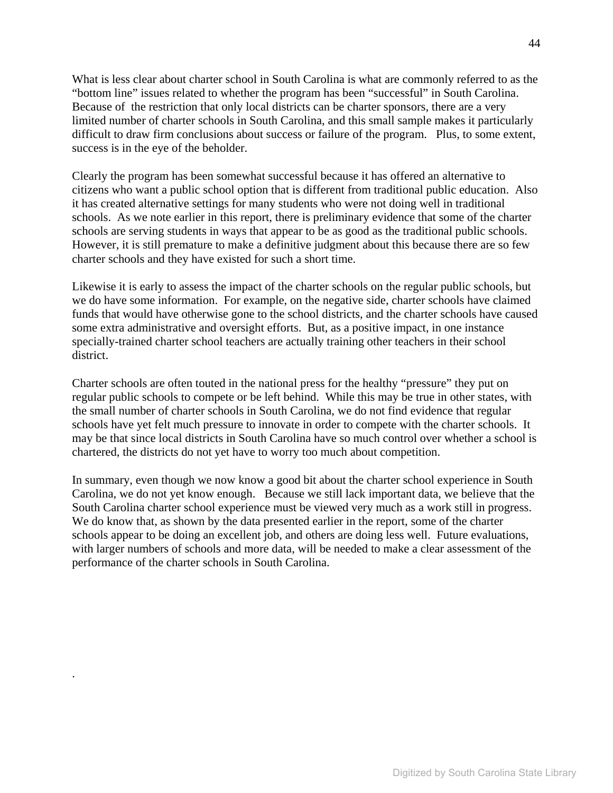What is less clear about charter school in South Carolina is what are commonly referred to as the "bottom line" issues related to whether the program has been "successful" in South Carolina. Because of the restriction that only local districts can be charter sponsors, there are a very limited number of charter schools in South Carolina, and this small sample makes it particularly difficult to draw firm conclusions about success or failure of the program. Plus, to some extent, success is in the eye of the beholder.

Clearly the program has been somewhat successful because it has offered an alternative to citizens who want a public school option that is different from traditional public education. Also it has created alternative settings for many students who were not doing well in traditional schools. As we note earlier in this report, there is preliminary evidence that some of the charter schools are serving students in ways that appear to be as good as the traditional public schools. However, it is still premature to make a definitive judgment about this because there are so few charter schools and they have existed for such a short time.

Likewise it is early to assess the impact of the charter schools on the regular public schools, but we do have some information. For example, on the negative side, charter schools have claimed funds that would have otherwise gone to the school districts, and the charter schools have caused some extra administrative and oversight efforts. But, as a positive impact, in one instance specially-trained charter school teachers are actually training other teachers in their school district.

Charter schools are often touted in the national press for the healthy "pressure" they put on regular public schools to compete or be left behind. While this may be true in other states, with the small number of charter schools in South Carolina, we do not find evidence that regular schools have yet felt much pressure to innovate in order to compete with the charter schools. It may be that since local districts in South Carolina have so much control over whether a school is chartered, the districts do not yet have to worry too much about competition.

In summary, even though we now know a good bit about the charter school experience in South Carolina, we do not yet know enough. Because we still lack important data, we believe that the South Carolina charter school experience must be viewed very much as a work still in progress. We do know that, as shown by the data presented earlier in the report, some of the charter schools appear to be doing an excellent job, and others are doing less well. Future evaluations, with larger numbers of schools and more data, will be needed to make a clear assessment of the performance of the charter schools in South Carolina.

.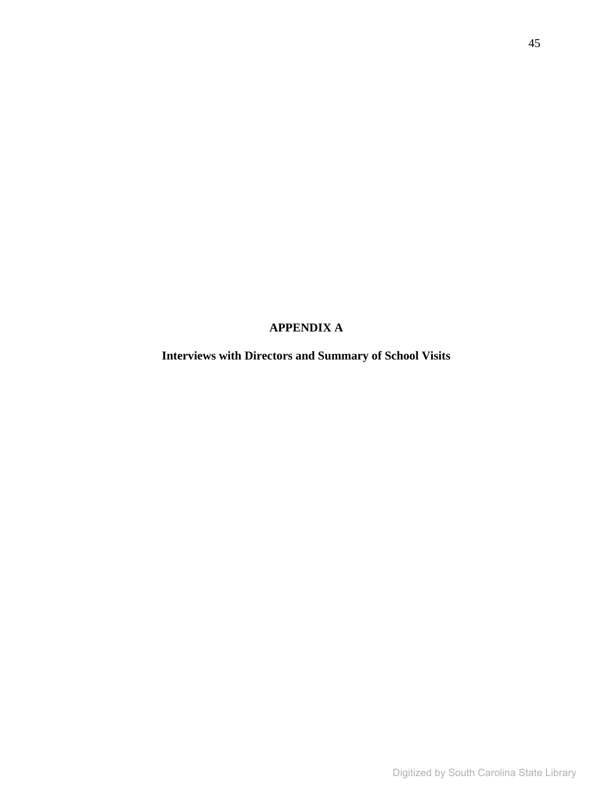# **APPENDIX A**

**Interviews with Directors and Summary of School Visits**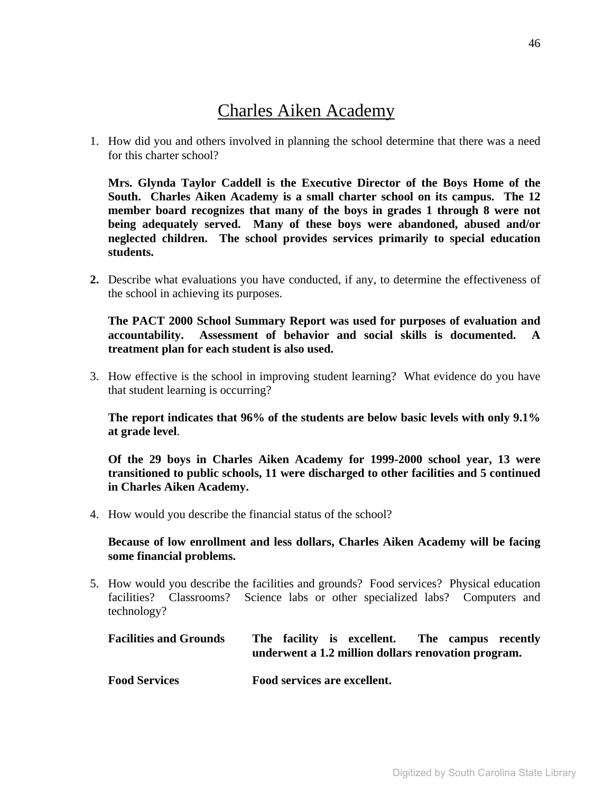# Charles Aiken Academy

1. How did you and others involved in planning the school determine that there was a need for this charter school?

**Mrs. Glynda Taylor Caddell is the Executive Director of the Boys Home of the South. Charles Aiken Academy is a small charter school on its campus. The 12 member board recognizes that many of the boys in grades 1 through 8 were not being adequately served. Many of these boys were abandoned, abused and/or neglected children. The school provides services primarily to special education students.** 

**2.** Describe what evaluations you have conducted, if any, to determine the effectiveness of the school in achieving its purposes.

**The PACT 2000 School Summary Report was used for purposes of evaluation and accountability. Assessment of behavior and social skills is documented. A treatment plan for each student is also used.** 

3. How effective is the school in improving student learning? What evidence do you have that student learning is occurring?

**The report indicates that 96% of the students are below basic levels with only 9.1% at grade level**.

**Of the 29 boys in Charles Aiken Academy for 1999-2000 school year, 13 were transitioned to public schools, 11 were discharged to other facilities and 5 continued in Charles Aiken Academy.** 

4. How would you describe the financial status of the school?

### **Because of low enrollment and less dollars, Charles Aiken Academy will be facing some financial problems.**

5. How would you describe the facilities and grounds? Food services? Physical education facilities? Classrooms? Science labs or other specialized labs? Computers and technology?

| <b>Facilities and Grounds</b> | The facility is excellent. The campus recently<br>underwent a 1.2 million dollars renovation program. |  |
|-------------------------------|-------------------------------------------------------------------------------------------------------|--|
| <b>Food Services</b>          | Food services are excellent.                                                                          |  |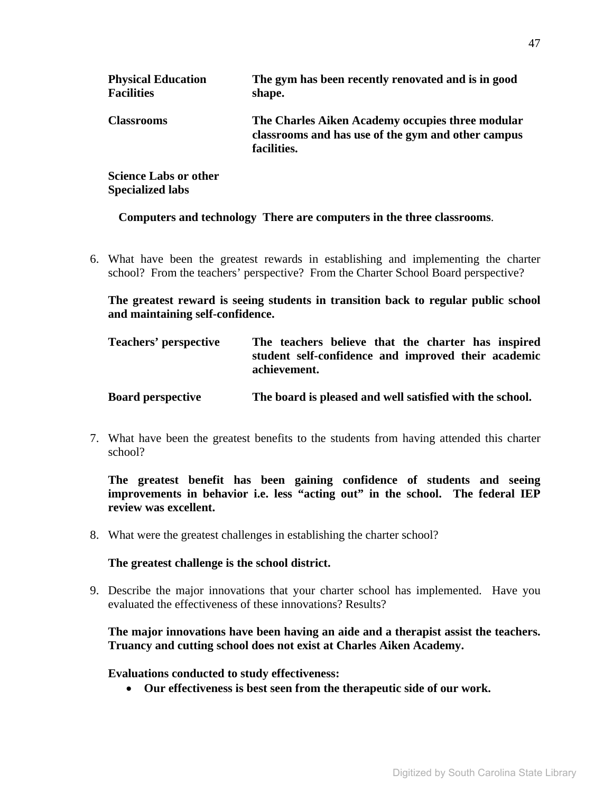| <b>Physical Education</b><br><b>Facilities</b> | The gym has been recently renovated and is in good<br>shape.                                                          |
|------------------------------------------------|-----------------------------------------------------------------------------------------------------------------------|
| <b>Classrooms</b>                              | The Charles Aiken Academy occupies three modular<br>classrooms and has use of the gym and other campus<br>facilities. |
| <b>Science Labs or other</b>                   |                                                                                                                       |

**Specialized labs** 

**Computers and technology There are computers in the three classrooms**.

6. What have been the greatest rewards in establishing and implementing the charter school? From the teachers' perspective? From the Charter School Board perspective?

**The greatest reward is seeing students in transition back to regular public school and maintaining self-confidence.** 

| <b>Teachers' perspective</b> |              |  |  | The teachers believe that the charter has inspired  |
|------------------------------|--------------|--|--|-----------------------------------------------------|
|                              | achievement. |  |  | student self-confidence and improved their academic |

**Board perspective The board is pleased and well satisfied with the school.** 

7. What have been the greatest benefits to the students from having attended this charter school?

**The greatest benefit has been gaining confidence of students and seeing improvements in behavior i.e. less "acting out" in the school. The federal IEP review was excellent.** 

8. What were the greatest challenges in establishing the charter school?

#### **The greatest challenge is the school district.**

9. Describe the major innovations that your charter school has implemented. Have you evaluated the effectiveness of these innovations? Results?

### **The major innovations have been having an aide and a therapist assist the teachers. Truancy and cutting school does not exist at Charles Aiken Academy.**

**Evaluations conducted to study effectiveness:** 

• **Our effectiveness is best seen from the therapeutic side of our work.**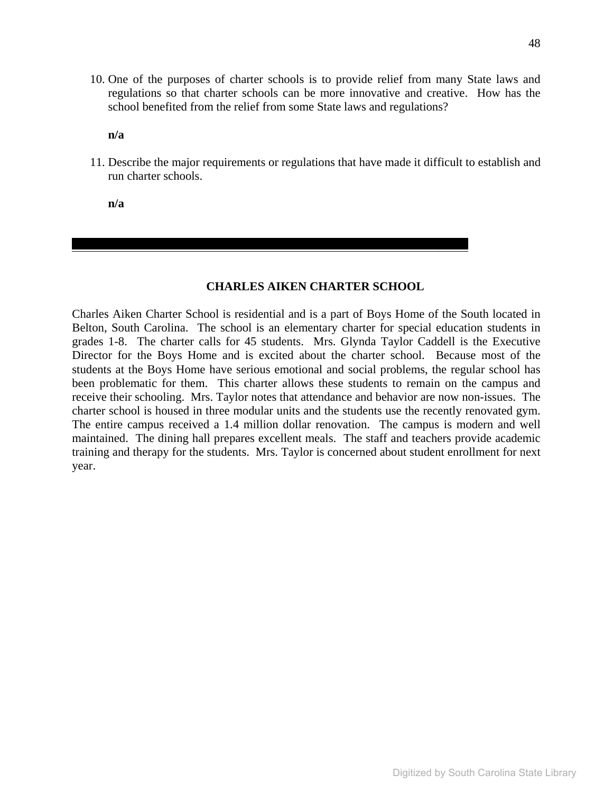10. One of the purposes of charter schools is to provide relief from many State laws and regulations so that charter schools can be more innovative and creative. How has the school benefited from the relief from some State laws and regulations?

**n/a** 

11. Describe the major requirements or regulations that have made it difficult to establish and run charter schools.

**n/a** 

#### **CHARLES AIKEN CHARTER SCHOOL**

 $\mathcal{L}_\mathcal{L} = \mathcal{L}_\mathcal{L} - \mathcal{L}_\mathcal{L}$ 

Charles Aiken Charter School is residential and is a part of Boys Home of the South located in Belton, South Carolina. The school is an elementary charter for special education students in grades 1-8. The charter calls for 45 students. Mrs. Glynda Taylor Caddell is the Executive Director for the Boys Home and is excited about the charter school. Because most of the students at the Boys Home have serious emotional and social problems, the regular school has been problematic for them. This charter allows these students to remain on the campus and receive their schooling. Mrs. Taylor notes that attendance and behavior are now non-issues. The charter school is housed in three modular units and the students use the recently renovated gym. The entire campus received a 1.4 million dollar renovation. The campus is modern and well maintained. The dining hall prepares excellent meals. The staff and teachers provide academic training and therapy for the students. Mrs. Taylor is concerned about student enrollment for next year.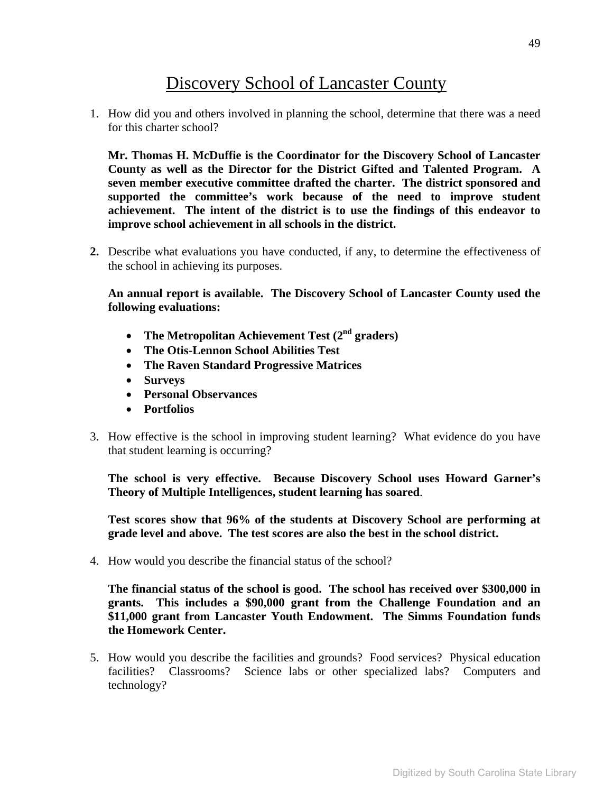# Discovery School of Lancaster County

1. How did you and others involved in planning the school, determine that there was a need for this charter school?

**Mr. Thomas H. McDuffie is the Coordinator for the Discovery School of Lancaster County as well as the Director for the District Gifted and Talented Program. A seven member executive committee drafted the charter. The district sponsored and supported the committee's work because of the need to improve student achievement. The intent of the district is to use the findings of this endeavor to improve school achievement in all schools in the district.** 

**2.** Describe what evaluations you have conducted, if any, to determine the effectiveness of the school in achieving its purposes.

**An annual report is available. The Discovery School of Lancaster County used the following evaluations:** 

- The Metropolitan Achievement Test (2<sup>nd</sup> graders)
- **The Otis-Lennon School Abilities Test**
- **The Raven Standard Progressive Matrices**
- **Surveys**
- **Personal Observances**
- **Portfolios**
- 3. How effective is the school in improving student learning? What evidence do you have that student learning is occurring?

**The school is very effective. Because Discovery School uses Howard Garner's Theory of Multiple Intelligences, student learning has soared**.

**Test scores show that 96% of the students at Discovery School are performing at grade level and above. The test scores are also the best in the school district.** 

4. How would you describe the financial status of the school?

**The financial status of the school is good. The school has received over \$300,000 in grants. This includes a \$90,000 grant from the Challenge Foundation and an \$11,000 grant from Lancaster Youth Endowment. The Simms Foundation funds the Homework Center.** 

5. How would you describe the facilities and grounds? Food services? Physical education facilities? Classrooms? Science labs or other specialized labs? Computers and technology?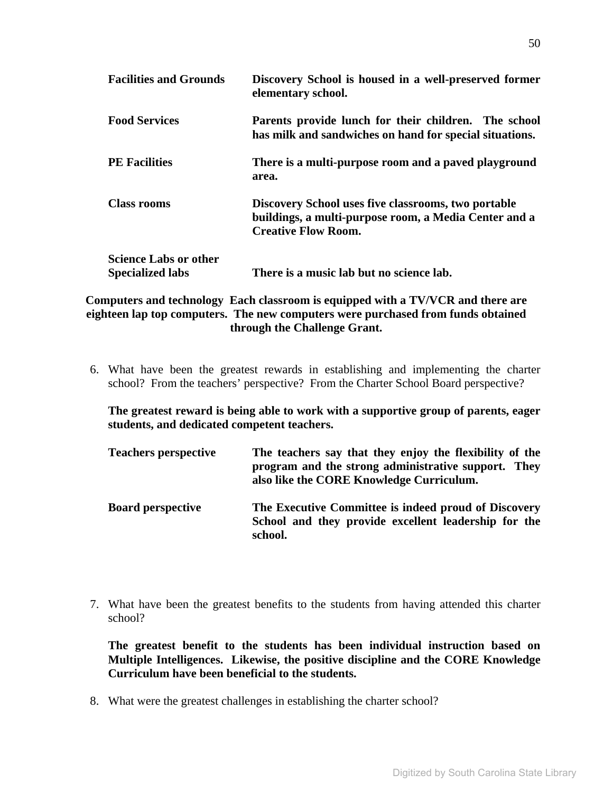| <b>Facilities and Grounds</b>                           | Discovery School is housed in a well-preserved former<br>elementary school.                                                                |
|---------------------------------------------------------|--------------------------------------------------------------------------------------------------------------------------------------------|
| <b>Food Services</b>                                    | Parents provide lunch for their children. The school<br>has milk and sandwiches on hand for special situations.                            |
| <b>PE Facilities</b>                                    | There is a multi-purpose room and a paved playground<br>area.                                                                              |
| <b>Class rooms</b>                                      | Discovery School uses five classrooms, two portable<br>buildings, a multi-purpose room, a Media Center and a<br><b>Creative Flow Room.</b> |
| <b>Science Labs or other</b><br><b>Specialized labs</b> | There is a music lab but no science lab.                                                                                                   |

**Computers and technology Each classroom is equipped with a TV/VCR and there are eighteen lap top computers. The new computers were purchased from funds obtained through the Challenge Grant.** 

6. What have been the greatest rewards in establishing and implementing the charter school? From the teachers' perspective? From the Charter School Board perspective?

**The greatest reward is being able to work with a supportive group of parents, eager students, and dedicated competent teachers.** 

| <b>Teachers perspective</b> | The teachers say that they enjoy the flexibility of the<br>program and the strong administrative support. They<br>also like the CORE Knowledge Curriculum. |
|-----------------------------|------------------------------------------------------------------------------------------------------------------------------------------------------------|
| <b>Board perspective</b>    | The Executive Committee is indeed proud of Discovery<br>School and they provide excellent leadership for the<br>school.                                    |

7. What have been the greatest benefits to the students from having attended this charter school?

**The greatest benefit to the students has been individual instruction based on Multiple Intelligences. Likewise, the positive discipline and the CORE Knowledge Curriculum have been beneficial to the students.** 

8. What were the greatest challenges in establishing the charter school?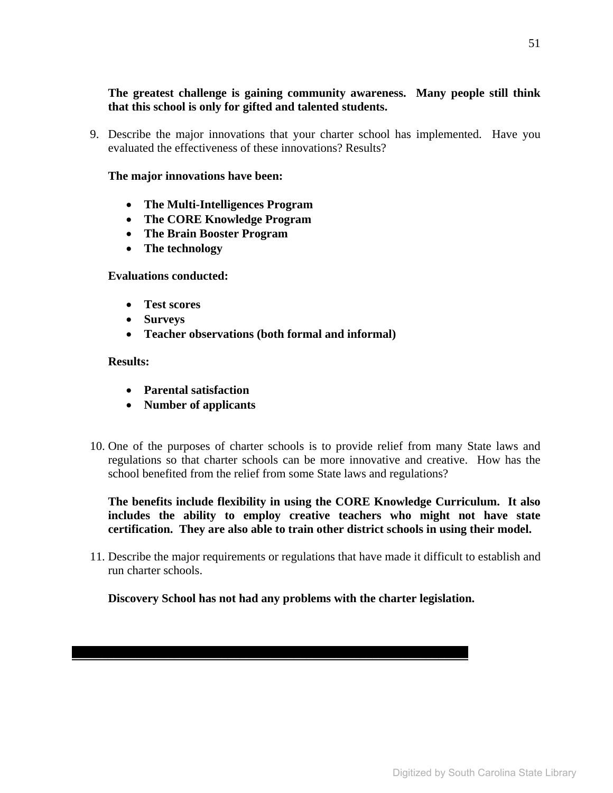# **The greatest challenge is gaining community awareness. Many people still think that this school is only for gifted and talented students.**

9. Describe the major innovations that your charter school has implemented. Have you evaluated the effectiveness of these innovations? Results?

#### **The major innovations have been:**

- **The Multi-Intelligences Program**
- **The CORE Knowledge Program**
- **The Brain Booster Program**
- **The technology**

#### **Evaluations conducted:**

- **Test scores**
- **Surveys**
- **Teacher observations (both formal and informal)**

#### **Results:**

- **Parental satisfaction**
- **Number of applicants**
- 10. One of the purposes of charter schools is to provide relief from many State laws and regulations so that charter schools can be more innovative and creative. How has the school benefited from the relief from some State laws and regulations?

**The benefits include flexibility in using the CORE Knowledge Curriculum. It also includes the ability to employ creative teachers who might not have state certification. They are also able to train other district schools in using their model.** 

11. Describe the major requirements or regulations that have made it difficult to establish and run charter schools.

**Discovery School has not had any problems with the charter legislation.** 

 $\mathcal{L}_\mathcal{L} = \mathcal{L}_\mathcal{L} + \mathcal{L}_\mathcal{L} + \mathcal{L}_\mathcal{L} + \mathcal{L}_\mathcal{L} + \mathcal{L}_\mathcal{L} + \mathcal{L}_\mathcal{L} + \mathcal{L}_\mathcal{L} + \mathcal{L}_\mathcal{L} + \mathcal{L}_\mathcal{L} + \mathcal{L}_\mathcal{L} + \mathcal{L}_\mathcal{L} + \mathcal{L}_\mathcal{L} + \mathcal{L}_\mathcal{L} + \mathcal{L}_\mathcal{L} + \mathcal{L}_\mathcal{L} + \mathcal{L}_\mathcal{L}$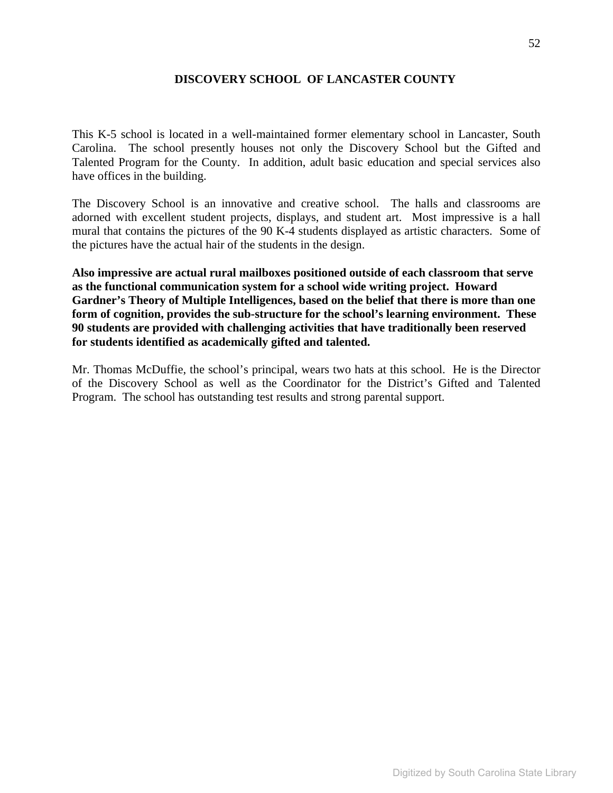## **DISCOVERY SCHOOL OF LANCASTER COUNTY**

This K-5 school is located in a well-maintained former elementary school in Lancaster, South Carolina. The school presently houses not only the Discovery School but the Gifted and Talented Program for the County. In addition, adult basic education and special services also have offices in the building.

The Discovery School is an innovative and creative school. The halls and classrooms are adorned with excellent student projects, displays, and student art. Most impressive is a hall mural that contains the pictures of the 90 K-4 students displayed as artistic characters. Some of the pictures have the actual hair of the students in the design.

**Also impressive are actual rural mailboxes positioned outside of each classroom that serve as the functional communication system for a school wide writing project. Howard Gardner's Theory of Multiple Intelligences, based on the belief that there is more than one form of cognition, provides the sub-structure for the school's learning environment. These 90 students are provided with challenging activities that have traditionally been reserved for students identified as academically gifted and talented.** 

Mr. Thomas McDuffie, the school's principal, wears two hats at this school. He is the Director of the Discovery School as well as the Coordinator for the District's Gifted and Talented Program. The school has outstanding test results and strong parental support.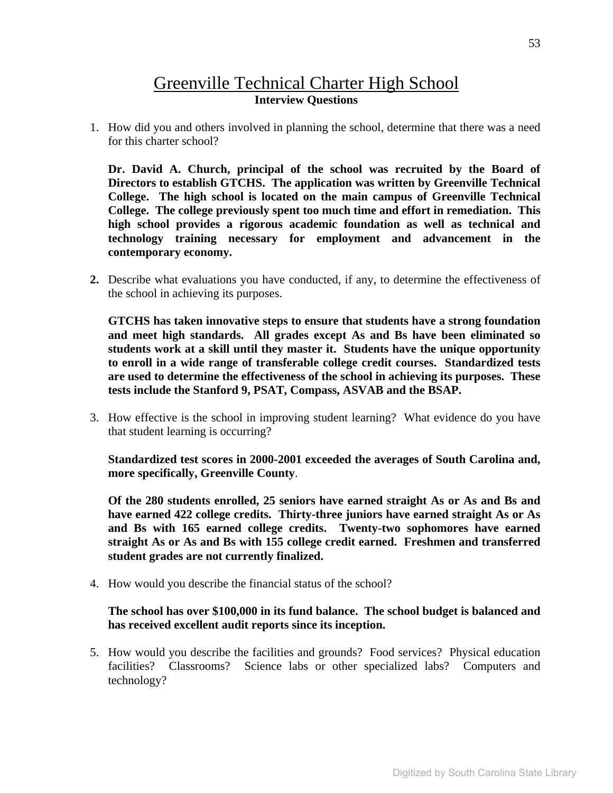# Greenville Technical Charter High School **Interview Questions**

1. How did you and others involved in planning the school, determine that there was a need for this charter school?

**Dr. David A. Church, principal of the school was recruited by the Board of Directors to establish GTCHS. The application was written by Greenville Technical College. The high school is located on the main campus of Greenville Technical College. The college previously spent too much time and effort in remediation. This high school provides a rigorous academic foundation as well as technical and technology training necessary for employment and advancement in the contemporary economy.** 

**2.** Describe what evaluations you have conducted, if any, to determine the effectiveness of the school in achieving its purposes.

**GTCHS has taken innovative steps to ensure that students have a strong foundation and meet high standards. All grades except As and Bs have been eliminated so students work at a skill until they master it. Students have the unique opportunity to enroll in a wide range of transferable college credit courses. Standardized tests are used to determine the effectiveness of the school in achieving its purposes. These tests include the Stanford 9, PSAT, Compass, ASVAB and the BSAP.** 

3. How effective is the school in improving student learning? What evidence do you have that student learning is occurring?

**Standardized test scores in 2000-2001 exceeded the averages of South Carolina and, more specifically, Greenville County**.

**Of the 280 students enrolled, 25 seniors have earned straight As or As and Bs and have earned 422 college credits. Thirty-three juniors have earned straight As or As and Bs with 165 earned college credits. Twenty-two sophomores have earned straight As or As and Bs with 155 college credit earned. Freshmen and transferred student grades are not currently finalized.** 

4. How would you describe the financial status of the school?

### **The school has over \$100,000 in its fund balance. The school budget is balanced and has received excellent audit reports since its inception.**

5. How would you describe the facilities and grounds? Food services? Physical education facilities? Classrooms? Science labs or other specialized labs? Computers and technology?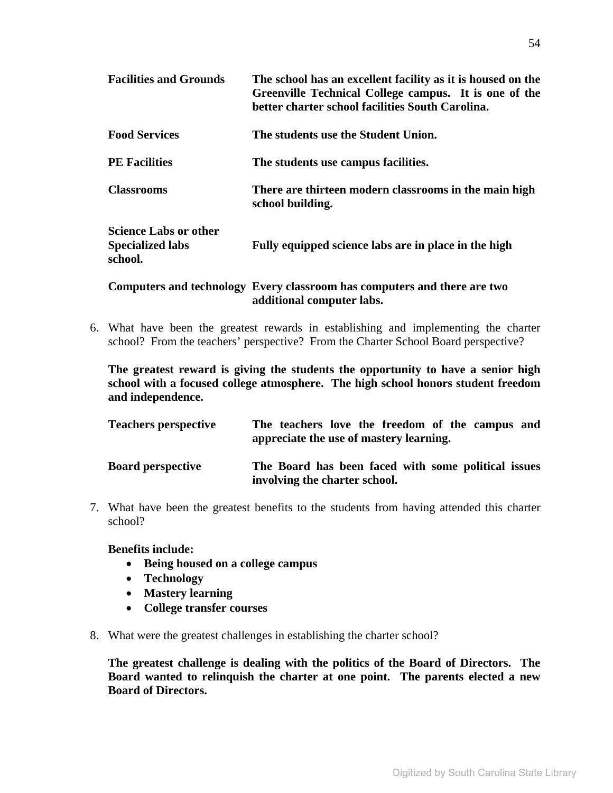| <b>Facilities and Grounds</b>                                      | The school has an excellent facility as it is housed on the<br>Greenville Technical College campus. It is one of the<br>better charter school facilities South Carolina. |
|--------------------------------------------------------------------|--------------------------------------------------------------------------------------------------------------------------------------------------------------------------|
| <b>Food Services</b>                                               | The students use the Student Union.                                                                                                                                      |
| <b>PE</b> Facilities                                               | The students use campus facilities.                                                                                                                                      |
| <b>Classrooms</b>                                                  | There are thirteen modern classrooms in the main high<br>school building.                                                                                                |
| <b>Science Labs or other</b><br><b>Specialized labs</b><br>school. | Fully equipped science labs are in place in the high                                                                                                                     |
|                                                                    |                                                                                                                                                                          |

**Computers and technology Every classroom has computers and there are two additional computer labs.** 

6. What have been the greatest rewards in establishing and implementing the charter school? From the teachers' perspective? From the Charter School Board perspective?

**The greatest reward is giving the students the opportunity to have a senior high school with a focused college atmosphere. The high school honors student freedom and independence.** 

| <b>Teachers perspective</b> | The teachers love the freedom of the campus and<br>appreciate the use of mastery learning. |
|-----------------------------|--------------------------------------------------------------------------------------------|
| <b>Board perspective</b>    | The Board has been faced with some political issues<br>involving the charter school.       |

7. What have been the greatest benefits to the students from having attended this charter school?

**Benefits include:** 

- **Being housed on a college campus**
- **Technology**
- **Mastery learning**
- **College transfer courses**
- 8. What were the greatest challenges in establishing the charter school?

**The greatest challenge is dealing with the politics of the Board of Directors. The Board wanted to relinquish the charter at one point. The parents elected a new Board of Directors.**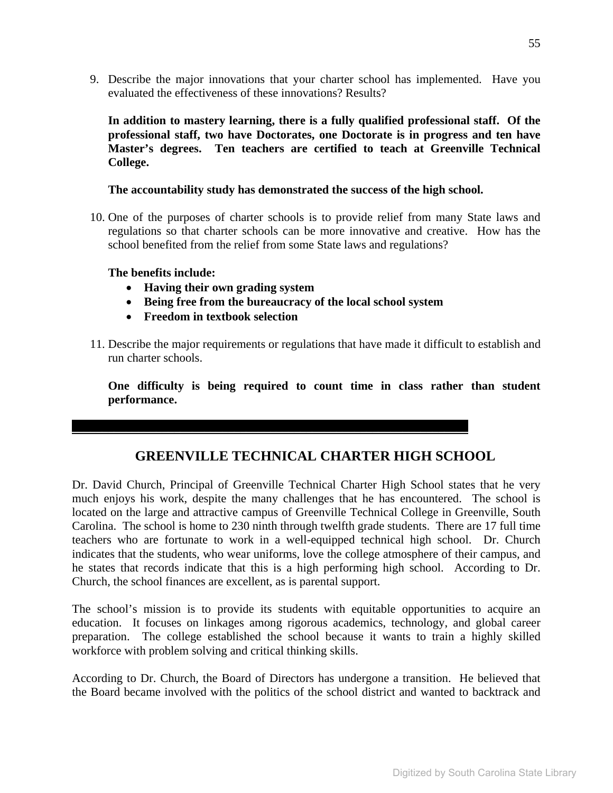9. Describe the major innovations that your charter school has implemented. Have you evaluated the effectiveness of these innovations? Results?

**In addition to mastery learning, there is a fully qualified professional staff. Of the professional staff, two have Doctorates, one Doctorate is in progress and ten have Master's degrees. Ten teachers are certified to teach at Greenville Technical College.** 

**The accountability study has demonstrated the success of the high school.**

10. One of the purposes of charter schools is to provide relief from many State laws and regulations so that charter schools can be more innovative and creative. How has the school benefited from the relief from some State laws and regulations?

**The benefits include:** 

- **Having their own grading system**
- **Being free from the bureaucracy of the local school system**

\_\_\_\_\_\_\_\_\_\_\_\_\_\_\_\_\_\_\_\_\_\_\_\_\_\_\_\_\_\_\_\_\_\_\_\_\_\_\_\_\_\_\_\_\_\_\_\_\_\_\_\_\_\_\_\_\_\_\_\_\_\_\_\_\_\_

- **Freedom in textbook selection**
- 11. Describe the major requirements or regulations that have made it difficult to establish and run charter schools.

**One difficulty is being required to count time in class rather than student performance.** 

# **GREENVILLE TECHNICAL CHARTER HIGH SCHOOL**

Dr. David Church, Principal of Greenville Technical Charter High School states that he very much enjoys his work, despite the many challenges that he has encountered. The school is located on the large and attractive campus of Greenville Technical College in Greenville, South Carolina. The school is home to 230 ninth through twelfth grade students. There are 17 full time teachers who are fortunate to work in a well-equipped technical high school. Dr. Church indicates that the students, who wear uniforms, love the college atmosphere of their campus, and he states that records indicate that this is a high performing high school. According to Dr. Church, the school finances are excellent, as is parental support.

The school's mission is to provide its students with equitable opportunities to acquire an education. It focuses on linkages among rigorous academics, technology, and global career preparation. The college established the school because it wants to train a highly skilled workforce with problem solving and critical thinking skills.

According to Dr. Church, the Board of Directors has undergone a transition. He believed that the Board became involved with the politics of the school district and wanted to backtrack and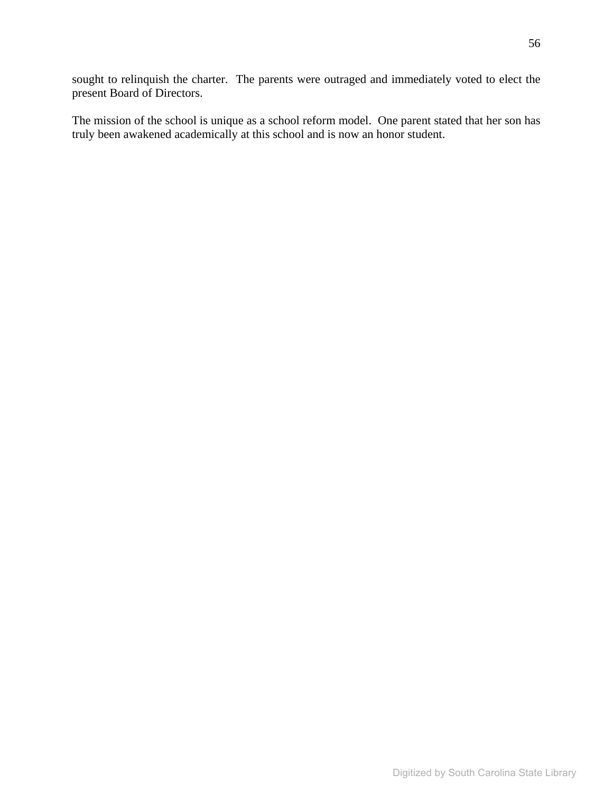sought to relinquish the charter. The parents were outraged and immediately voted to elect the present Board of Directors.

The mission of the school is unique as a school reform model. One parent stated that her son has truly been awakened academically at this school and is now an honor student.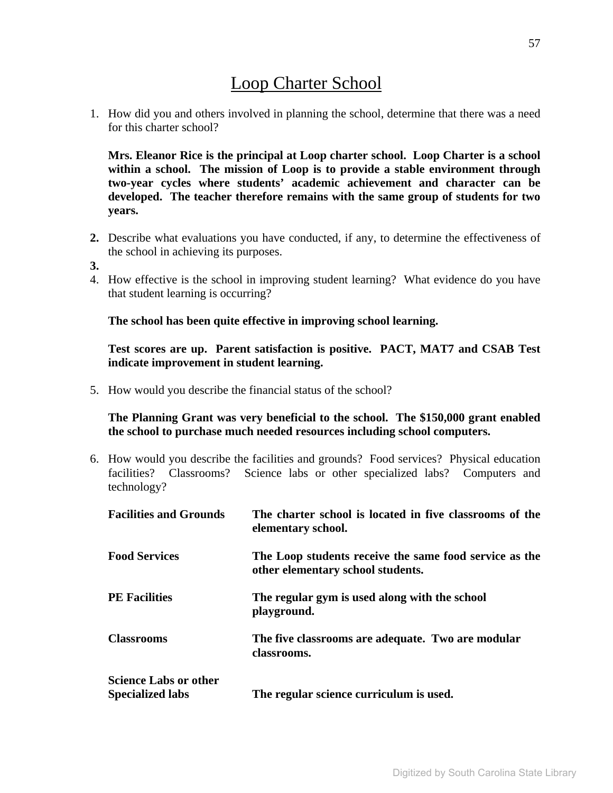# Loop Charter School

1. How did you and others involved in planning the school, determine that there was a need for this charter school?

**Mrs. Eleanor Rice is the principal at Loop charter school. Loop Charter is a school within a school. The mission of Loop is to provide a stable environment through two-year cycles where students' academic achievement and character can be developed. The teacher therefore remains with the same group of students for two years.** 

- **2.** Describe what evaluations you have conducted, if any, to determine the effectiveness of the school in achieving its purposes.
- **3.**
- 4. How effective is the school in improving student learning? What evidence do you have that student learning is occurring?

**The school has been quite effective in improving school learning.** 

**Test scores are up. Parent satisfaction is positive. PACT, MAT7 and CSAB Test indicate improvement in student learning.** 

5. How would you describe the financial status of the school?

**The Planning Grant was very beneficial to the school. The \$150,000 grant enabled the school to purchase much needed resources including school computers.** 

6. How would you describe the facilities and grounds? Food services? Physical education facilities? Classrooms? Science labs or other specialized labs? Computers and technology?

| <b>Facilities and Grounds</b>                           | The charter school is located in five classrooms of the<br>elementary school.               |
|---------------------------------------------------------|---------------------------------------------------------------------------------------------|
| <b>Food Services</b>                                    | The Loop students receive the same food service as the<br>other elementary school students. |
| <b>PE</b> Facilities                                    | The regular gym is used along with the school<br>playground.                                |
| <b>Classrooms</b>                                       | The five classrooms are adequate. Two are modular<br>classrooms.                            |
| <b>Science Labs or other</b><br><b>Specialized labs</b> | The regular science curriculum is used.                                                     |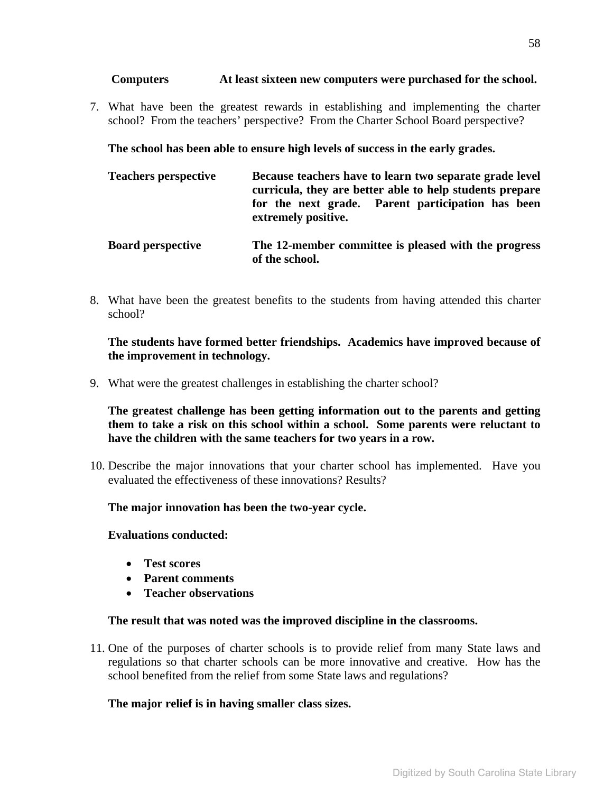### **Computers At least sixteen new computers were purchased for the school.**

7. What have been the greatest rewards in establishing and implementing the charter school? From the teachers' perspective? From the Charter School Board perspective?

**The school has been able to ensure high levels of success in the early grades.** 

| <b>Teachers perspective</b> | Because teachers have to learn two separate grade level<br>curricula, they are better able to help students prepare<br>for the next grade. Parent participation has been<br>extremely positive. |
|-----------------------------|-------------------------------------------------------------------------------------------------------------------------------------------------------------------------------------------------|
| <b>Board perspective</b>    | The 12-member committee is pleased with the progress<br>of the school.                                                                                                                          |

8. What have been the greatest benefits to the students from having attended this charter school?

**The students have formed better friendships. Academics have improved because of the improvement in technology.** 

9. What were the greatest challenges in establishing the charter school?

**The greatest challenge has been getting information out to the parents and getting them to take a risk on this school within a school. Some parents were reluctant to have the children with the same teachers for two years in a row.** 

10. Describe the major innovations that your charter school has implemented. Have you evaluated the effectiveness of these innovations? Results?

**The major innovation has been the two-year cycle.** 

**Evaluations conducted:** 

- **Test scores**
- **Parent comments**
- **Teacher observations**

### **The result that was noted was the improved discipline in the classrooms.**

11. One of the purposes of charter schools is to provide relief from many State laws and regulations so that charter schools can be more innovative and creative. How has the school benefited from the relief from some State laws and regulations?

### **The major relief is in having smaller class sizes.**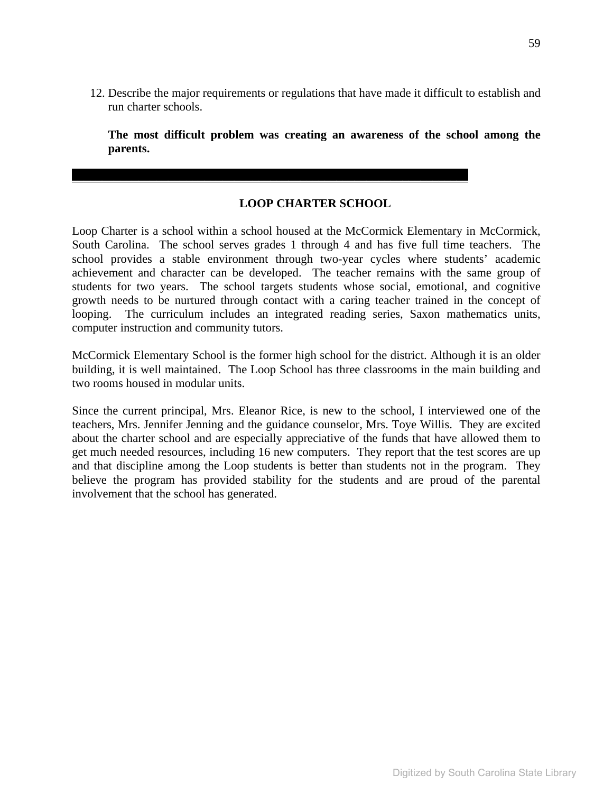12. Describe the major requirements or regulations that have made it difficult to establish and run charter schools.

**The most difficult problem was creating an awareness of the school among the parents.** 

## **LOOP CHARTER SCHOOL**

 $\mathcal{L}_\mathcal{L} = \mathcal{L}_\mathcal{L} - \mathcal{L}_\mathcal{L}$ 

Loop Charter is a school within a school housed at the McCormick Elementary in McCormick, South Carolina. The school serves grades 1 through 4 and has five full time teachers. The school provides a stable environment through two-year cycles where students' academic achievement and character can be developed. The teacher remains with the same group of students for two years. The school targets students whose social, emotional, and cognitive growth needs to be nurtured through contact with a caring teacher trained in the concept of looping. The curriculum includes an integrated reading series, Saxon mathematics units, computer instruction and community tutors.

McCormick Elementary School is the former high school for the district. Although it is an older building, it is well maintained. The Loop School has three classrooms in the main building and two rooms housed in modular units.

Since the current principal, Mrs. Eleanor Rice, is new to the school, I interviewed one of the teachers, Mrs. Jennifer Jenning and the guidance counselor, Mrs. Toye Willis. They are excited about the charter school and are especially appreciative of the funds that have allowed them to get much needed resources, including 16 new computers. They report that the test scores are up and that discipline among the Loop students is better than students not in the program. They believe the program has provided stability for the students and are proud of the parental involvement that the school has generated.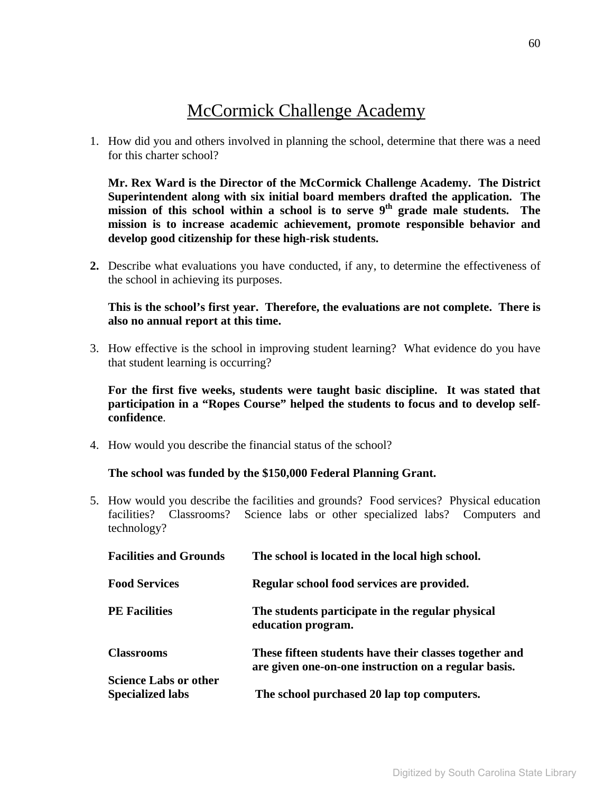# McCormick Challenge Academy

1. How did you and others involved in planning the school, determine that there was a need for this charter school?

**Mr. Rex Ward is the Director of the McCormick Challenge Academy. The District Superintendent along with six initial board members drafted the application. The**  mission of this school within a school is to serve 9<sup>th</sup> grade male students. The **mission is to increase academic achievement, promote responsible behavior and develop good citizenship for these high-risk students.** 

**2.** Describe what evaluations you have conducted, if any, to determine the effectiveness of the school in achieving its purposes.

# **This is the school's first year. Therefore, the evaluations are not complete. There is also no annual report at this time.**

3. How effective is the school in improving student learning? What evidence do you have that student learning is occurring?

**For the first five weeks, students were taught basic discipline. It was stated that participation in a "Ropes Course" helped the students to focus and to develop selfconfidence**.

4. How would you describe the financial status of the school?

### **The school was funded by the \$150,000 Federal Planning Grant.**

5. How would you describe the facilities and grounds? Food services? Physical education facilities? Classrooms? Science labs or other specialized labs? Computers and technology?

| <b>Facilities and Grounds</b>                           | The school is located in the local high school.                                                                |
|---------------------------------------------------------|----------------------------------------------------------------------------------------------------------------|
| <b>Food Services</b>                                    | Regular school food services are provided.                                                                     |
| <b>PE Facilities</b>                                    | The students participate in the regular physical<br>education program.                                         |
| <b>Classrooms</b>                                       | These fifteen students have their classes together and<br>are given one-on-one instruction on a regular basis. |
| <b>Science Labs or other</b><br><b>Specialized labs</b> | The school purchased 20 lap top computers.                                                                     |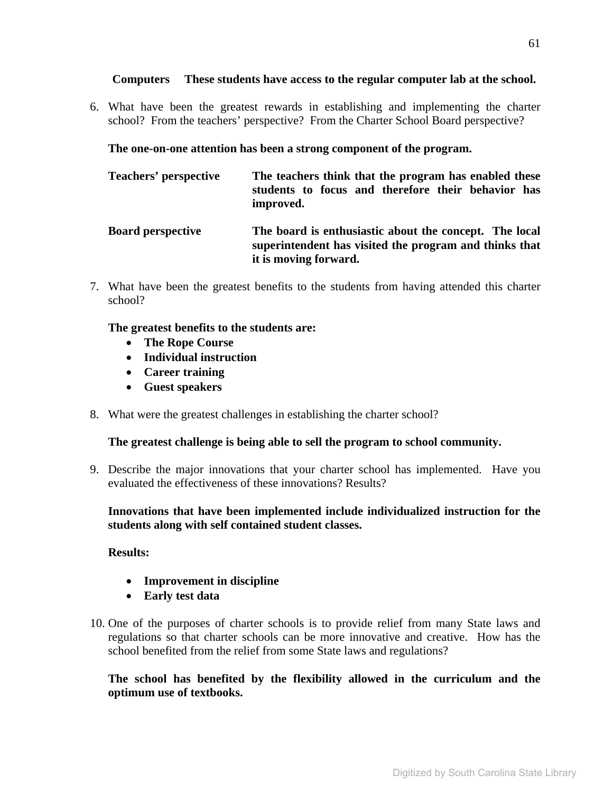### **Computers These students have access to the regular computer lab at the school.**

6. What have been the greatest rewards in establishing and implementing the charter school? From the teachers' perspective? From the Charter School Board perspective?

**The one-on-one attention has been a strong component of the program.** 

| Teachers' perspective    | The teachers think that the program has enabled these<br>students to focus and therefore their behavior has<br>improved.                  |
|--------------------------|-------------------------------------------------------------------------------------------------------------------------------------------|
| <b>Board perspective</b> | The board is enthusiastic about the concept. The local<br>superintendent has visited the program and thinks that<br>it is moving forward. |

7. What have been the greatest benefits to the students from having attended this charter school?

**The greatest benefits to the students are:** 

- **The Rope Course**
- **Individual instruction**
- **Career training**
- **Guest speakers**
- 8. What were the greatest challenges in establishing the charter school?

# **The greatest challenge is being able to sell the program to school community.**

9. Describe the major innovations that your charter school has implemented. Have you evaluated the effectiveness of these innovations? Results?

**Innovations that have been implemented include individualized instruction for the students along with self contained student classes.** 

### **Results:**

- **Improvement in discipline**
- **Early test data**
- 10. One of the purposes of charter schools is to provide relief from many State laws and regulations so that charter schools can be more innovative and creative. How has the school benefited from the relief from some State laws and regulations?

**The school has benefited by the flexibility allowed in the curriculum and the optimum use of textbooks.**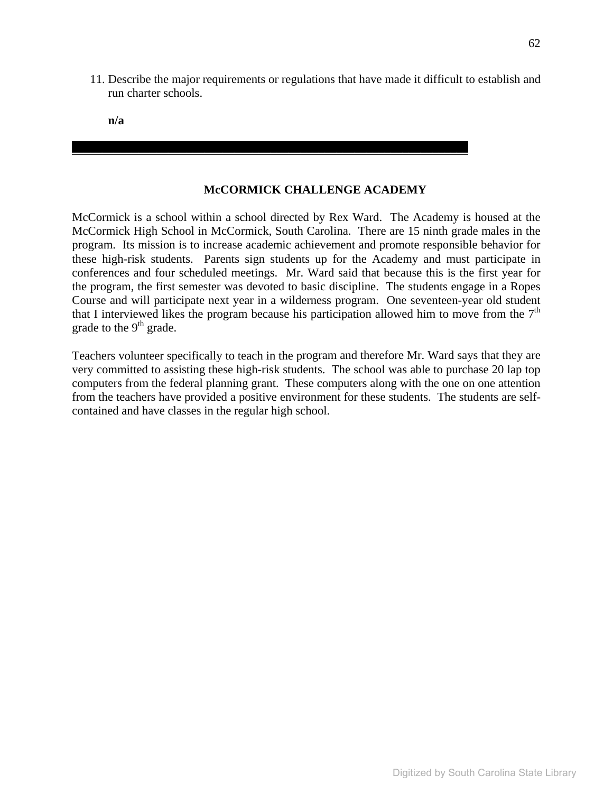11. Describe the major requirements or regulations that have made it difficult to establish and run charter schools.

**n/a** 

## **McCORMICK CHALLENGE ACADEMY**

\_\_\_\_\_\_\_\_\_\_\_\_\_\_\_\_\_\_\_\_\_\_\_\_\_\_\_\_\_\_\_\_\_\_\_\_\_\_\_\_\_\_\_\_\_\_\_\_\_\_\_\_\_\_\_\_\_\_\_\_\_\_\_\_\_\_

McCormick is a school within a school directed by Rex Ward. The Academy is housed at the McCormick High School in McCormick, South Carolina. There are 15 ninth grade males in the program. Its mission is to increase academic achievement and promote responsible behavior for these high-risk students. Parents sign students up for the Academy and must participate in conferences and four scheduled meetings. Mr. Ward said that because this is the first year for the program, the first semester was devoted to basic discipline. The students engage in a Ropes Course and will participate next year in a wilderness program. One seventeen-year old student that I interviewed likes the program because his participation allowed him to move from the  $7<sup>th</sup>$ grade to the  $9<sup>th</sup>$  grade.

Teachers volunteer specifically to teach in the program and therefore Mr. Ward says that they are very committed to assisting these high-risk students. The school was able to purchase 20 lap top computers from the federal planning grant. These computers along with the one on one attention from the teachers have provided a positive environment for these students. The students are selfcontained and have classes in the regular high school.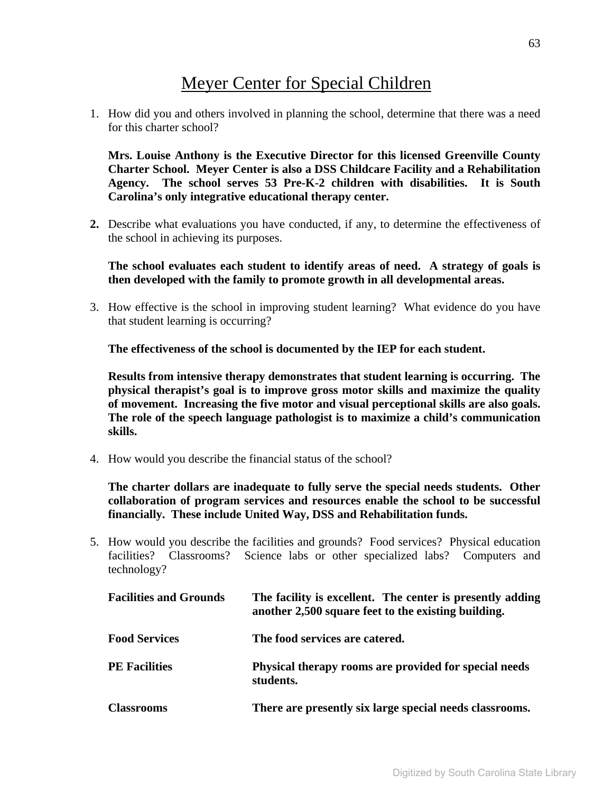# Meyer Center for Special Children

1. How did you and others involved in planning the school, determine that there was a need for this charter school?

**Mrs. Louise Anthony is the Executive Director for this licensed Greenville County Charter School. Meyer Center is also a DSS Childcare Facility and a Rehabilitation Agency. The school serves 53 Pre-K-2 children with disabilities. It is South Carolina's only integrative educational therapy center.** 

**2.** Describe what evaluations you have conducted, if any, to determine the effectiveness of the school in achieving its purposes.

**The school evaluates each student to identify areas of need. A strategy of goals is then developed with the family to promote growth in all developmental areas.** 

3. How effective is the school in improving student learning? What evidence do you have that student learning is occurring?

**The effectiveness of the school is documented by the IEP for each student.** 

**Results from intensive therapy demonstrates that student learning is occurring. The physical therapist's goal is to improve gross motor skills and maximize the quality of movement. Increasing the five motor and visual perceptional skills are also goals. The role of the speech language pathologist is to maximize a child's communication skills.** 

4. How would you describe the financial status of the school?

**The charter dollars are inadequate to fully serve the special needs students. Other collaboration of program services and resources enable the school to be successful financially. These include United Way, DSS and Rehabilitation funds.** 

5. How would you describe the facilities and grounds? Food services? Physical education facilities? Classrooms? Science labs or other specialized labs? Computers and technology?

| <b>Facilities and Grounds</b> | The facility is excellent. The center is presently adding<br>another 2,500 square feet to the existing building. |
|-------------------------------|------------------------------------------------------------------------------------------------------------------|
| <b>Food Services</b>          | The food services are catered.                                                                                   |
| <b>PE</b> Facilities          | Physical therapy rooms are provided for special needs<br>students.                                               |
| <b>Classrooms</b>             | There are presently six large special needs classrooms.                                                          |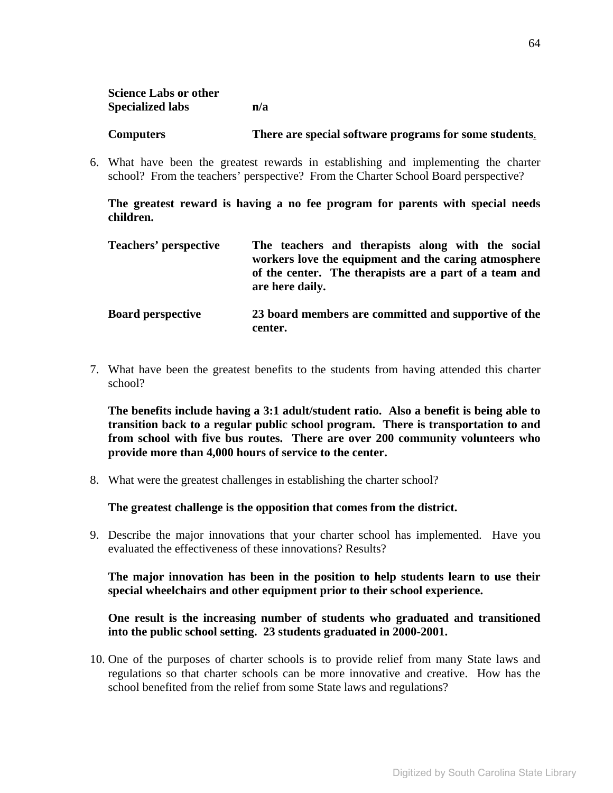| <b>Science Labs or other</b> |     |
|------------------------------|-----|
| <b>Specialized labs</b>      | n/a |

#### **Computers There are special software programs for some students**.

6. What have been the greatest rewards in establishing and implementing the charter school? From the teachers' perspective? From the Charter School Board perspective?

**The greatest reward is having a no fee program for parents with special needs children.** 

| Teachers' perspective    | The teachers and therapists along with the social<br>workers love the equipment and the caring atmosphere<br>of the center. The therapists are a part of a team and<br>are here daily. |
|--------------------------|----------------------------------------------------------------------------------------------------------------------------------------------------------------------------------------|
| <b>Board perspective</b> | 23 board members are committed and supportive of the<br>center.                                                                                                                        |

7. What have been the greatest benefits to the students from having attended this charter school?

**The benefits include having a 3:1 adult/student ratio. Also a benefit is being able to transition back to a regular public school program. There is transportation to and from school with five bus routes. There are over 200 community volunteers who provide more than 4,000 hours of service to the center.** 

8. What were the greatest challenges in establishing the charter school?

**The greatest challenge is the opposition that comes from the district.** 

9. Describe the major innovations that your charter school has implemented. Have you evaluated the effectiveness of these innovations? Results?

**The major innovation has been in the position to help students learn to use their special wheelchairs and other equipment prior to their school experience.**

## **One result is the increasing number of students who graduated and transitioned into the public school setting. 23 students graduated in 2000-2001.**

10. One of the purposes of charter schools is to provide relief from many State laws and regulations so that charter schools can be more innovative and creative. How has the school benefited from the relief from some State laws and regulations?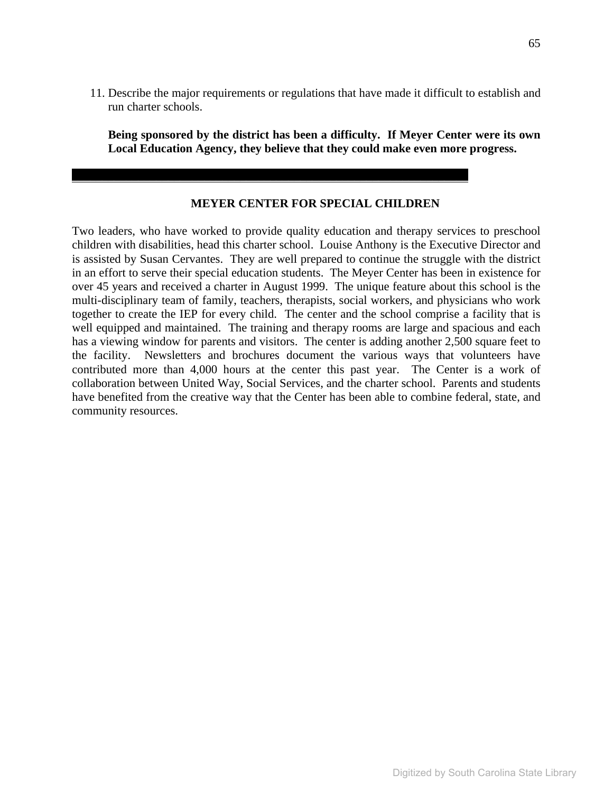11. Describe the major requirements or regulations that have made it difficult to establish and run charter schools.

**Being sponsored by the district has been a difficulty. If Meyer Center were its own Local Education Agency, they believe that they could make even more progress.** 

#### **MEYER CENTER FOR SPECIAL CHILDREN**

 $\mathcal{L}_\mathcal{L} = \mathcal{L}_\mathcal{L} - \mathcal{L}_\mathcal{L}$ 

Two leaders, who have worked to provide quality education and therapy services to preschool children with disabilities, head this charter school. Louise Anthony is the Executive Director and is assisted by Susan Cervantes. They are well prepared to continue the struggle with the district in an effort to serve their special education students. The Meyer Center has been in existence for over 45 years and received a charter in August 1999. The unique feature about this school is the multi-disciplinary team of family, teachers, therapists, social workers, and physicians who work together to create the IEP for every child. The center and the school comprise a facility that is well equipped and maintained. The training and therapy rooms are large and spacious and each has a viewing window for parents and visitors. The center is adding another 2,500 square feet to the facility. Newsletters and brochures document the various ways that volunteers have contributed more than 4,000 hours at the center this past year. The Center is a work of collaboration between United Way, Social Services, and the charter school. Parents and students have benefited from the creative way that the Center has been able to combine federal, state, and community resources.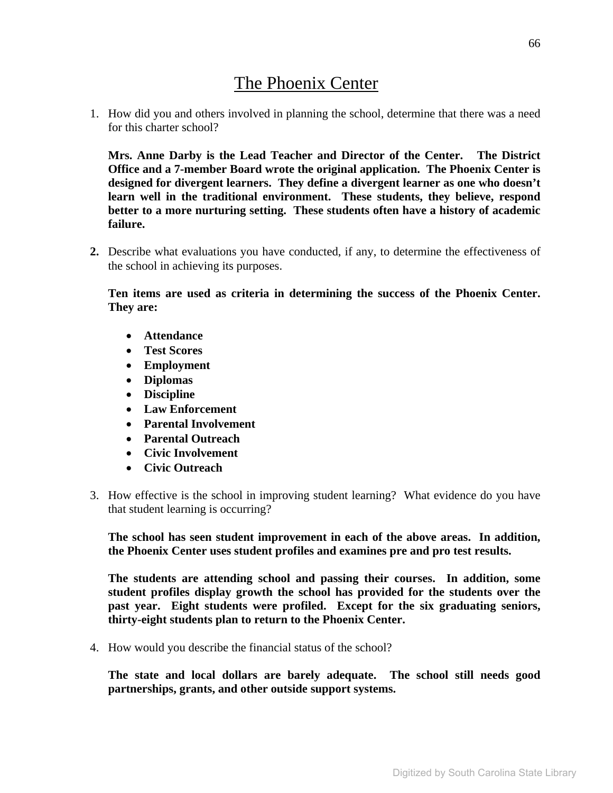# The Phoenix Center

1. How did you and others involved in planning the school, determine that there was a need for this charter school?

**Mrs. Anne Darby is the Lead Teacher and Director of the Center. The District Office and a 7-member Board wrote the original application. The Phoenix Center is designed for divergent learners. They define a divergent learner as one who doesn't learn well in the traditional environment. These students, they believe, respond better to a more nurturing setting. These students often have a history of academic failure.** 

**2.** Describe what evaluations you have conducted, if any, to determine the effectiveness of the school in achieving its purposes.

**Ten items are used as criteria in determining the success of the Phoenix Center. They are:** 

- **Attendance**
- **Test Scores**
- **Employment**
- **Diplomas**
- **Discipline**
- **Law Enforcement**
- **Parental Involvement**
- **Parental Outreach**
- **Civic Involvement**
- **Civic Outreach**
- 3. How effective is the school in improving student learning? What evidence do you have that student learning is occurring?

**The school has seen student improvement in each of the above areas. In addition, the Phoenix Center uses student profiles and examines pre and pro test results.**

**The students are attending school and passing their courses. In addition, some student profiles display growth the school has provided for the students over the past year. Eight students were profiled. Except for the six graduating seniors, thirty-eight students plan to return to the Phoenix Center.** 

4. How would you describe the financial status of the school?

**The state and local dollars are barely adequate. The school still needs good partnerships, grants, and other outside support systems.**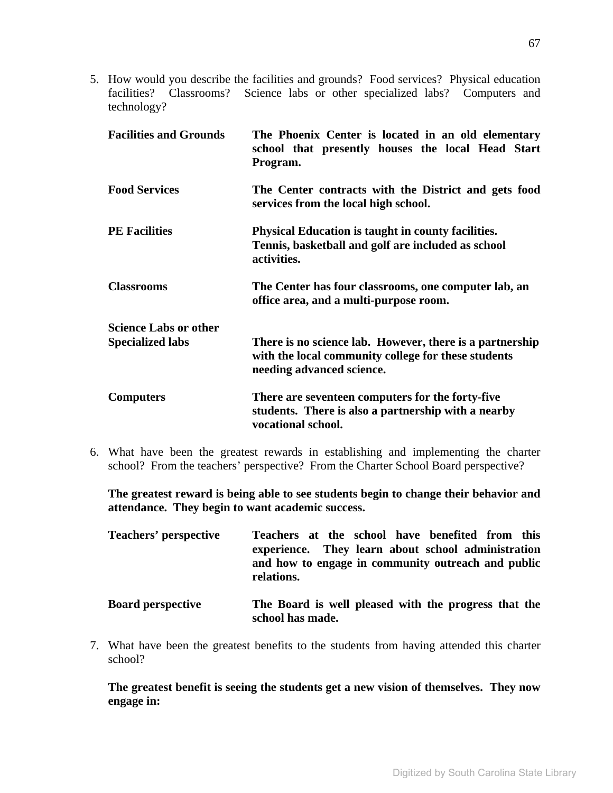5. How would you describe the facilities and grounds? Food services? Physical education facilities? Classrooms? Science labs or other specialized labs? Computers and technology?

| <b>Facilities and Grounds</b> | The Phoenix Center is located in an old elementary<br>school that presently houses the local Head Start<br>Program.                          |
|-------------------------------|----------------------------------------------------------------------------------------------------------------------------------------------|
| <b>Food Services</b>          | The Center contracts with the District and gets food<br>services from the local high school.                                                 |
| <b>PE Facilities</b>          | <b>Physical Education is taught in county facilities.</b><br>Tennis, basketball and golf are included as school<br>activities.               |
| <b>Classrooms</b>             | The Center has four classrooms, one computer lab, an<br>office area, and a multi-purpose room.                                               |
| <b>Science Labs or other</b>  |                                                                                                                                              |
| <b>Specialized labs</b>       | There is no science lab. However, there is a partnership<br>with the local community college for these students<br>needing advanced science. |
| <b>Computers</b>              | There are seventeen computers for the forty-five<br>students. There is also a partnership with a nearby<br>vocational school.                |

6. What have been the greatest rewards in establishing and implementing the charter school? From the teachers' perspective? From the Charter School Board perspective?

**The greatest reward is being able to see students begin to change their behavior and attendance. They begin to want academic success.** 

| <b>Teachers' perspective</b> | Teachers at the school have benefited from this<br>experience. They learn about school administration<br>and how to engage in community outreach and public<br>relations. |
|------------------------------|---------------------------------------------------------------------------------------------------------------------------------------------------------------------------|
| <b>Board perspective</b>     | The Board is well pleased with the progress that the<br>school has made.                                                                                                  |

7. What have been the greatest benefits to the students from having attended this charter school?

**The greatest benefit is seeing the students get a new vision of themselves. They now engage in:**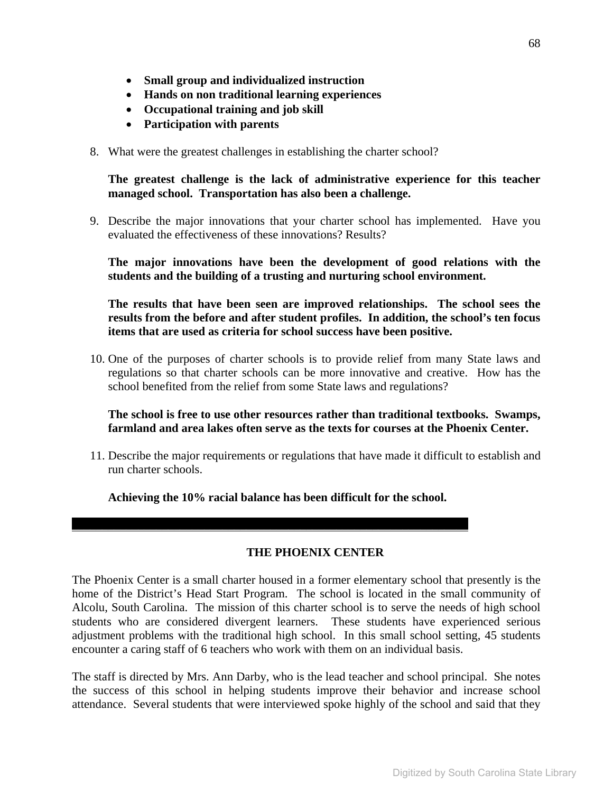- **Small group and individualized instruction**
- **Hands on non traditional learning experiences**
- **Occupational training and job skill**
- **Participation with parents**
- 8. What were the greatest challenges in establishing the charter school?

**The greatest challenge is the lack of administrative experience for this teacher managed school. Transportation has also been a challenge.** 

9. Describe the major innovations that your charter school has implemented. Have you evaluated the effectiveness of these innovations? Results?

**The major innovations have been the development of good relations with the students and the building of a trusting and nurturing school environment.** 

**The results that have been seen are improved relationships. The school sees the results from the before and after student profiles. In addition, the school's ten focus items that are used as criteria for school success have been positive.** 

10. One of the purposes of charter schools is to provide relief from many State laws and regulations so that charter schools can be more innovative and creative. How has the school benefited from the relief from some State laws and regulations?

**The school is free to use other resources rather than traditional textbooks. Swamps, farmland and area lakes often serve as the texts for courses at the Phoenix Center.** 

11. Describe the major requirements or regulations that have made it difficult to establish and run charter schools.

**Achieving the 10% racial balance has been difficult for the school.** 

 $\mathcal{L}_\mathcal{L} = \mathcal{L}_\mathcal{L} - \mathcal{L}_\mathcal{L}$ 

#### **THE PHOENIX CENTER**

The Phoenix Center is a small charter housed in a former elementary school that presently is the home of the District's Head Start Program. The school is located in the small community of Alcolu, South Carolina. The mission of this charter school is to serve the needs of high school students who are considered divergent learners. These students have experienced serious adjustment problems with the traditional high school. In this small school setting, 45 students encounter a caring staff of 6 teachers who work with them on an individual basis.

The staff is directed by Mrs. Ann Darby, who is the lead teacher and school principal. She notes the success of this school in helping students improve their behavior and increase school attendance. Several students that were interviewed spoke highly of the school and said that they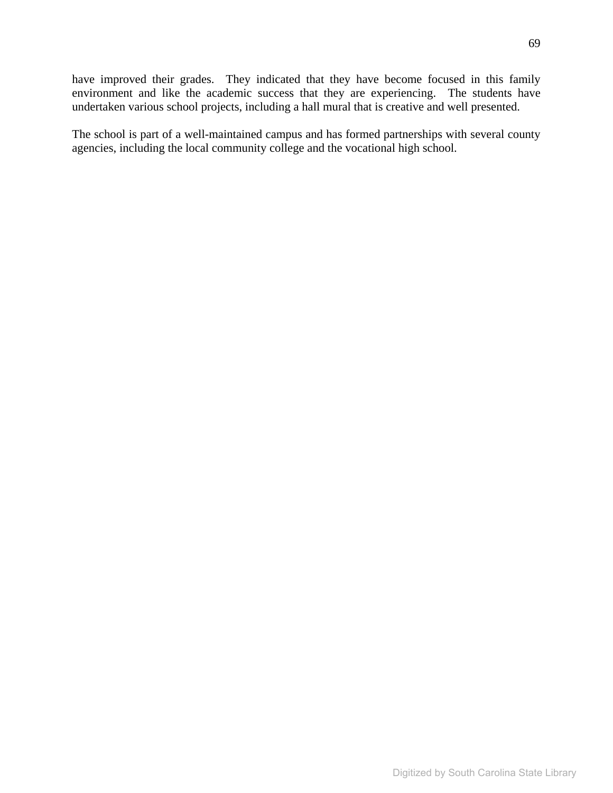have improved their grades. They indicated that they have become focused in this family environment and like the academic success that they are experiencing. The students have undertaken various school projects, including a hall mural that is creative and well presented.

The school is part of a well-maintained campus and has formed partnerships with several county agencies, including the local community college and the vocational high school.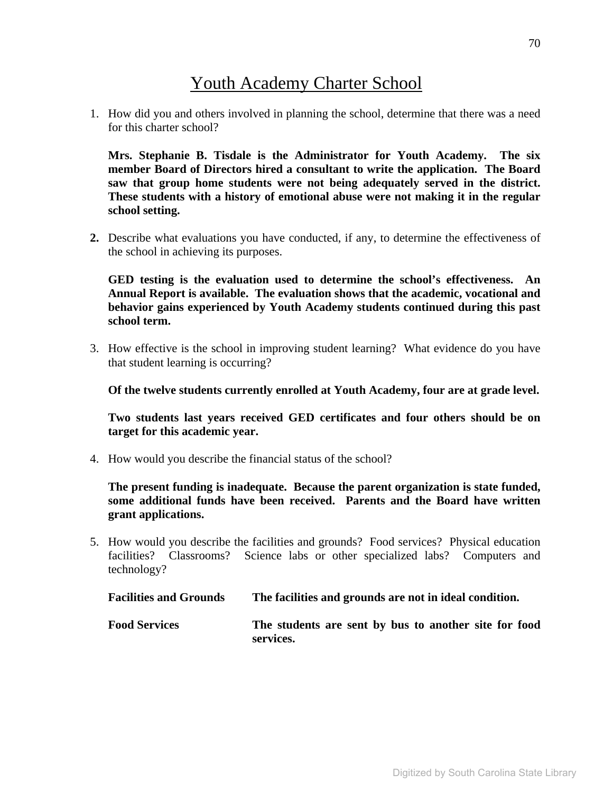# Youth Academy Charter School

1. How did you and others involved in planning the school, determine that there was a need for this charter school?

**Mrs. Stephanie B. Tisdale is the Administrator for Youth Academy. The six member Board of Directors hired a consultant to write the application. The Board saw that group home students were not being adequately served in the district. These students with a history of emotional abuse were not making it in the regular school setting.** 

**2.** Describe what evaluations you have conducted, if any, to determine the effectiveness of the school in achieving its purposes.

**GED testing is the evaluation used to determine the school's effectiveness. An Annual Report is available. The evaluation shows that the academic, vocational and behavior gains experienced by Youth Academy students continued during this past school term.** 

3. How effective is the school in improving student learning? What evidence do you have that student learning is occurring?

**Of the twelve students currently enrolled at Youth Academy, four are at grade level.** 

**Two students last years received GED certificates and four others should be on target for this academic year.** 

4. How would you describe the financial status of the school?

**The present funding is inadequate. Because the parent organization is state funded, some additional funds have been received. Parents and the Board have written grant applications.** 

5. How would you describe the facilities and grounds? Food services? Physical education facilities? Classrooms? Science labs or other specialized labs? Computers and technology?

| <b>Facilities and Grounds</b> | The facilities and grounds are not in ideal condition.             |
|-------------------------------|--------------------------------------------------------------------|
| <b>Food Services</b>          | The students are sent by bus to another site for food<br>services. |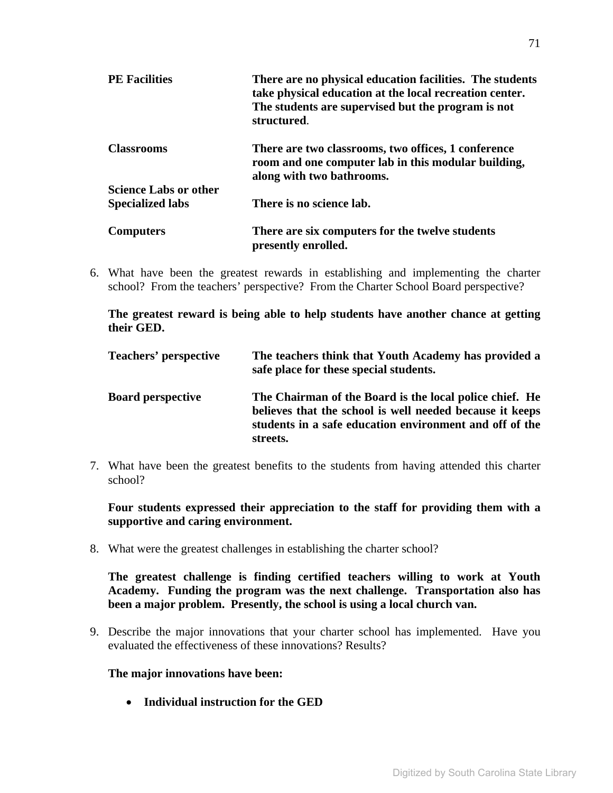| <b>PE Facilities</b>         | There are no physical education facilities. The students<br>take physical education at the local recreation center.<br>The students are supervised but the program is not<br>structured. |
|------------------------------|------------------------------------------------------------------------------------------------------------------------------------------------------------------------------------------|
| <b>Classrooms</b>            | There are two classrooms, two offices, 1 conference<br>room and one computer lab in this modular building,<br>along with two bathrooms.                                                  |
| <b>Science Labs or other</b> |                                                                                                                                                                                          |
| <b>Specialized labs</b>      | There is no science lab.                                                                                                                                                                 |
| <b>Computers</b>             | There are six computers for the twelve students<br>presently enrolled.                                                                                                                   |

6. What have been the greatest rewards in establishing and implementing the charter school? From the teachers' perspective? From the Charter School Board perspective?

**The greatest reward is being able to help students have another chance at getting their GED.** 

| <b>Teachers' perspective</b> | The teachers think that Youth Academy has provided a<br>safe place for these special students.                                                                                             |
|------------------------------|--------------------------------------------------------------------------------------------------------------------------------------------------------------------------------------------|
| <b>Board perspective</b>     | The Chairman of the Board is the local police chief. He<br>believes that the school is well needed because it keeps<br>students in a safe education environment and off of the<br>streets. |

7. What have been the greatest benefits to the students from having attended this charter school?

**Four students expressed their appreciation to the staff for providing them with a supportive and caring environment.** 

8. What were the greatest challenges in establishing the charter school?

**The greatest challenge is finding certified teachers willing to work at Youth Academy. Funding the program was the next challenge. Transportation also has been a major problem. Presently, the school is using a local church van.** 

9. Describe the major innovations that your charter school has implemented. Have you evaluated the effectiveness of these innovations? Results?

#### **The major innovations have been:**

• **Individual instruction for the GED**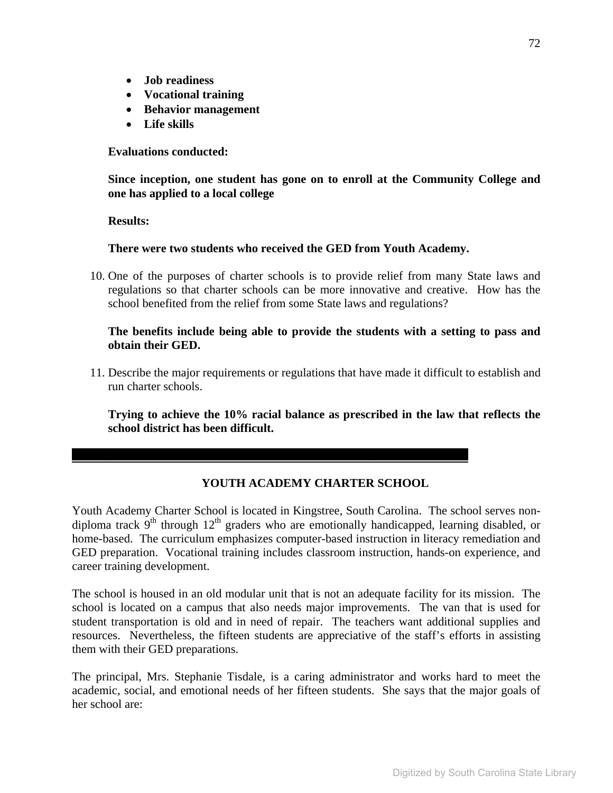- **Job readiness**
- **Vocational training**
- **Behavior management**
- **Life skills**

**Evaluations conducted:** 

**Since inception, one student has gone on to enroll at the Community College and one has applied to a local college** 

#### **Results:**

**There were two students who received the GED from Youth Academy.** 

10. One of the purposes of charter schools is to provide relief from many State laws and regulations so that charter schools can be more innovative and creative. How has the school benefited from the relief from some State laws and regulations?

**The benefits include being able to provide the students with a setting to pass and obtain their GED.** 

11. Describe the major requirements or regulations that have made it difficult to establish and run charter schools.

**Trying to achieve the 10% racial balance as prescribed in the law that reflects the school district has been difficult.** 

#### **YOUTH ACADEMY CHARTER SCHOOL**

 $\mathcal{L}_\mathcal{L} = \mathcal{L}_\mathcal{L} - \mathcal{L}_\mathcal{L}$ 

Youth Academy Charter School is located in Kingstree, South Carolina. The school serves nondiploma track  $9<sup>th</sup>$  through  $12<sup>th</sup>$  graders who are emotionally handicapped, learning disabled, or home-based. The curriculum emphasizes computer-based instruction in literacy remediation and GED preparation. Vocational training includes classroom instruction, hands-on experience, and career training development.

The school is housed in an old modular unit that is not an adequate facility for its mission. The school is located on a campus that also needs major improvements. The van that is used for student transportation is old and in need of repair. The teachers want additional supplies and resources. Nevertheless, the fifteen students are appreciative of the staff's efforts in assisting them with their GED preparations.

The principal, Mrs. Stephanie Tisdale, is a caring administrator and works hard to meet the academic, social, and emotional needs of her fifteen students. She says that the major goals of her school are: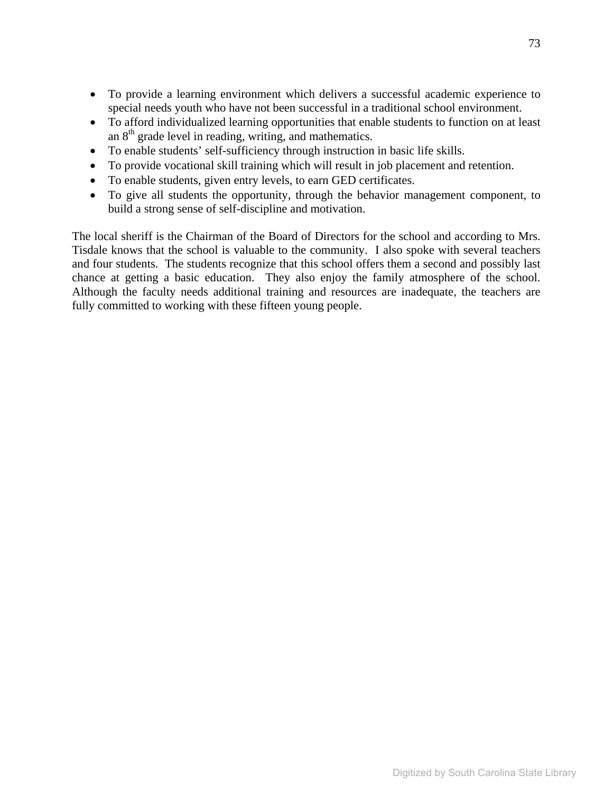- To provide a learning environment which delivers a successful academic experience to special needs youth who have not been successful in a traditional school environment.
- To afford individualized learning opportunities that enable students to function on at least an  $8<sup>th</sup>$  grade level in reading, writing, and mathematics.
- To enable students' self-sufficiency through instruction in basic life skills.
- To provide vocational skill training which will result in job placement and retention.
- To enable students, given entry levels, to earn GED certificates.
- To give all students the opportunity, through the behavior management component, to build a strong sense of self-discipline and motivation.

The local sheriff is the Chairman of the Board of Directors for the school and according to Mrs. Tisdale knows that the school is valuable to the community. I also spoke with several teachers and four students. The students recognize that this school offers them a second and possibly last chance at getting a basic education. They also enjoy the family atmosphere of the school. Although the faculty needs additional training and resources are inadequate, the teachers are fully committed to working with these fifteen young people.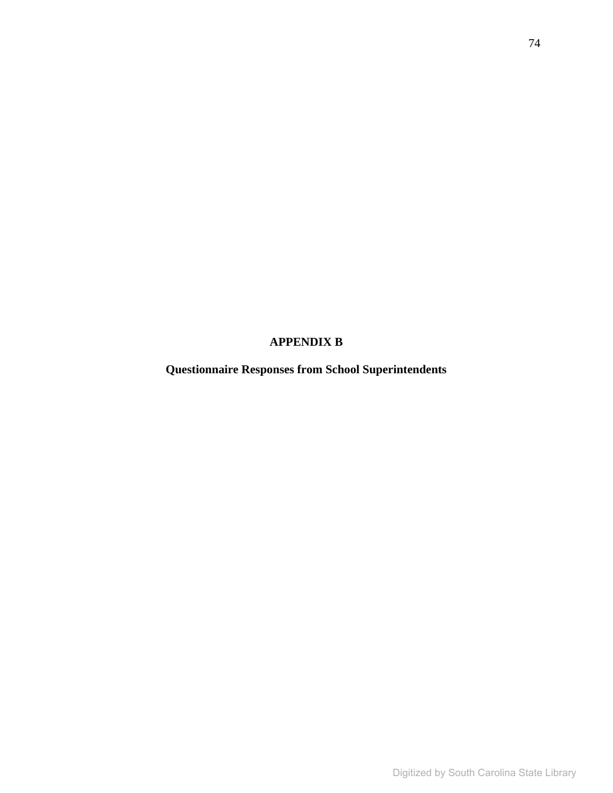# **APPENDIX B**

**Questionnaire Responses from School Superintendents**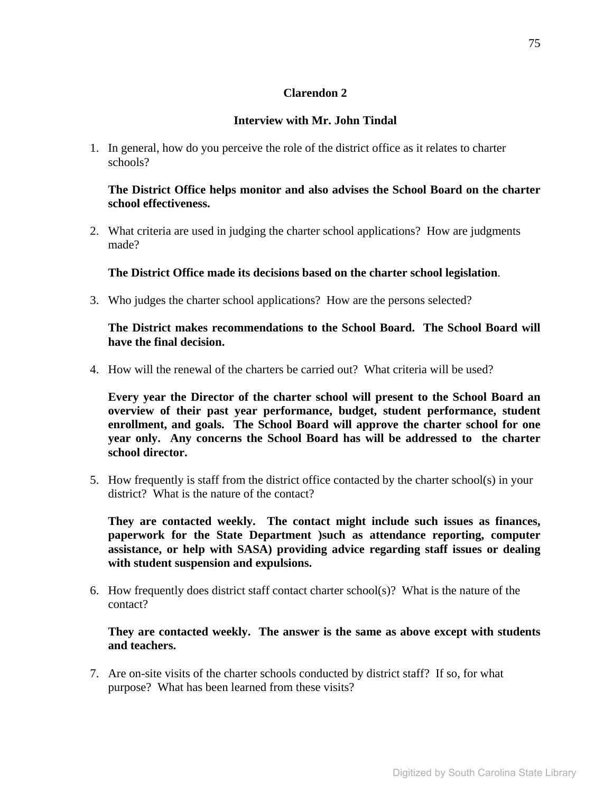### **Clarendon 2**

#### **Interview with Mr. John Tindal**

1. In general, how do you perceive the role of the district office as it relates to charter schools?

#### **The District Office helps monitor and also advises the School Board on the charter school effectiveness.**

2. What criteria are used in judging the charter school applications? How are judgments made?

**The District Office made its decisions based on the charter school legislation**.

3. Who judges the charter school applications? How are the persons selected?

**The District makes recommendations to the School Board. The School Board will have the final decision.** 

4. How will the renewal of the charters be carried out? What criteria will be used?

**Every year the Director of the charter school will present to the School Board an overview of their past year performance, budget, student performance, student enrollment, and goals. The School Board will approve the charter school for one year only. Any concerns the School Board has will be addressed to the charter school director.** 

5. How frequently is staff from the district office contacted by the charter school(s) in your district? What is the nature of the contact?

**They are contacted weekly. The contact might include such issues as finances, paperwork for the State Department )such as attendance reporting, computer assistance, or help with SASA) providing advice regarding staff issues or dealing with student suspension and expulsions.** 

6. How frequently does district staff contact charter school(s)? What is the nature of the contact?

**They are contacted weekly. The answer is the same as above except with students and teachers.** 

7. Are on-site visits of the charter schools conducted by district staff? If so, for what purpose? What has been learned from these visits?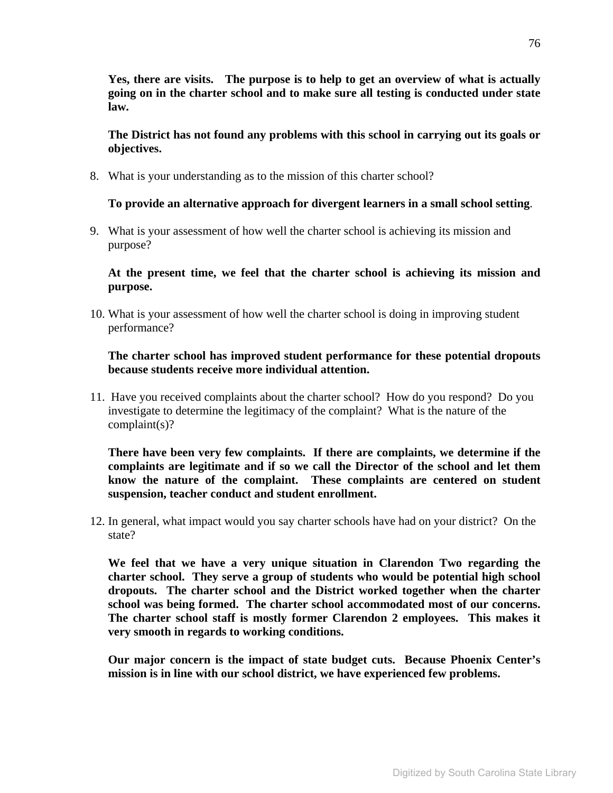**Yes, there are visits. The purpose is to help to get an overview of what is actually going on in the charter school and to make sure all testing is conducted under state law.** 

**The District has not found any problems with this school in carrying out its goals or objectives.** 

8. What is your understanding as to the mission of this charter school?

#### **To provide an alternative approach for divergent learners in a small school setting**.

9. What is your assessment of how well the charter school is achieving its mission and purpose?

**At the present time, we feel that the charter school is achieving its mission and purpose.** 

10. What is your assessment of how well the charter school is doing in improving student performance?

#### **The charter school has improved student performance for these potential dropouts because students receive more individual attention.**

11. Have you received complaints about the charter school? How do you respond? Do you investigate to determine the legitimacy of the complaint? What is the nature of the complaint(s)?

**There have been very few complaints. If there are complaints, we determine if the complaints are legitimate and if so we call the Director of the school and let them know the nature of the complaint. These complaints are centered on student suspension, teacher conduct and student enrollment.** 

12. In general, what impact would you say charter schools have had on your district? On the state?

**We feel that we have a very unique situation in Clarendon Two regarding the charter school. They serve a group of students who would be potential high school dropouts. The charter school and the District worked together when the charter school was being formed. The charter school accommodated most of our concerns. The charter school staff is mostly former Clarendon 2 employees. This makes it very smooth in regards to working conditions.** 

**Our major concern is the impact of state budget cuts. Because Phoenix Center's mission is in line with our school district, we have experienced few problems.**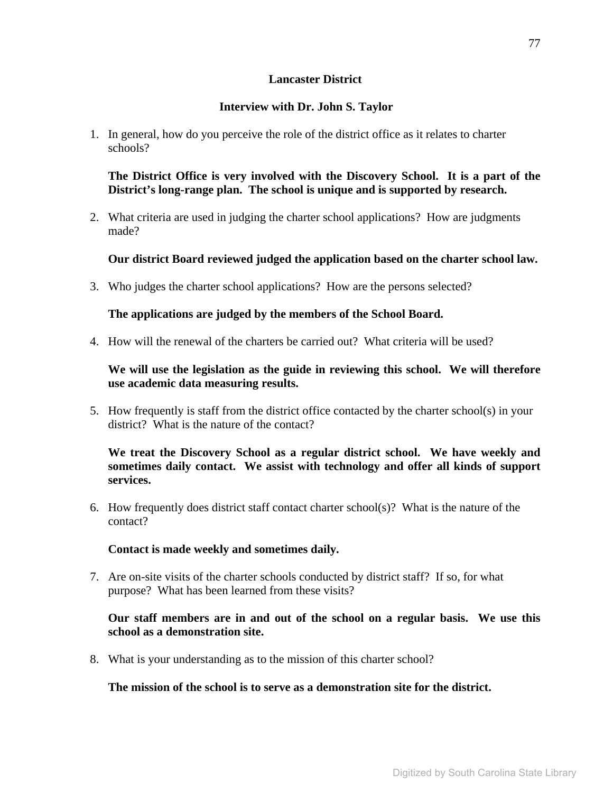#### **Lancaster District**

## **Interview with Dr. John S. Taylor**

1. In general, how do you perceive the role of the district office as it relates to charter schools?

**The District Office is very involved with the Discovery School. It is a part of the District's long-range plan. The school is unique and is supported by research.** 

2. What criteria are used in judging the charter school applications? How are judgments made?

# **Our district Board reviewed judged the application based on the charter school law.**

3. Who judges the charter school applications? How are the persons selected?

### **The applications are judged by the members of the School Board.**

4. How will the renewal of the charters be carried out? What criteria will be used?

## **We will use the legislation as the guide in reviewing this school. We will therefore use academic data measuring results.**

5. How frequently is staff from the district office contacted by the charter school(s) in your district? What is the nature of the contact?

**We treat the Discovery School as a regular district school. We have weekly and sometimes daily contact. We assist with technology and offer all kinds of support services.** 

6. How frequently does district staff contact charter school(s)? What is the nature of the contact?

### **Contact is made weekly and sometimes daily.**

7. Are on-site visits of the charter schools conducted by district staff? If so, for what purpose? What has been learned from these visits?

### **Our staff members are in and out of the school on a regular basis. We use this school as a demonstration site.**

8. What is your understanding as to the mission of this charter school?

### **The mission of the school is to serve as a demonstration site for the district.**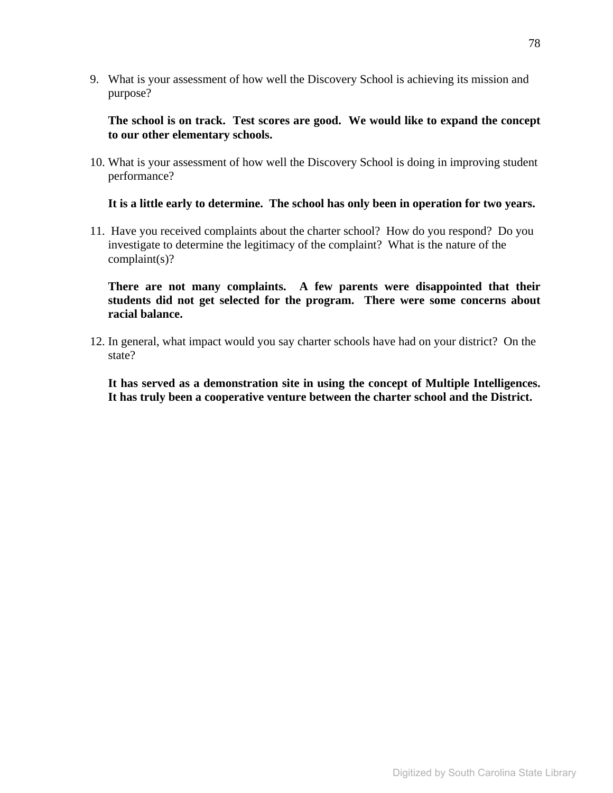9. What is your assessment of how well the Discovery School is achieving its mission and purpose?

**The school is on track. Test scores are good. We would like to expand the concept to our other elementary schools.** 

10. What is your assessment of how well the Discovery School is doing in improving student performance?

#### **It is a little early to determine. The school has only been in operation for two years.**

11. Have you received complaints about the charter school? How do you respond? Do you investigate to determine the legitimacy of the complaint? What is the nature of the complaint(s)?

**There are not many complaints. A few parents were disappointed that their students did not get selected for the program. There were some concerns about racial balance.** 

12. In general, what impact would you say charter schools have had on your district? On the state?

**It has served as a demonstration site in using the concept of Multiple Intelligences. It has truly been a cooperative venture between the charter school and the District.**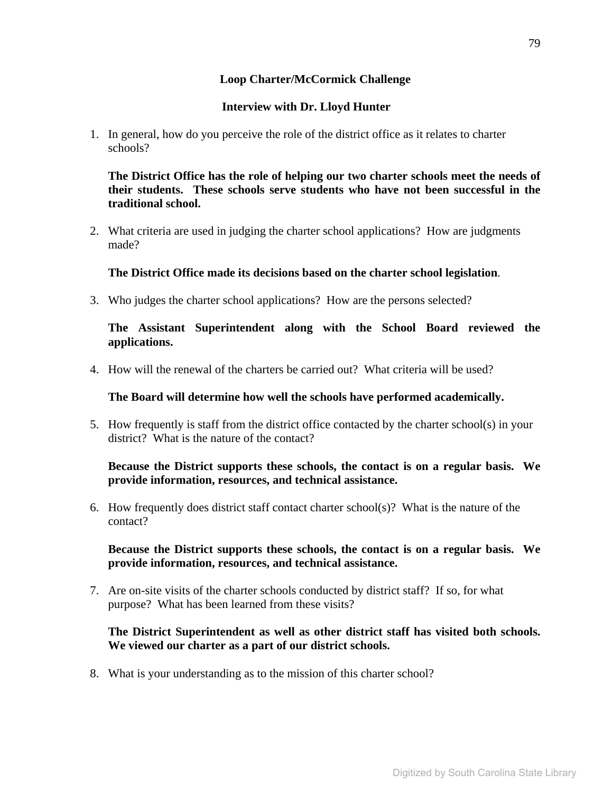### **Loop Charter/McCormick Challenge**

#### **Interview with Dr. Lloyd Hunter**

1. In general, how do you perceive the role of the district office as it relates to charter schools?

**The District Office has the role of helping our two charter schools meet the needs of their students. These schools serve students who have not been successful in the traditional school.** 

2. What criteria are used in judging the charter school applications? How are judgments made?

#### **The District Office made its decisions based on the charter school legislation**.

3. Who judges the charter school applications? How are the persons selected?

**The Assistant Superintendent along with the School Board reviewed the applications.** 

4. How will the renewal of the charters be carried out? What criteria will be used?

**The Board will determine how well the schools have performed academically.** 

5. How frequently is staff from the district office contacted by the charter school(s) in your district? What is the nature of the contact?

#### **Because the District supports these schools, the contact is on a regular basis. We provide information, resources, and technical assistance.**

6. How frequently does district staff contact charter school(s)? What is the nature of the contact?

**Because the District supports these schools, the contact is on a regular basis. We provide information, resources, and technical assistance.** 

7. Are on-site visits of the charter schools conducted by district staff? If so, for what purpose? What has been learned from these visits?

#### **The District Superintendent as well as other district staff has visited both schools. We viewed our charter as a part of our district schools.**

8. What is your understanding as to the mission of this charter school?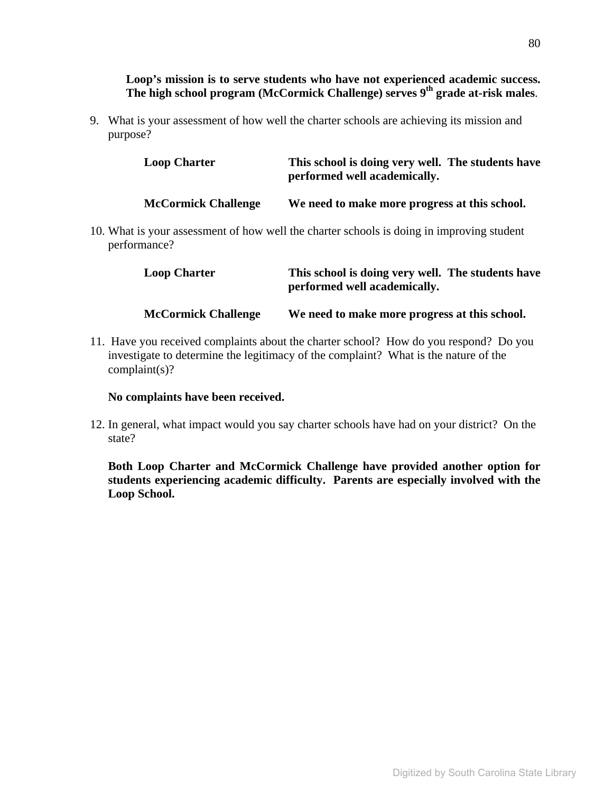#### **Loop's mission is to serve students who have not experienced academic success. The high school program (McCormick Challenge) serves 9th grade at-risk males**.

9. What is your assessment of how well the charter schools are achieving its mission and purpose?

| <b>Loop Charter</b>        | This school is doing very well. The students have<br>performed well academically.   |  |  |
|----------------------------|-------------------------------------------------------------------------------------|--|--|
| <b>McCormick Challenge</b> | We need to make more progress at this school.                                       |  |  |
|                            | at is your assessment of how well the charter schools is doing in improving student |  |  |

10. What is your assessment of how well the charter schools is doing in improving student performance?

| <b>Loop Charter</b>        | This school is doing very well. The students have<br>performed well academically. |
|----------------------------|-----------------------------------------------------------------------------------|
| <b>McCormick Challenge</b> | We need to make more progress at this school.                                     |

11. Have you received complaints about the charter school? How do you respond? Do you investigate to determine the legitimacy of the complaint? What is the nature of the complaint(s)?

#### **No complaints have been received.**

12. In general, what impact would you say charter schools have had on your district? On the state?

**Both Loop Charter and McCormick Challenge have provided another option for students experiencing academic difficulty. Parents are especially involved with the Loop School.**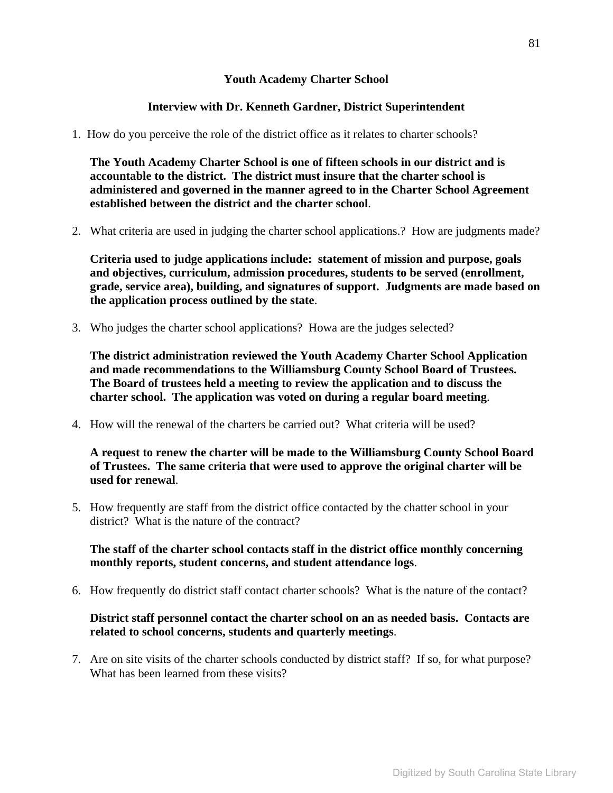### **Youth Academy Charter School**

### **Interview with Dr. Kenneth Gardner, District Superintendent**

1. How do you perceive the role of the district office as it relates to charter schools?

**The Youth Academy Charter School is one of fifteen schools in our district and is accountable to the district. The district must insure that the charter school is administered and governed in the manner agreed to in the Charter School Agreement established between the district and the charter school**.

2. What criteria are used in judging the charter school applications.? How are judgments made?

**Criteria used to judge applications include: statement of mission and purpose, goals and objectives, curriculum, admission procedures, students to be served (enrollment, grade, service area), building, and signatures of support. Judgments are made based on the application process outlined by the state**.

3. Who judges the charter school applications? Howa are the judges selected?

**The district administration reviewed the Youth Academy Charter School Application and made recommendations to the Williamsburg County School Board of Trustees. The Board of trustees held a meeting to review the application and to discuss the charter school. The application was voted on during a regular board meeting**.

4. How will the renewal of the charters be carried out? What criteria will be used?

**A request to renew the charter will be made to the Williamsburg County School Board of Trustees. The same criteria that were used to approve the original charter will be used for renewal**.

5. How frequently are staff from the district office contacted by the chatter school in your district? What is the nature of the contract?

**The staff of the charter school contacts staff in the district office monthly concerning monthly reports, student concerns, and student attendance logs**.

6. How frequently do district staff contact charter schools? What is the nature of the contact?

### **District staff personnel contact the charter school on an as needed basis. Contacts are related to school concerns, students and quarterly meetings**.

7. Are on site visits of the charter schools conducted by district staff? If so, for what purpose? What has been learned from these visits?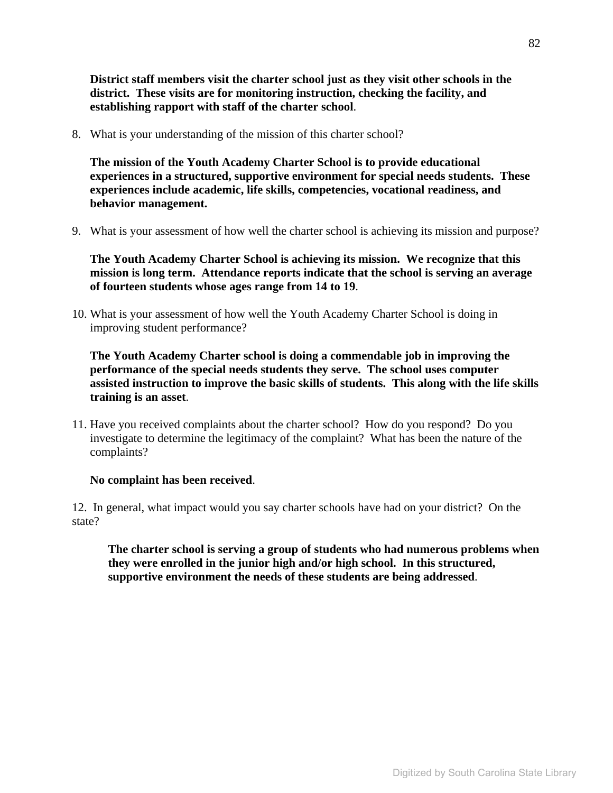**District staff members visit the charter school just as they visit other schools in the district. These visits are for monitoring instruction, checking the facility, and establishing rapport with staff of the charter school**.

8. What is your understanding of the mission of this charter school?

**The mission of the Youth Academy Charter School is to provide educational experiences in a structured, supportive environment for special needs students. These experiences include academic, life skills, competencies, vocational readiness, and behavior management.** 

9. What is your assessment of how well the charter school is achieving its mission and purpose?

**The Youth Academy Charter School is achieving its mission. We recognize that this mission is long term. Attendance reports indicate that the school is serving an average of fourteen students whose ages range from 14 to 19**.

10. What is your assessment of how well the Youth Academy Charter School is doing in improving student performance?

**The Youth Academy Charter school is doing a commendable job in improving the performance of the special needs students they serve. The school uses computer assisted instruction to improve the basic skills of students. This along with the life skills training is an asset**.

11. Have you received complaints about the charter school? How do you respond? Do you investigate to determine the legitimacy of the complaint? What has been the nature of the complaints?

#### **No complaint has been received**.

12. In general, what impact would you say charter schools have had on your district? On the state?

**The charter school is serving a group of students who had numerous problems when they were enrolled in the junior high and/or high school. In this structured, supportive environment the needs of these students are being addressed**.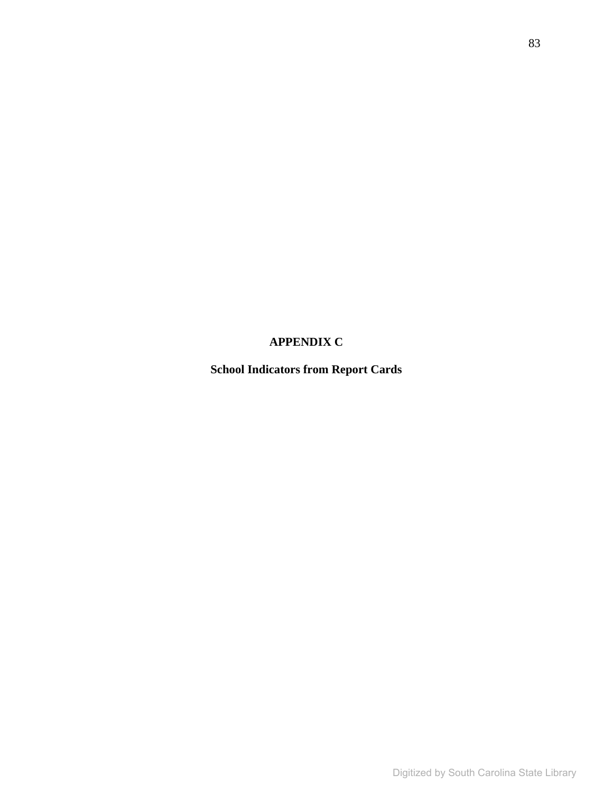# **APPENDIX C**

**School Indicators from Report Cards**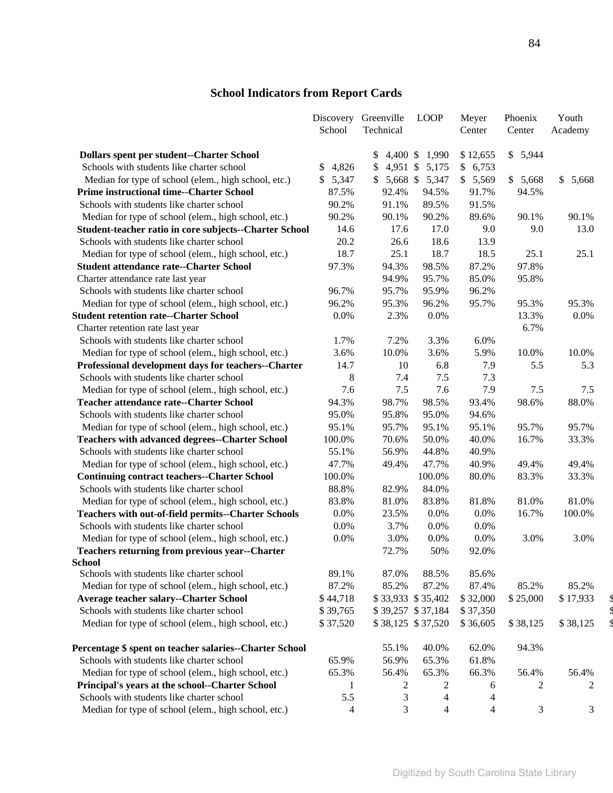# **School Indicators from Report Cards**

|                                                            | Discovery   | Greenville       | <b>LOOP</b>             | Meyer          | Phoenix  | Youth       |
|------------------------------------------------------------|-------------|------------------|-------------------------|----------------|----------|-------------|
|                                                            | School      | Technical        |                         | Center         | Center   | Academy     |
| Dollars spent per student--Charter School                  |             | $4,400$ \$<br>\$ | 1,990                   | \$12,655       | \$5,944  |             |
| Schools with students like charter school                  | 4,826<br>\$ | \$               | 4,951 \$ 5,175          | \$<br>6,753    |          |             |
| Median for type of school (elem., high school, etc.)       | \$5,347     |                  | $$5,668$ \$ 5,347       | \$5,569        | \$5,668  | \$<br>5,668 |
| <b>Prime instructional time--Charter School</b>            | 87.5%       | 92.4%            | 94.5%                   | 91.7%          | 94.5%    |             |
| Schools with students like charter school                  | 90.2%       | 91.1%            | 89.5%                   | 91.5%          |          |             |
| Median for type of school (elem., high school, etc.)       | 90.2%       | 90.1%            | 90.2%                   | 89.6%          | 90.1%    | 90.1%       |
| Student-teacher ratio in core subjects--Charter School     | 14.6        | 17.6             | 17.0                    | 9.0            | 9.0      | 13.0        |
| Schools with students like charter school                  | 20.2        | 26.6             | 18.6                    | 13.9           |          |             |
| Median for type of school (elem., high school, etc.)       | 18.7        | 25.1             | 18.7                    | 18.5           | 25.1     | 25.1        |
| <b>Student attendance rate--Charter School</b>             | 97.3%       | 94.3%            | 98.5%                   | 87.2%          | 97.8%    |             |
| Charter attendance rate last year                          |             | 94.9%            | 95.7%                   | 85.0%          | 95.8%    |             |
| Schools with students like charter school                  | 96.7%       | 95.7%            | 95.9%                   | 96.2%          |          |             |
| Median for type of school (elem., high school, etc.)       | 96.2%       | 95.3%            | 96.2%                   | 95.7%          | 95.3%    | 95.3%       |
| <b>Student retention rate--Charter School</b>              | 0.0%        | 2.3%             | 0.0%                    |                | 13.3%    | 0.0%        |
| Charter retention rate last year                           |             |                  |                         |                | 6.7%     |             |
| Schools with students like charter school                  | 1.7%        | 7.2%             | 3.3%                    | 6.0%           |          |             |
| Median for type of school (elem., high school, etc.)       | 3.6%        | 10.0%            | 3.6%                    | 5.9%           | 10.0%    | 10.0%       |
| Professional development days for teachers--Charter        | 14.7        | 10               | 6.8                     | 7.9            | 5.5      | 5.3         |
| Schools with students like charter school                  | 8           | 7.4              | 7.5                     | 7.3            |          |             |
| Median for type of school (elem., high school, etc.)       | 7.6         | 7.5              | 7.6                     | 7.9            | 7.5      | 7.5         |
| <b>Teacher attendance rate--Charter School</b>             | 94.3%       | 98.7%            | 98.5%                   | 93.4%          | 98.6%    | 88.0%       |
| Schools with students like charter school                  | 95.0%       | 95.8%            | 95.0%                   | 94.6%          |          |             |
| Median for type of school (elem., high school, etc.)       | 95.1%       | 95.7%            | 95.1%                   | 95.1%          | 95.7%    | 95.7%       |
| <b>Teachers with advanced degrees--Charter School</b>      | 100.0%      | 70.6%            | 50.0%                   | 40.0%          | 16.7%    | 33.3%       |
| Schools with students like charter school                  | 55.1%       | 56.9%            | 44.8%                   | 40.9%          |          |             |
| Median for type of school (elem., high school, etc.)       | 47.7%       | 49.4%            | 47.7%                   | 40.9%          | 49.4%    | 49.4%       |
| <b>Continuing contract teachers--Charter School</b>        | 100.0%      |                  | 100.0%                  | 80.0%          | 83.3%    | 33.3%       |
| Schools with students like charter school                  | 88.8%       | 82.9%            | 84.0%                   |                |          |             |
| Median for type of school (elem., high school, etc.)       | 83.8%       | 81.0%            | 83.8%                   | 81.8%          | 81.0%    | 81.0%       |
| <b>Teachers with out-of-field permits--Charter Schools</b> | 0.0%        | 23.5%            | 0.0%                    | 0.0%           | 16.7%    | 100.0%      |
| Schools with students like charter school                  | 0.0%        | 3.7%             | $0.0\%$                 | 0.0%           |          |             |
| Median for type of school (elem., high school, etc.)       | 0.0%        | 3.0%             | 0.0%                    | 0.0%           | 3.0%     | 3.0%        |
| <b>Teachers returning from previous year--Charter</b>      |             | 72.7%            | 50%                     | 92.0%          |          |             |
| School                                                     |             |                  |                         |                |          |             |
| Schools with students like charter school                  | 89.1%       | 87.0%            | 88.5%                   | 85.6%          |          |             |
| Median for type of school (elem., high school, etc.)       | 87.2%       | 85.2%            | 87.2%                   | 87.4%          | 85.2%    | 85.2%       |
| <b>Average teacher salary--Charter School</b>              | \$44,718    |                  | \$33,933 \$35,402       | \$32,000       | \$25,000 | \$17,933    |
| Schools with students like charter school                  | \$39,765    |                  | \$39,257 \$37,184       | \$37,350       |          |             |
| Median for type of school (elem., high school, etc.)       | \$37,520    |                  | \$38,125 \$37,520       | \$36,605       | \$38,125 | \$38,125    |
| Percentage \$ spent on teacher salaries--Charter School    |             | 55.1%            | 40.0%                   | 62.0%          | 94.3%    |             |
| Schools with students like charter school                  | 65.9%       | 56.9%            | 65.3%                   | 61.8%          |          |             |
| Median for type of school (elem., high school, etc.)       | 65.3%       | 56.4%            | 65.3%                   | 66.3%          | 56.4%    | 56.4%       |
| Principal's years at the school--Charter School            | 1           | 2                | 2                       | 6              | 2        | 2           |
| Schools with students like charter school                  | 5.5         | 3                | 4                       | 4              |          |             |
| Median for type of school (elem., high school, etc.)       | 4           | 3                | $\overline{\mathbf{4}}$ | $\overline{4}$ | 3        | 3           |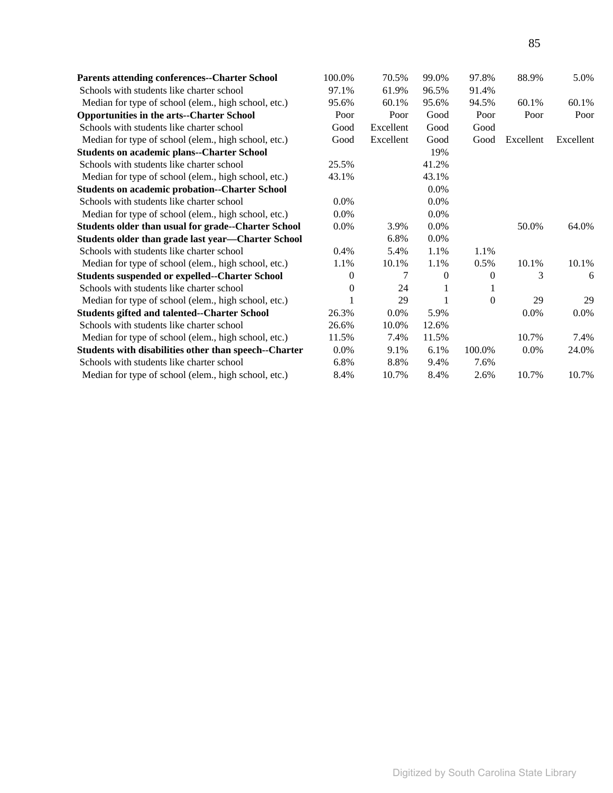| <b>Parents attending conferences--Charter School</b>       | 100.0%   | 70.5%     | 99.0%    | 97.8%  | 88.9%     | 5.0%      |
|------------------------------------------------------------|----------|-----------|----------|--------|-----------|-----------|
| Schools with students like charter school                  | 97.1%    | 61.9%     | 96.5%    | 91.4%  |           |           |
| Median for type of school (elem., high school, etc.)       | 95.6%    | 60.1%     | 95.6%    | 94.5%  | 60.1%     | 60.1%     |
| <b>Opportunities in the arts--Charter School</b>           | Poor     | Poor      | Good     | Poor   | Poor      | Poor      |
| Schools with students like charter school                  | Good     | Excellent | Good     | Good   |           |           |
| Median for type of school (elem., high school, etc.)       | Good     | Excellent | Good     | Good   | Excellent | Excellent |
| <b>Students on academic plans--Charter School</b>          |          |           | 19%      |        |           |           |
| Schools with students like charter school                  | 25.5%    |           | 41.2%    |        |           |           |
| Median for type of school (elem., high school, etc.)       | 43.1%    |           | 43.1%    |        |           |           |
| <b>Students on academic probation--Charter School</b>      |          |           | 0.0%     |        |           |           |
| Schools with students like charter school                  | $0.0\%$  |           | 0.0%     |        |           |           |
| Median for type of school (elem., high school, etc.)       | $0.0\%$  |           | 0.0%     |        |           |           |
| <b>Students older than usual for grade--Charter School</b> | 0.0%     | 3.9%      | 0.0%     |        | 50.0%     | 64.0%     |
| Students older than grade last year-Charter School         |          | 6.8%      | 0.0%     |        |           |           |
| Schools with students like charter school                  | $0.4\%$  | 5.4%      | 1.1%     | 1.1%   |           |           |
| Median for type of school (elem., high school, etc.)       | 1.1%     | 10.1%     | 1.1%     | 0.5%   | 10.1%     | 10.1%     |
| <b>Students suspended or expelled--Charter School</b>      | $^{(1)}$ |           | $\Omega$ | 0      | 3         | 6         |
| Schools with students like charter school                  | 0        | 24        |          |        |           |           |
| Median for type of school (elem., high school, etc.)       |          | 29        |          | 0      | 29        | 29        |
| <b>Students gifted and talented--Charter School</b>        | 26.3%    | 0.0%      | 5.9%     |        | 0.0%      | $0.0\%$   |
| Schools with students like charter school                  | 26.6%    | 10.0%     | 12.6%    |        |           |           |
| Median for type of school (elem., high school, etc.)       | 11.5%    | 7.4%      | 11.5%    |        | 10.7%     | 7.4%      |
| Students with disabilities other than speech--Charter      | $0.0\%$  | 9.1%      | 6.1%     | 100.0% | 0.0%      | 24.0%     |
| Schools with students like charter school                  | 6.8%     | 8.8%      | 9.4%     | 7.6%   |           |           |
| Median for type of school (elem., high school, etc.)       | 8.4%     | 10.7%     | 8.4%     | 2.6%   | 10.7%     | 10.7%     |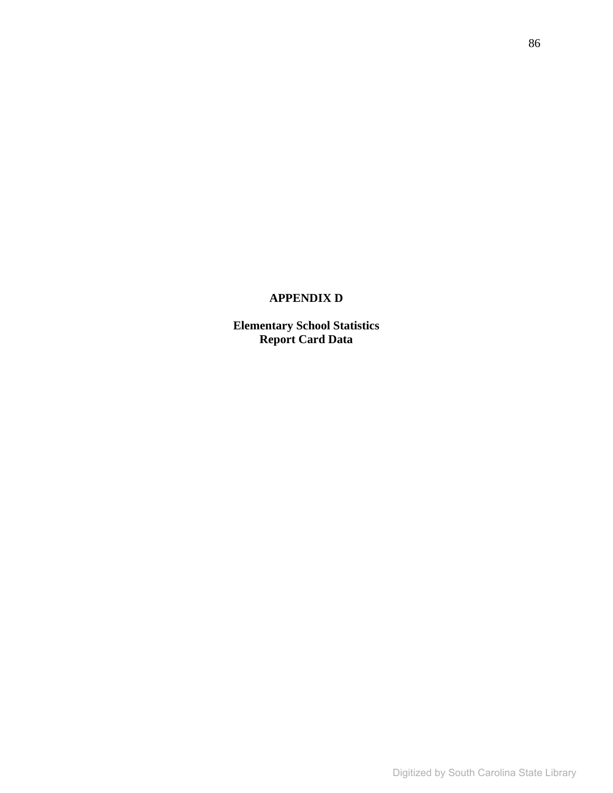# **APPENDIX D**

**Elementary School Statistics Report Card Data**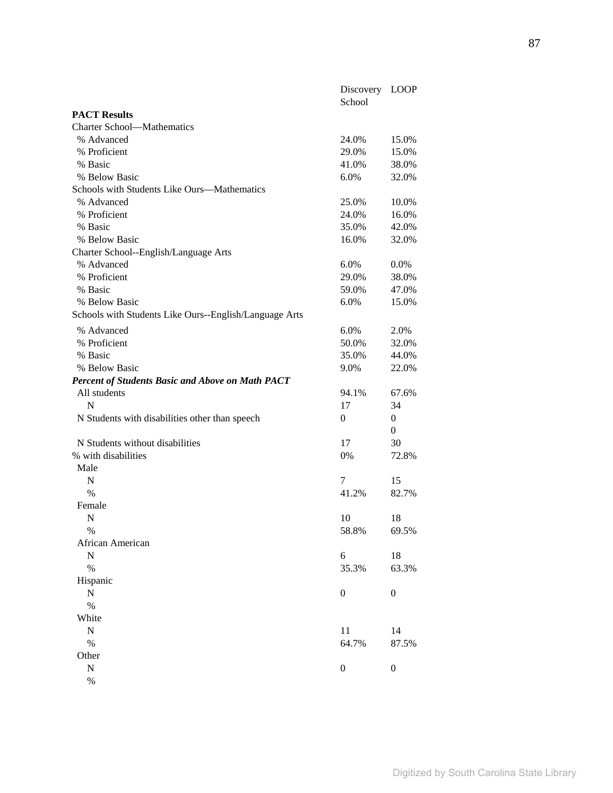|                                                         | Discovery<br>School | <b>LOOP</b>      |
|---------------------------------------------------------|---------------------|------------------|
| <b>PACT Results</b>                                     |                     |                  |
| <b>Charter School-Mathematics</b>                       |                     |                  |
| % Advanced                                              | 24.0%               | 15.0%            |
| % Proficient                                            | 29.0%               | 15.0%            |
| % Basic                                                 | 41.0%               | 38.0%            |
| % Below Basic                                           | 6.0%                | 32.0%            |
| Schools with Students Like Ours-Mathematics             |                     |                  |
| % Advanced                                              | 25.0%               | 10.0%            |
| % Proficient                                            | 24.0%               | 16.0%            |
| % Basic                                                 | 35.0%               | 42.0%            |
| % Below Basic                                           | 16.0%               | 32.0%            |
| Charter School--English/Language Arts                   |                     |                  |
| % Advanced                                              | 6.0%                | 0.0%             |
| % Proficient                                            | 29.0%               | 38.0%            |
| % Basic                                                 | 59.0%               | 47.0%            |
| % Below Basic                                           | 6.0%                | 15.0%            |
| Schools with Students Like Ours--English/Language Arts  |                     |                  |
| % Advanced                                              | 6.0%                | 2.0%             |
| % Proficient                                            | 50.0%               | 32.0%            |
| % Basic                                                 | 35.0%               | 44.0%            |
| % Below Basic                                           | 9.0%                | 22.0%            |
| <b>Percent of Students Basic and Above on Math PACT</b> |                     |                  |
| All students                                            | 94.1%               | 67.6%            |
| $\mathbf N$                                             | 17                  | 34               |
| N Students with disabilities other than speech          | $\theta$            | $\boldsymbol{0}$ |
|                                                         |                     | $\mathbf{0}$     |
| N Students without disabilities                         | 17                  | 30               |
| % with disabilities                                     | 0%                  | 72.8%            |
| Male                                                    |                     |                  |
| N                                                       | 7                   | 15               |
| $\%$                                                    | 41.2%               | 82.7%            |
| Female                                                  |                     |                  |
| N                                                       | 10                  | 18               |
| $\frac{0}{0}$                                           | 58.8%               | 69.5%            |
| African American                                        |                     |                  |
| ${\bf N}$                                               | 6                   | 18               |
| $\%$                                                    | 35.3%               | 63.3%            |
| Hispanic                                                |                     |                  |
| $\mathbf N$                                             | $\boldsymbol{0}$    | $\boldsymbol{0}$ |
| $\%$                                                    |                     |                  |
| White                                                   |                     |                  |
| $\mathbf N$                                             | 11                  | 14               |
| $\%$                                                    | 64.7%               | 87.5%            |
| Other                                                   |                     |                  |
| ${\bf N}$                                               | $\boldsymbol{0}$    | $\boldsymbol{0}$ |
| $\%$                                                    |                     |                  |
|                                                         |                     |                  |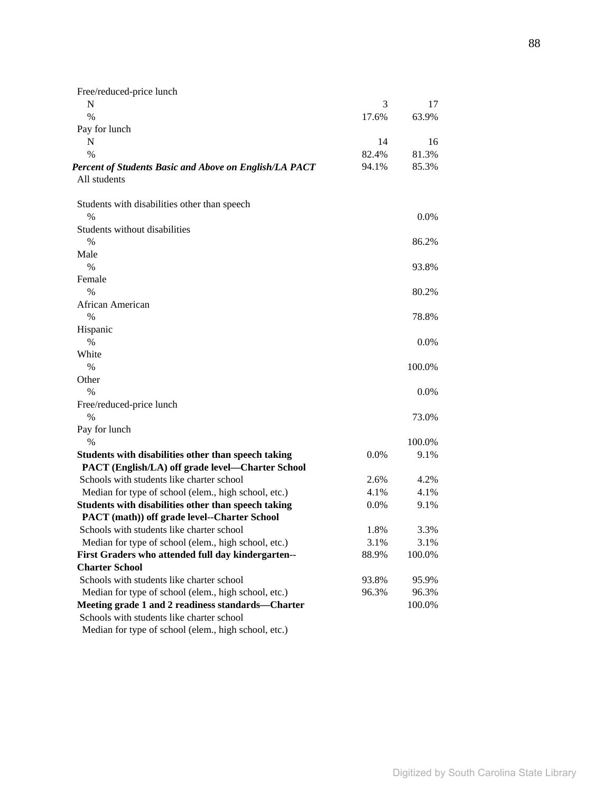| Free/reduced-price lunch                               |       |         |
|--------------------------------------------------------|-------|---------|
| N                                                      | 3     | 17      |
| $\frac{0}{0}$                                          | 17.6% | 63.9%   |
| Pay for lunch                                          |       |         |
| N                                                      | 14    | 16      |
| $\frac{0}{0}$                                          | 82.4% | 81.3%   |
| Percent of Students Basic and Above on English/LA PACT | 94.1% | 85.3%   |
| All students                                           |       |         |
| Students with disabilities other than speech           |       |         |
| $\%$                                                   |       | 0.0%    |
| Students without disabilities                          |       |         |
| $\%$                                                   |       | 86.2%   |
| Male                                                   |       |         |
| $\frac{0}{0}$                                          |       | 93.8%   |
| Female                                                 |       |         |
| $\%$                                                   |       | 80.2%   |
| African American                                       |       |         |
| $\%$                                                   |       | 78.8%   |
| Hispanic                                               |       |         |
| $\%$                                                   |       | $0.0\%$ |
| White                                                  |       |         |
| $\frac{0}{0}$                                          |       | 100.0%  |
| Other                                                  |       |         |
| $\frac{0}{0}$                                          |       | $0.0\%$ |
| Free/reduced-price lunch                               |       |         |
| $\%$                                                   |       | 73.0%   |
| Pay for lunch                                          |       |         |
| $\%$                                                   |       | 100.0%  |
| Students with disabilities other than speech taking    | 0.0%  | 9.1%    |
| PACT (English/LA) off grade level-Charter School       |       |         |
| Schools with students like charter school              | 2.6%  | 4.2%    |
| Median for type of school (elem., high school, etc.)   | 4.1%  | 4.1%    |
| Students with disabilities other than speech taking    | 0.0%  | 9.1%    |
| PACT (math)) off grade level--Charter School           |       |         |
| Schools with students like charter school              | 1.8%  | 3.3%    |
| Median for type of school (elem., high school, etc.)   | 3.1%  | 3.1%    |
| First Graders who attended full day kindergarten--     | 88.9% | 100.0%  |
| <b>Charter School</b>                                  |       |         |
| Schools with students like charter school              | 93.8% | 95.9%   |
| Median for type of school (elem., high school, etc.)   | 96.3% | 96.3%   |
| Meeting grade 1 and 2 readiness standards—Charter      |       | 100.0%  |
| Schools with students like charter school              |       |         |
| Median for type of school (elem., high school, etc.)   |       |         |

88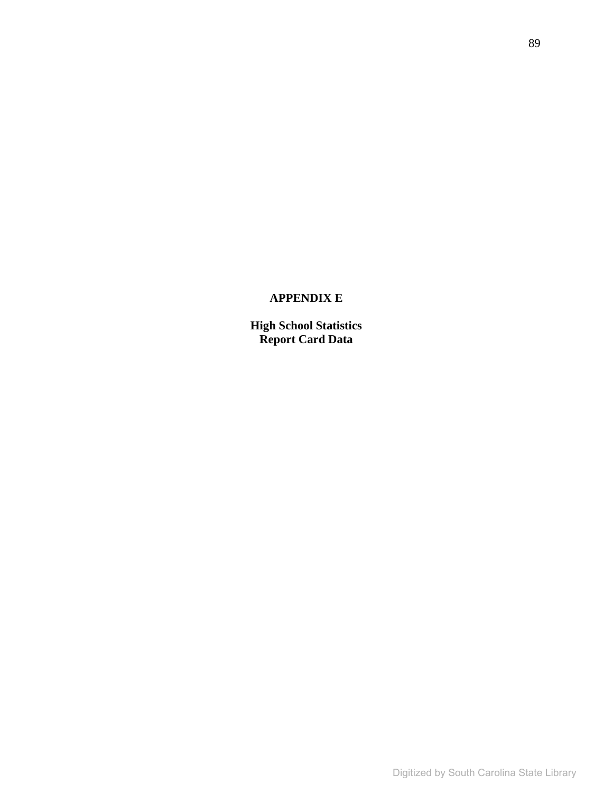# **APPENDIX E**

**High School Statistics Report Card Data**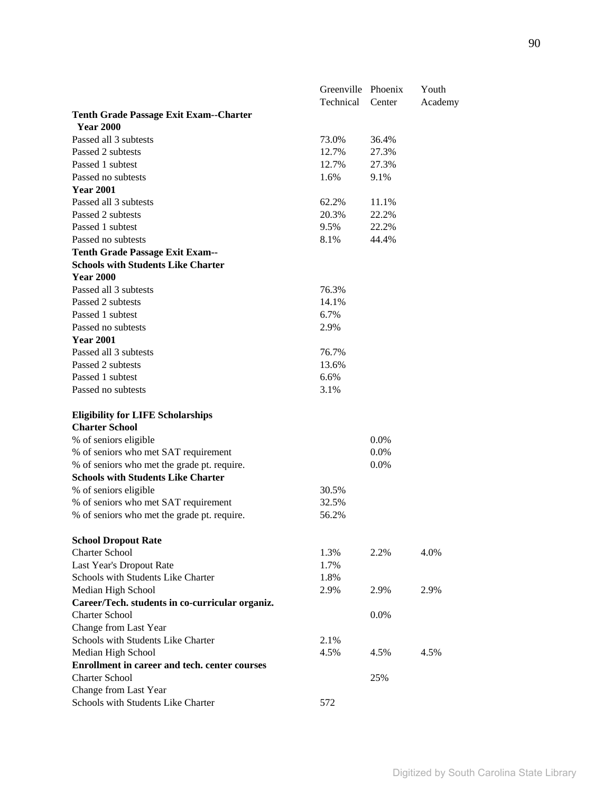|                                                                   | Greenville Phoenix |        | Youth   |
|-------------------------------------------------------------------|--------------------|--------|---------|
|                                                                   | Technical          | Center | Academy |
| <b>Tenth Grade Passage Exit Exam--Charter</b><br><b>Year 2000</b> |                    |        |         |
| Passed all 3 subtests                                             | 73.0%              | 36.4%  |         |
| Passed 2 subtests                                                 | 12.7%              | 27.3%  |         |
| Passed 1 subtest                                                  | 12.7%              | 27.3%  |         |
| Passed no subtests                                                | 1.6%               | 9.1%   |         |
| <b>Year 2001</b>                                                  |                    |        |         |
| Passed all 3 subtests                                             | 62.2%              | 11.1%  |         |
| Passed 2 subtests                                                 | 20.3%              | 22.2%  |         |
| Passed 1 subtest                                                  | 9.5%               | 22.2%  |         |
| Passed no subtests                                                | 8.1%               | 44.4%  |         |
| <b>Tenth Grade Passage Exit Exam---</b>                           |                    |        |         |
| <b>Schools with Students Like Charter</b>                         |                    |        |         |
| <b>Year 2000</b>                                                  |                    |        |         |
| Passed all 3 subtests                                             | 76.3%              |        |         |
| Passed 2 subtests                                                 | 14.1%              |        |         |
| Passed 1 subtest                                                  | 6.7%               |        |         |
| Passed no subtests                                                | 2.9%               |        |         |
| <b>Year 2001</b>                                                  |                    |        |         |
| Passed all 3 subtests                                             | 76.7%              |        |         |
| Passed 2 subtests                                                 | 13.6%              |        |         |
| Passed 1 subtest                                                  | 6.6%               |        |         |
| Passed no subtests                                                | 3.1%               |        |         |
|                                                                   |                    |        |         |
| <b>Eligibility for LIFE Scholarships</b>                          |                    |        |         |
| <b>Charter School</b>                                             |                    |        |         |
| % of seniors eligible                                             |                    | 0.0%   |         |
| % of seniors who met SAT requirement                              |                    | 0.0%   |         |
| % of seniors who met the grade pt. require.                       |                    | 0.0%   |         |
| <b>Schools with Students Like Charter</b>                         |                    |        |         |
| % of seniors eligible                                             | 30.5%              |        |         |
| % of seniors who met SAT requirement                              | 32.5%              |        |         |
| % of seniors who met the grade pt. require.                       | 56.2%              |        |         |
|                                                                   |                    |        |         |
| <b>School Dropout Rate</b>                                        |                    |        |         |
| <b>Charter School</b>                                             | 1.3%               | 2.2%   | 4.0%    |
| Last Year's Dropout Rate                                          | 1.7%               |        |         |
| Schools with Students Like Charter                                | 1.8%               |        |         |
| Median High School                                                | 2.9%               | 2.9%   | 2.9%    |
| Career/Tech. students in co-curricular organiz.                   |                    |        |         |
| <b>Charter School</b>                                             |                    | 0.0%   |         |
| Change from Last Year                                             |                    |        |         |
| Schools with Students Like Charter                                | 2.1%               |        |         |
| Median High School                                                | 4.5%               | 4.5%   | 4.5%    |
| Enrollment in career and tech. center courses                     |                    |        |         |
| <b>Charter School</b>                                             |                    | 25%    |         |
| Change from Last Year                                             |                    |        |         |
| Schools with Students Like Charter                                | 572                |        |         |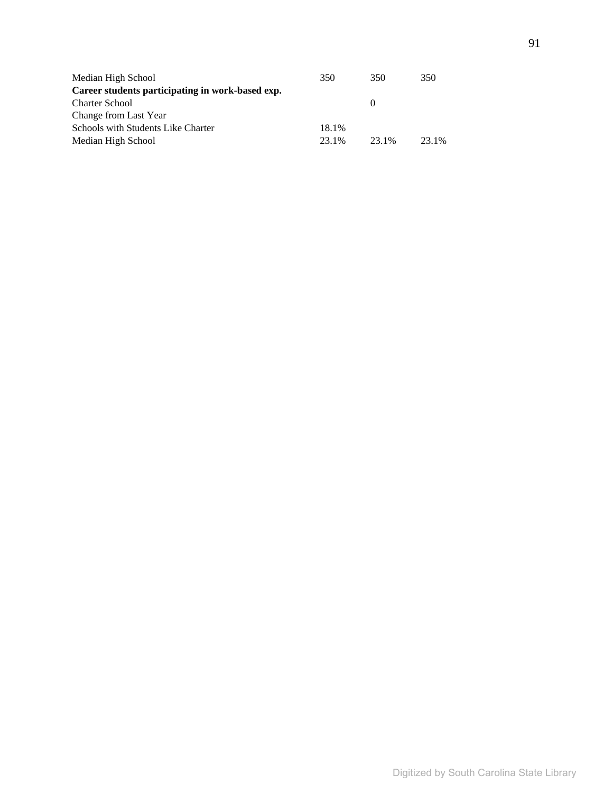| Median High School                               | 350   | 350      | 350   |
|--------------------------------------------------|-------|----------|-------|
| Career students participating in work-based exp. |       |          |       |
| <b>Charter School</b>                            |       | $\theta$ |       |
| Change from Last Year                            |       |          |       |
| Schools with Students Like Charter               | 18.1% |          |       |
| Median High School                               | 23.1% | 23.1%    | 23.1% |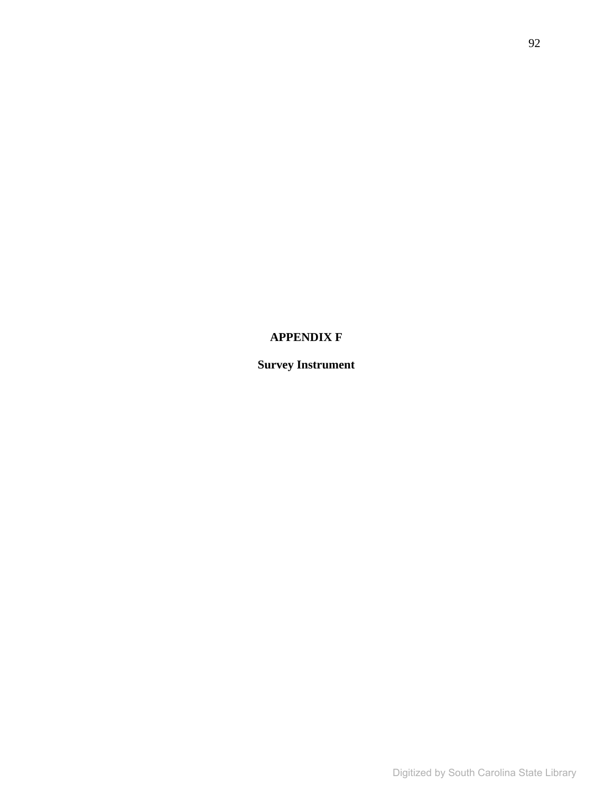# **APPENDIX F**

# **Survey Instrument**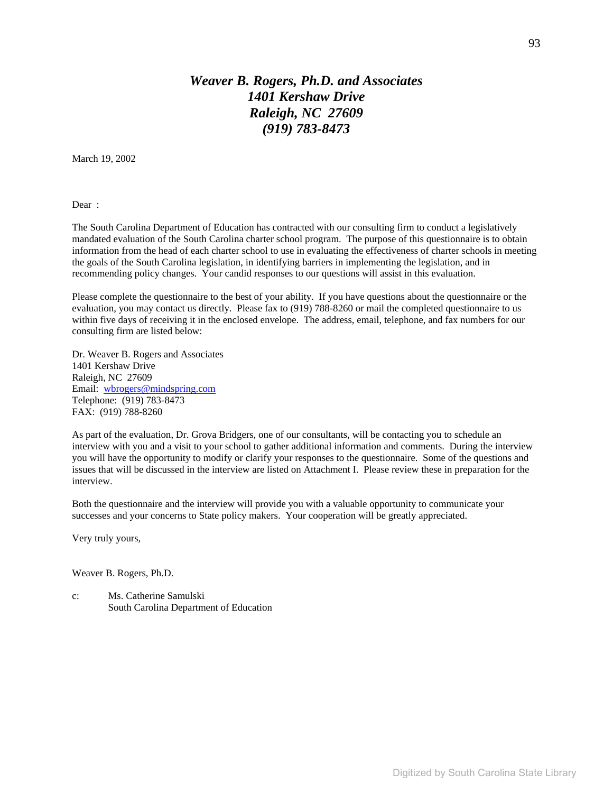# *Weaver B. Rogers, Ph.D. and Associates 1401 Kershaw Drive Raleigh, NC 27609 (919) 783-8473*

March 19, 2002

Dear :

The South Carolina Department of Education has contracted with our consulting firm to conduct a legislatively mandated evaluation of the South Carolina charter school program. The purpose of this questionnaire is to obtain information from the head of each charter school to use in evaluating the effectiveness of charter schools in meeting the goals of the South Carolina legislation, in identifying barriers in implementing the legislation, and in recommending policy changes. Your candid responses to our questions will assist in this evaluation.

Please complete the questionnaire to the best of your ability. If you have questions about the questionnaire or the evaluation, you may contact us directly. Please fax to (919) 788-8260 or mail the completed questionnaire to us within five days of receiving it in the enclosed envelope. The address, email, telephone, and fax numbers for our consulting firm are listed below:

Dr. Weaver B. Rogers and Associates 1401 Kershaw Drive Raleigh, NC 27609 Email: wbrogers@mindspring.com Telephone: (919) 783-8473 FAX: (919) 788-8260

As part of the evaluation, Dr. Grova Bridgers, one of our consultants, will be contacting you to schedule an interview with you and a visit to your school to gather additional information and comments. During the interview you will have the opportunity to modify or clarify your responses to the questionnaire. Some of the questions and issues that will be discussed in the interview are listed on Attachment I. Please review these in preparation for the interview.

Both the questionnaire and the interview will provide you with a valuable opportunity to communicate your successes and your concerns to State policy makers. Your cooperation will be greatly appreciated.

Very truly yours,

Weaver B. Rogers, Ph.D.

c: Ms. Catherine Samulski South Carolina Department of Education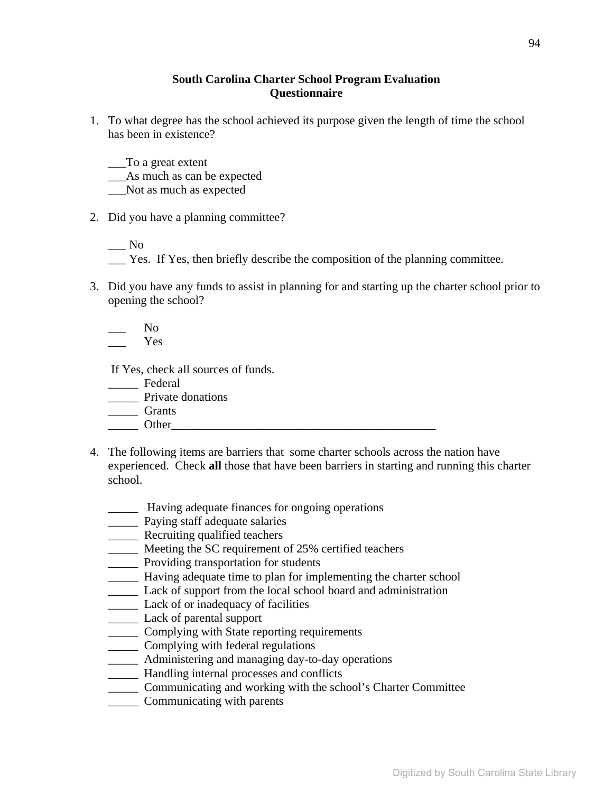#### **South Carolina Charter School Program Evaluation Questionnaire**

1. To what degree has the school achieved its purpose given the length of time the school has been in existence?

\_\_\_To a great extent

\_\_\_As much as can be expected

\_\_\_Not as much as expected

2. Did you have a planning committee?

 $\_\_$  No

\_\_\_ Yes. If Yes, then briefly describe the composition of the planning committee.

3. Did you have any funds to assist in planning for and starting up the charter school prior to opening the school?

 $N<sub>0</sub>$ 

\_\_\_ Yes

If Yes, check all sources of funds.

\_\_\_\_\_ Federal

- \_\_\_\_\_ Private donations
- \_\_\_\_\_ Grants

#### \_\_\_\_\_ Other\_\_\_\_\_\_\_\_\_\_\_\_\_\_\_\_\_\_\_\_\_\_\_\_\_\_\_\_\_\_\_\_\_\_\_\_\_\_\_\_\_\_\_\_

- 4. The following items are barriers that some charter schools across the nation have experienced. Check **all** those that have been barriers in starting and running this charter school.
	- \_\_\_\_\_ Having adequate finances for ongoing operations
	- \_\_\_\_\_ Paying staff adequate salaries
	- \_\_\_\_\_ Recruiting qualified teachers
	- \_\_\_\_\_ Meeting the SC requirement of 25% certified teachers
	- \_\_\_\_\_ Providing transportation for students
	- \_\_\_\_\_ Having adequate time to plan for implementing the charter school
	- \_\_\_\_\_ Lack of support from the local school board and administration
	- \_\_\_\_\_ Lack of or inadequacy of facilities
	- \_\_\_\_\_ Lack of parental support
	- \_\_\_\_\_ Complying with State reporting requirements
	- \_\_\_\_\_ Complying with federal regulations
	- \_\_\_\_\_ Administering and managing day-to-day operations
	- \_\_\_\_\_ Handling internal processes and conflicts
	- \_\_\_\_\_ Communicating and working with the school's Charter Committee
	- \_\_\_\_\_ Communicating with parents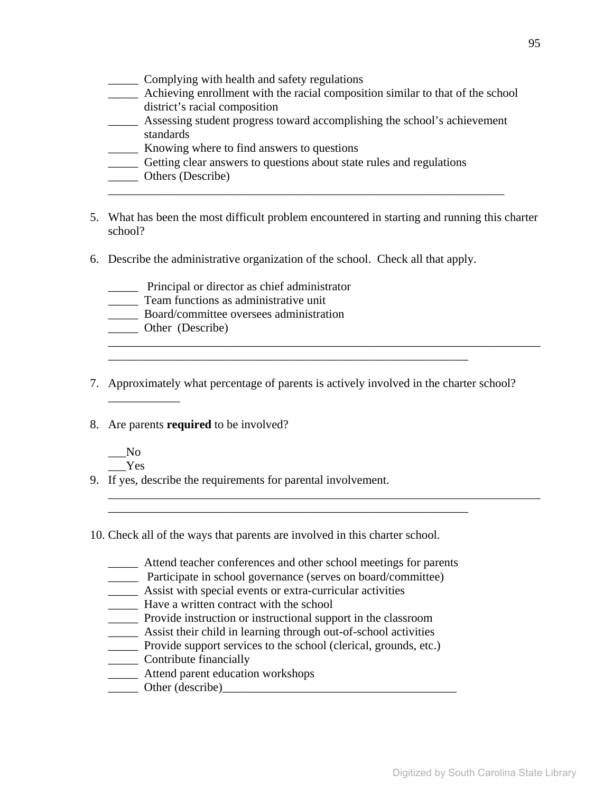- \_\_\_\_\_ Complying with health and safety regulations
- \_\_\_\_\_ Achieving enrollment with the racial composition similar to that of the school district's racial composition
- \_\_\_\_\_ Assessing student progress toward accomplishing the school's achievement standards

\_\_\_\_\_\_\_\_\_\_\_\_\_\_\_\_\_\_\_\_\_\_\_\_\_\_\_\_\_\_\_\_\_\_\_\_\_\_\_\_\_\_\_\_\_\_\_\_\_\_\_\_\_\_\_\_\_\_\_\_\_\_\_\_\_\_

- \_\_\_\_\_ Knowing where to find answers to questions
- \_\_\_\_\_ Getting clear answers to questions about state rules and regulations
- \_\_\_\_\_ Others (Describe)
- 5. What has been the most difficult problem encountered in starting and running this charter school?
- 6. Describe the administrative organization of the school. Check all that apply.
	- \_\_\_\_\_ Principal or director as chief administrator
	- \_\_\_\_\_ Team functions as administrative unit
	- \_\_\_\_\_ Board/committee oversees administration
	- \_\_\_\_\_ Other (Describe)
- 7. Approximately what percentage of parents is actively involved in the charter school? \_\_\_\_\_\_\_\_\_\_\_\_

\_\_\_\_\_\_\_\_\_\_\_\_\_\_\_\_\_\_\_\_\_\_\_\_\_\_\_\_\_\_\_\_\_\_\_\_\_\_\_\_\_\_\_\_\_\_\_\_\_\_\_\_\_\_\_\_\_\_\_\_

\_\_\_\_\_\_\_\_\_\_\_\_\_\_\_\_\_\_\_\_\_\_\_\_\_\_\_\_\_\_\_\_\_\_\_\_\_\_\_\_\_\_\_\_\_\_\_\_\_\_\_\_\_\_\_\_\_\_\_\_\_\_\_\_\_\_\_\_\_\_\_\_

\_\_\_\_\_\_\_\_\_\_\_\_\_\_\_\_\_\_\_\_\_\_\_\_\_\_\_\_\_\_\_\_\_\_\_\_\_\_\_\_\_\_\_\_\_\_\_\_\_\_\_\_\_\_\_\_\_\_\_\_\_\_\_\_\_\_\_\_\_\_\_\_

- 8. Are parents **required** to be involved?
	- $\_\_$  No \_\_\_Yes
- 9. If yes, describe the requirements for parental involvement.
- 10. Check all of the ways that parents are involved in this charter school.
	- \_\_\_\_\_ Attend teacher conferences and other school meetings for parents

\_\_\_\_\_\_\_\_\_\_\_\_\_\_\_\_\_\_\_\_\_\_\_\_\_\_\_\_\_\_\_\_\_\_\_\_\_\_\_\_\_\_\_\_\_\_\_\_\_\_\_\_\_\_\_\_\_\_\_\_

- \_\_\_\_\_ Participate in school governance (serves on board/committee)
- \_\_\_\_\_ Assist with special events or extra-curricular activities
- \_\_\_\_\_ Have a written contract with the school
- \_\_\_\_\_ Provide instruction or instructional support in the classroom
- \_\_\_\_\_ Assist their child in learning through out-of-school activities
- \_\_\_\_\_ Provide support services to the school (clerical, grounds, etc.)
- \_\_\_\_\_ Contribute financially
- \_\_\_\_\_ Attend parent education workshops
- \_\_\_\_\_ Other (describe)\_\_\_\_\_\_\_\_\_\_\_\_\_\_\_\_\_\_\_\_\_\_\_\_\_\_\_\_\_\_\_\_\_\_\_\_\_\_\_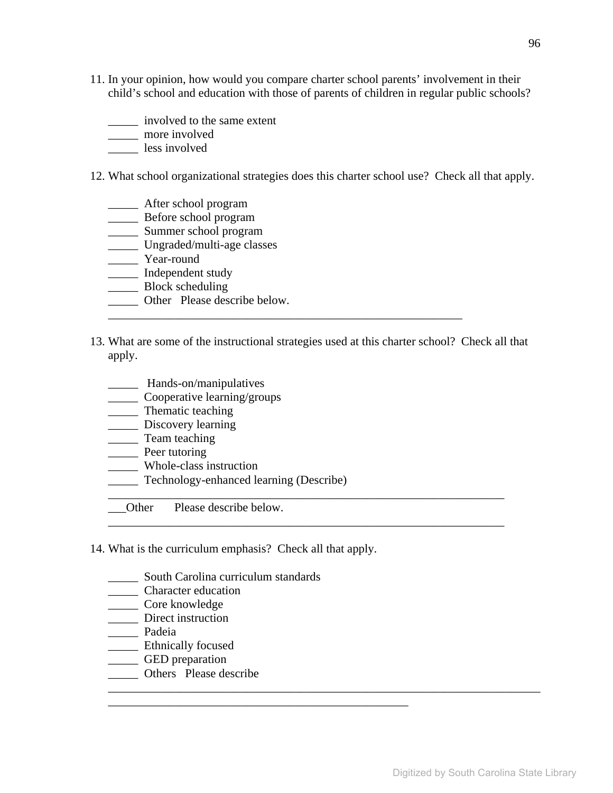- 11. In your opinion, how would you compare charter school parents' involvement in their child's school and education with those of parents of children in regular public schools?
	- \_\_\_\_\_ involved to the same extent
	- \_\_\_\_\_ more involved
	- \_\_\_\_\_ less involved
- 12. What school organizational strategies does this charter school use? Check all that apply.
	- \_\_\_\_\_ After school program
	- \_\_\_\_\_ Before school program
	- \_\_\_\_\_\_ Summer school program
	- \_\_\_\_\_ Ungraded/multi-age classes
	- \_\_\_\_\_ Year-round
	- \_\_\_\_\_ Independent study
	- \_\_\_\_\_\_\_ Block scheduling
	- \_\_\_\_\_ Other Please describe below.
- 13. What are some of the instructional strategies used at this charter school? Check all that apply.

\_\_\_\_\_\_\_\_\_\_\_\_\_\_\_\_\_\_\_\_\_\_\_\_\_\_\_\_\_\_\_\_\_\_\_\_\_\_\_\_\_\_\_\_\_\_\_\_\_\_\_\_\_\_\_\_\_\_\_\_\_\_\_\_\_\_

\_\_\_\_\_\_\_\_\_\_\_\_\_\_\_\_\_\_\_\_\_\_\_\_\_\_\_\_\_\_\_\_\_\_\_\_\_\_\_\_\_\_\_\_\_\_\_\_\_\_\_\_\_\_\_\_\_\_\_\_\_\_\_\_\_\_

\_\_\_\_\_\_\_\_\_\_\_\_\_\_\_\_\_\_\_\_\_\_\_\_\_\_\_\_\_\_\_\_\_\_\_\_\_\_\_\_\_\_\_\_\_\_\_\_\_\_\_\_\_\_\_\_\_\_\_\_\_\_\_\_\_\_\_\_\_\_\_\_

\_\_\_\_\_\_\_\_\_\_\_\_\_\_\_\_\_\_\_\_\_\_\_\_\_\_\_\_\_\_\_\_\_\_\_\_\_\_\_\_\_\_\_\_\_\_\_\_\_\_\_\_\_\_\_\_\_\_\_

- \_\_\_\_\_ Hands-on/manipulatives
- \_\_\_\_\_ Cooperative learning/groups
- \_\_\_\_\_ Thematic teaching
- \_\_\_\_\_\_ Discovery learning
- \_\_\_\_\_ Team teaching
- \_\_\_\_\_ Peer tutoring
- \_\_\_\_\_ Whole-class instruction
- \_\_\_\_\_ Technology-enhanced learning (Describe)
- Other Please describe below.
- 14. What is the curriculum emphasis? Check all that apply.

\_\_\_\_\_\_\_\_\_\_\_\_\_\_\_\_\_\_\_\_\_\_\_\_\_\_\_\_\_\_\_\_\_\_\_\_\_\_\_\_\_\_\_\_\_\_\_\_\_\_

- \_\_\_\_\_\_ South Carolina curriculum standards
- \_\_\_\_\_ Character education
- \_\_\_\_\_ Core knowledge
- \_\_\_\_\_\_\_ Direct instruction
- \_\_\_\_\_ Padeia
- \_\_\_\_\_ Ethnically focused
- \_\_\_\_\_ GED preparation
- \_\_\_\_\_ Others Please describe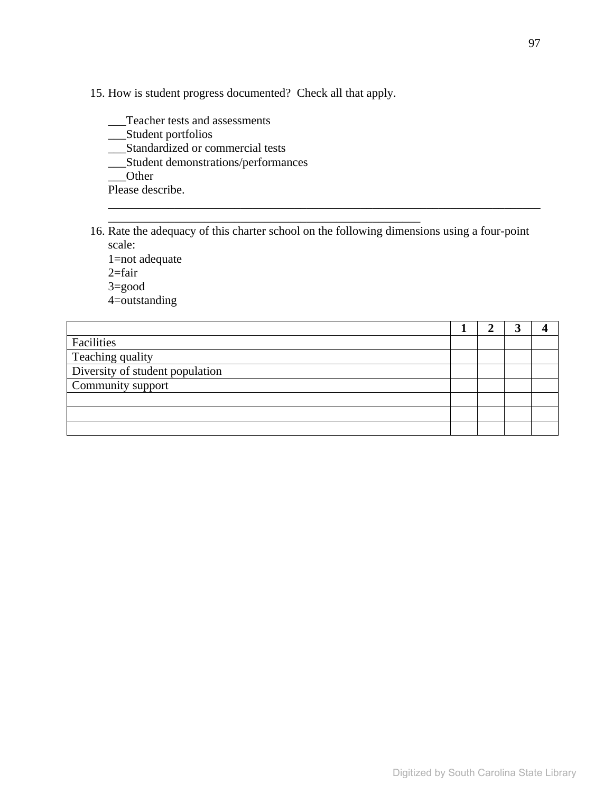15. How is student progress documented? Check all that apply.

\_\_\_\_\_\_\_\_\_\_\_\_\_\_\_\_\_\_\_\_\_\_\_\_\_\_\_\_\_\_\_\_\_\_\_\_\_\_\_\_\_\_\_\_\_\_\_\_\_\_\_\_

\_\_\_Teacher tests and assessments

\_\_\_Student portfolios

\_\_\_Standardized or commercial tests

\_\_\_Student demonstrations/performances

\_\_\_Other

Please describe.

16. Rate the adequacy of this charter school on the following dimensions using a four-point scale: 1=not adequate 2=fair

\_\_\_\_\_\_\_\_\_\_\_\_\_\_\_\_\_\_\_\_\_\_\_\_\_\_\_\_\_\_\_\_\_\_\_\_\_\_\_\_\_\_\_\_\_\_\_\_\_\_\_\_\_\_\_\_\_\_\_\_\_\_\_\_\_\_\_\_\_\_\_\_

3=good

4=outstanding

| Facilities                      |  |  |
|---------------------------------|--|--|
| Teaching quality                |  |  |
| Diversity of student population |  |  |
| Community support               |  |  |
|                                 |  |  |
|                                 |  |  |
|                                 |  |  |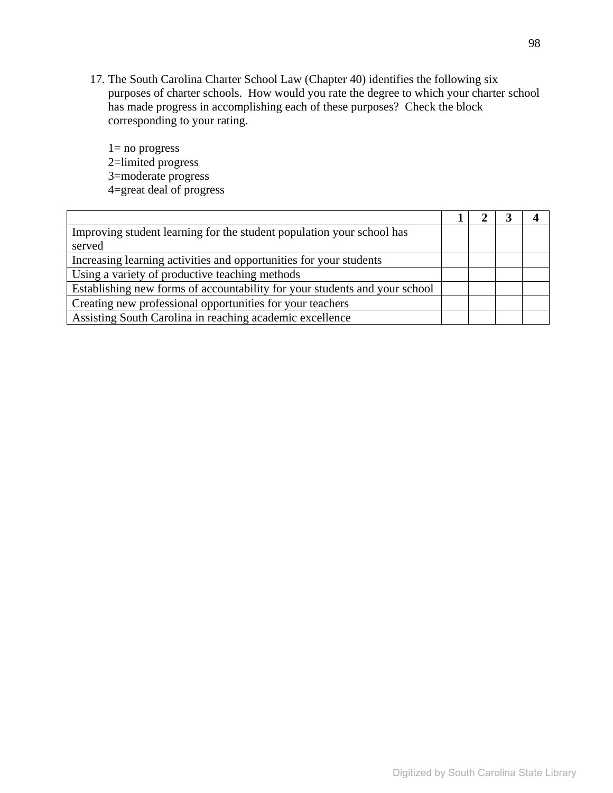17. The South Carolina Charter School Law (Chapter 40) identifies the following six purposes of charter schools. How would you rate the degree to which your charter school has made progress in accomplishing each of these purposes? Check the block corresponding to your rating.

1= no progress 2=limited progress 3=moderate progress 4=great deal of progress

| Improving student learning for the student population your school has      |  |  |
|----------------------------------------------------------------------------|--|--|
| served                                                                     |  |  |
| Increasing learning activities and opportunities for your students         |  |  |
| Using a variety of productive teaching methods                             |  |  |
| Establishing new forms of accountability for your students and your school |  |  |
| Creating new professional opportunities for your teachers                  |  |  |
| Assisting South Carolina in reaching academic excellence                   |  |  |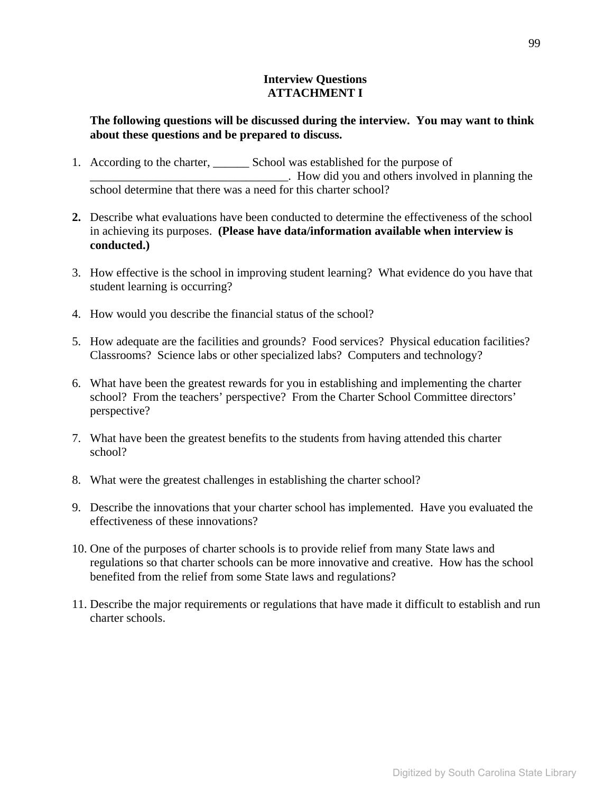#### **Interview Questions ATTACHMENT I**

### **The following questions will be discussed during the interview. You may want to think about these questions and be prepared to discuss.**

- 1. According to the charter, \_\_\_\_\_\_ School was established for the purpose of \_\_\_\_\_\_\_\_\_\_\_\_\_\_\_\_\_\_\_\_\_\_\_\_\_\_\_\_\_\_\_\_\_. How did you and others involved in planning the school determine that there was a need for this charter school?
- **2.** Describe what evaluations have been conducted to determine the effectiveness of the school in achieving its purposes. **(Please have data/information available when interview is conducted.)**
- 3. How effective is the school in improving student learning? What evidence do you have that student learning is occurring?
- 4. How would you describe the financial status of the school?
- 5. How adequate are the facilities and grounds? Food services? Physical education facilities? Classrooms? Science labs or other specialized labs? Computers and technology?
- 6. What have been the greatest rewards for you in establishing and implementing the charter school? From the teachers' perspective? From the Charter School Committee directors' perspective?
- 7. What have been the greatest benefits to the students from having attended this charter school?
- 8. What were the greatest challenges in establishing the charter school?
- 9. Describe the innovations that your charter school has implemented. Have you evaluated the effectiveness of these innovations?
- 10. One of the purposes of charter schools is to provide relief from many State laws and regulations so that charter schools can be more innovative and creative. How has the school benefited from the relief from some State laws and regulations?
- 11. Describe the major requirements or regulations that have made it difficult to establish and run charter schools.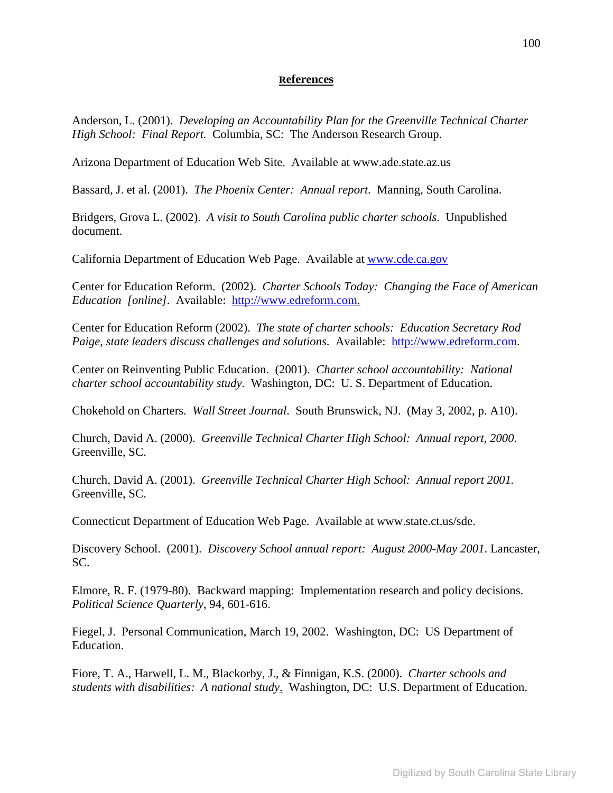#### **References**

Anderson, L. (2001). *Developing an Accountability Plan for the Greenville Technical Charter High School: Final Report.* Columbia, SC: The Anderson Research Group.

Arizona Department of Education Web Site. Available at www.ade.state.az.us

Bassard, J. et al. (2001). *The Phoenix Center: Annual report*. Manning, South Carolina.

Bridgers, Grova L. (2002). *A visit to South Carolina public charter schools*. Unpublished document.

California Department of Education Web Page. Available at www.cde.ca.gov

Center for Education Reform. (2002). *Charter Schools Today: Changing the Face of American Education [online]*. Available: http://www.edreform.com.

Center for Education Reform (2002). *The state of charter schools: Education Secretary Rod Paige, state leaders discuss challenges and solutions*. Available: http://www.edreform.com.

Center on Reinventing Public Education. (2001). *Charter school accountability: National charter school accountability study*. Washington, DC: U. S. Department of Education.

Chokehold on Charters. *Wall Street Journal*. South Brunswick, NJ. (May 3, 2002, p. A10).

Church, David A. (2000). *Greenville Technical Charter High School: Annual report, 2000*. Greenville, SC.

Church, David A. (2001). *Greenville Technical Charter High School: Annual report 2001.*  Greenville, SC.

Connecticut Department of Education Web Page. Available at www.state.ct.us/sde.

Discovery School. (2001). *Discovery School annual report: August 2000-May 2001*. Lancaster, SC.

Elmore, R. F. (1979-80). Backward mapping: Implementation research and policy decisions. *Political Science Quarterly*, 94, 601-616.

Fiegel, J. Personal Communication, March 19, 2002. Washington, DC: US Department of Education.

Fiore, T. A., Harwell, L. M., Blackorby, J., & Finnigan, K.S. (2000). *Charter schools and students with disabilities: A national study*. Washington, DC: U.S. Department of Education.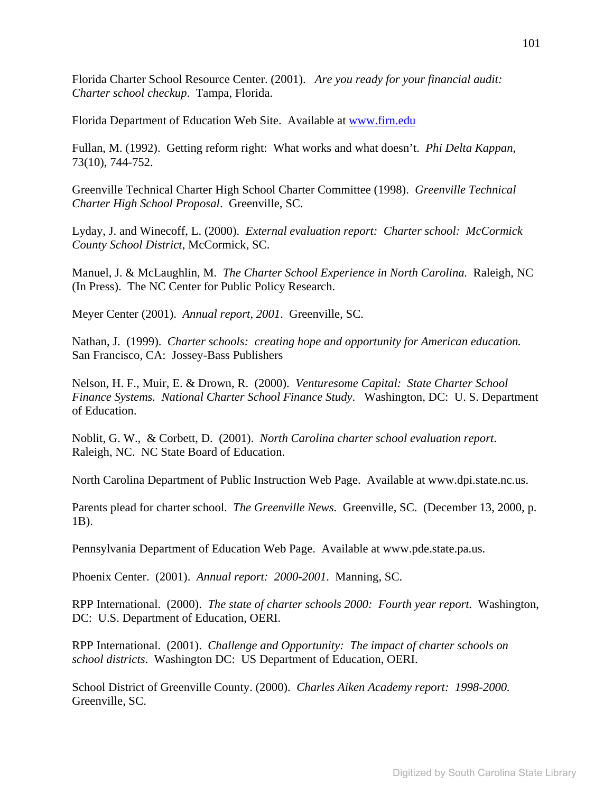Florida Charter School Resource Center. (2001). *Are you ready for your financial audit: Charter school checkup*. Tampa, Florida.

Florida Department of Education Web Site. Available at www.firn.edu

Fullan, M. (1992). Getting reform right: What works and what doesn't. *Phi Delta Kappan*, 73(10), 744-752.

Greenville Technical Charter High School Charter Committee (1998). *Greenville Technical Charter High School Proposal*. Greenville, SC.

Lyday, J. and Winecoff, L. (2000). *External evaluation report: Charter school: McCormick County School District*, McCormick, SC.

Manuel, J. & McLaughlin, M. *The Charter School Experience in North Carolina.* Raleigh, NC (In Press). The NC Center for Public Policy Research.

Meyer Center (2001). *Annual report, 2001*. Greenville, SC.

Nathan, J. (1999). *Charter schools: creating hope and opportunity for American education.* San Francisco, CA: Jossey-Bass Publishers

Nelson, H. F., Muir, E. & Drown, R. (2000). *Venturesome Capital: State Charter School Finance Systems. National Charter School Finance Study*. Washington, DC: U. S. Department of Education.

Noblit, G. W., & Corbett, D. (2001). *North Carolina charter school evaluation report*. Raleigh, NC. NC State Board of Education.

North Carolina Department of Public Instruction Web Page. Available at www.dpi.state.nc.us.

Parents plead for charter school. *The Greenville News*. Greenville, SC. (December 13, 2000, p. 1B).

Pennsylvania Department of Education Web Page. Available at www.pde.state.pa.us.

Phoenix Center. (2001). *Annual report: 2000-2001*. Manning, SC.

RPP International. (2000). *The state of charter schools 2000: Fourth year report.* Washington, DC: U.S. Department of Education, OERI.

RPP International. (2001). *Challenge and Opportunity: The impact of charter schools on school districts*. Washington DC: US Department of Education, OERI.

School District of Greenville County. (2000). *Charles Aiken Academy report: 1998-2000.* Greenville, SC.